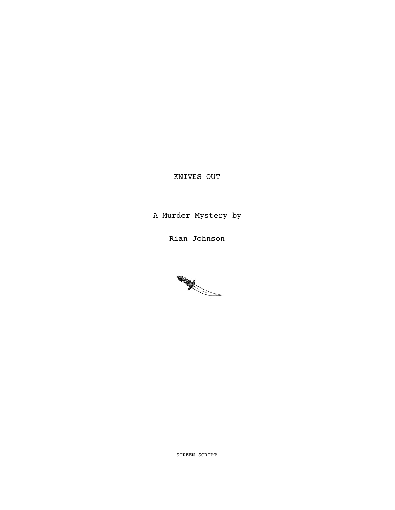# KNIVES OUT

A Murder Mystery by

Rian Johnson



SCREEN SCRIPT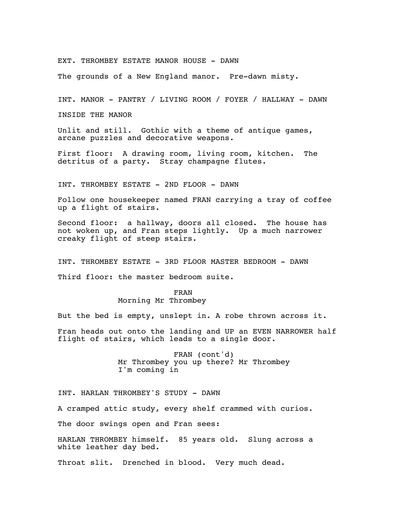EXT. THROMBEY ESTATE MANOR HOUSE - DAWN

The grounds of a New England manor. Pre-dawn misty.

INT. MANOR - PANTRY / LIVING ROOM / FOYER / HALLWAY - DAWN

INSIDE THE MANOR

Unlit and still. Gothic with a theme of antique games, arcane puzzles and decorative weapons.

First floor: A drawing room, living room, kitchen. The detritus of a party. Stray champagne flutes.

INT. THROMBEY ESTATE - 2ND FLOOR - DAWN

Follow one housekeeper named FRAN carrying a tray of coffee up a flight of stairs.

Second floor: a hallway, doors all closed. The house has not woken up, and Fran steps lightly. Up a much narrower creaky flight of steep stairs.

INT. THROMBEY ESTATE - 3RD FLOOR MASTER BEDROOM - DAWN Third floor: the master bedroom suite.

> FRAN Morning Mr Thrombey

But the bed is empty, unslept in. A robe thrown across it.

Fran heads out onto the landing and UP an EVEN NARROWER half flight of stairs, which leads to a single door.

> FRAN (cont'd) Mr Thrombey you up there? Mr Thrombey I'm coming in

INT. HARLAN THROMBEY'S STUDY - DAWN

A cramped attic study, every shelf crammed with curios.

The door swings open and Fran sees:

HARLAN THROMBEY himself. 85 years old. Slung across a white leather day bed.

Throat slit. Drenched in blood. Very much dead.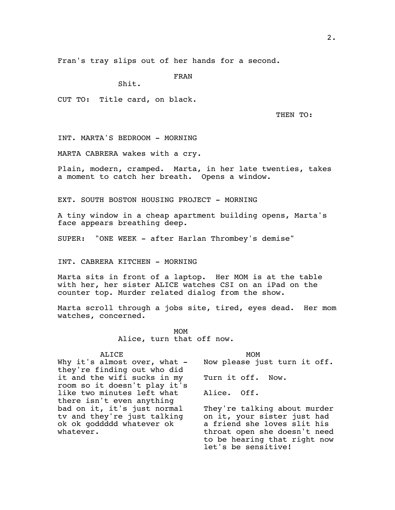Fran's tray slips out of her hands for a second.

FRAN

Shit.

CUT TO: Title card, on black.

THEN TO:

INT. MARTA'S BEDROOM - MORNING

MARTA CABRERA wakes with a cry.

Plain, modern, cramped. Marta, in her late twenties, takes a moment to catch her breath. Opens a window.

EXT. SOUTH BOSTON HOUSING PROJECT - MORNING

A tiny window in a cheap apartment building opens, Marta's face appears breathing deep.

SUPER: "ONE WEEK - after Harlan Thrombey's demise"

INT. CABRERA KITCHEN - MORNING

Marta sits in front of a laptop. Her MOM is at the table with her, her sister ALICE watches CSI on an iPad on the counter top. Murder related dialog from the show.

Marta scroll through a jobs site, tired, eyes dead. Her mom watches, concerned.

> MOM Alice, turn that off now.

ALICE

Why it's almost over, what  $$ they're finding out who did it and the wifi sucks in my room so it doesn't play it's like two minutes left what there isn't even anything bad on it, it's just normal tv and they're just talking ok ok goddddd whatever ok whatever.

MOM Now please just turn it off. Turn it off. Now. Alice. Off. They're talking about murder on it, your sister just had a friend she loves slit his throat open she doesn't need

to be hearing that right now

let's be sensitive!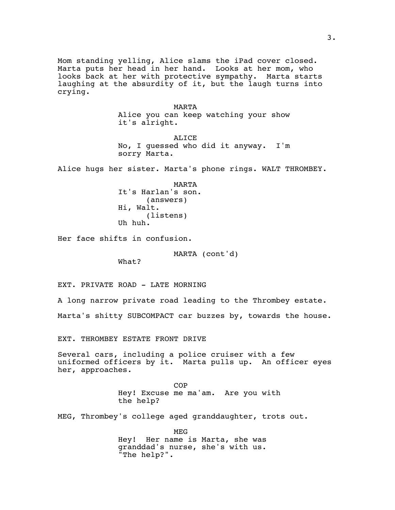Mom standing yelling, Alice slams the iPad cover closed. Marta puts her head in her hand. Looks at her mom, who looks back at her with protective sympathy. Marta starts laughing at the absurdity of it, but the laugh turns into crying.

> MARTA Alice you can keep watching your show it's alright.

> ALICE No, I guessed who did it anyway. I'm sorry Marta.

Alice hugs her sister. Marta's phone rings. WALT THROMBEY.

MARTA It's Harlan's son. (answers) Hi, Walt. (listens) Uh huh.

Her face shifts in confusion.

MARTA (cont'd)

What?

EXT. PRIVATE ROAD - LATE MORNING

A long narrow private road leading to the Thrombey estate.

Marta's shitty SUBCOMPACT car buzzes by, towards the house.

EXT. THROMBEY ESTATE FRONT DRIVE

Several cars, including a police cruiser with a few uniformed officers by it. Marta pulls up. An officer eyes her, approaches.

> COP Hey! Excuse me ma'am. Are you with the help?

MEG, Thrombey's college aged granddaughter, trots out.

MEG Hey! Her name is Marta, she was granddad's nurse, she's with us. "The help?".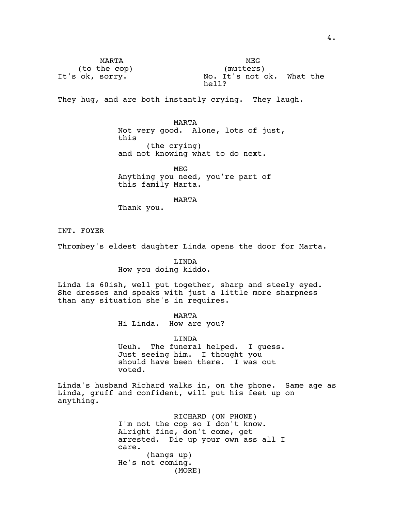MARTA (to the cop) It's ok, sorry.

MEG (mutters) No. It's not ok. What the hell?

They hug, and are both instantly crying. They laugh.

MARTA Not very good. Alone, lots of just, this (the crying) and not knowing what to do next.

MEG Anything you need, you're part of this family Marta.

MARTA

Thank you.

INT. FOYER

Thrombey's eldest daughter Linda opens the door for Marta.

LINDA How you doing kiddo.

Linda is 60ish, well put together, sharp and steely eyed. She dresses and speaks with just a little more sharpness than any situation she's in requires.

MARTA

Hi Linda. How are you?

LINDA Ueuh. The funeral helped. I guess. Just seeing him. I thought you should have been there. I was out voted.

Linda's husband Richard walks in, on the phone. Same age as Linda, gruff and confident, will put his feet up on anything.

> RICHARD (ON PHONE) I'm not the cop so I don't know. Alright fine, don't come, get arrested. Die up your own ass all I care. (hangs up) He's not coming. (MORE)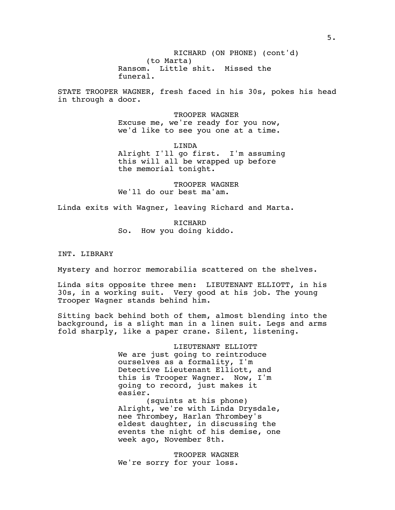(to Marta) RICHARD (ON PHONE) (cont'd) Ransom. Little shit. Missed the funeral.

STATE TROOPER WAGNER, fresh faced in his 30s, pokes his head in through a door.

> TROOPER WAGNER Excuse me, we're ready for you now, we'd like to see you one at a time.

LINDA Alright I'll go first. I'm assuming this will all be wrapped up before the memorial tonight.

TROOPER WAGNER We'll do our best ma'am.

Linda exits with Wagner, leaving Richard and Marta.

RICHARD So. How you doing kiddo.

INT. LIBRARY

Mystery and horror memorabilia scattered on the shelves.

Linda sits opposite three men: LIEUTENANT ELLIOTT, in his 30s, in a working suit. Very good at his job. The young Trooper Wagner stands behind him.

Sitting back behind both of them, almost blending into the background, is a slight man in a linen suit. Legs and arms fold sharply, like a paper crane. Silent, listening.

> LIEUTENANT ELLIOTT We are just going to reintroduce ourselves as a formality, I'm Detective Lieutenant Elliott, and this is Trooper Wagner. Now, I'm going to record, just makes it easier.

(squints at his phone) Alright, we're with Linda Drysdale, nee Thrombey, Harlan Thrombey's eldest daughter, in discussing the events the night of his demise, one week ago, November 8th.

TROOPER WAGNER We're sorry for your loss.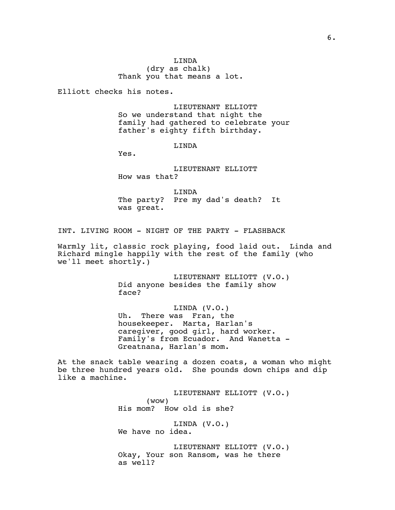LINDA (dry as chalk) Thank you that means a lot.

Elliott checks his notes.

LIEUTENANT ELLIOTT So we understand that night the family had gathered to celebrate your father's eighty fifth birthday.

LINDA

Yes.

LIEUTENANT ELLIOTT How was that?

LINDA The party? Pre my dad's death? It was great.

INT. LIVING ROOM - NIGHT OF THE PARTY - FLASHBACK

Warmly lit, classic rock playing, food laid out. Linda and Richard mingle happily with the rest of the family (who we'll meet shortly.)

> LIEUTENANT ELLIOTT (V.O.) Did anyone besides the family show face?

> LINDA (V.O.) Uh. There was Fran, the housekeeper. Marta, Harlan's caregiver, good girl, hard worker. Family's from Ecuador. And Wanetta - Greatnana, Harlan's mom.

At the snack table wearing a dozen coats, a woman who might be three hundred years old. She pounds down chips and dip like a machine.

> LIEUTENANT ELLIOTT (V.O.) (wow) His mom? How old is she? LINDA (V.O.) We have no idea. LIEUTENANT ELLIOTT (V.O.) Okay, Your son Ransom, was he there as well?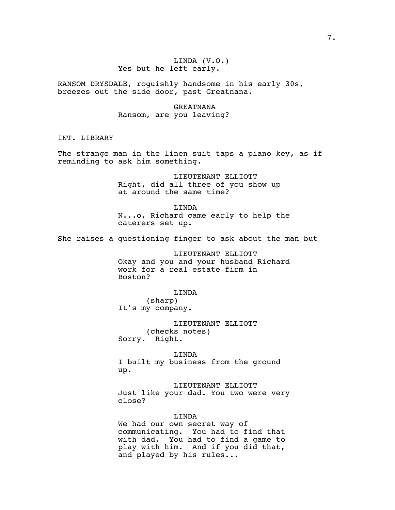# LINDA (V.O.) Yes but he left early.

RANSOM DRYSDALE, roguishly handsome in his early 30s, breezes out the side door, past Greatnana.

> GREATNANA Ransom, are you leaving?

INT. LIBRARY

The strange man in the linen suit taps a piano key, as if reminding to ask him something.

> LIEUTENANT ELLIOTT Right, did all three of you show up at around the same time?

LINDA N...o, Richard came early to help the caterers set up.

She raises a questioning finger to ask about the man but

LIEUTENANT ELLIOTT Okay and you and your husband Richard work for a real estate firm in Boston?

LINDA

(sharp) It's my company.

LIEUTENANT ELLIOTT (checks notes) Sorry. Right.

LINDA

I built my business from the ground up.

LIEUTENANT ELLIOTT Just like your dad. You two were very close?

LINDA

We had our own secret way of communicating. You had to find that with dad. You had to find a game to play with him. And if you did that, and played by his rules...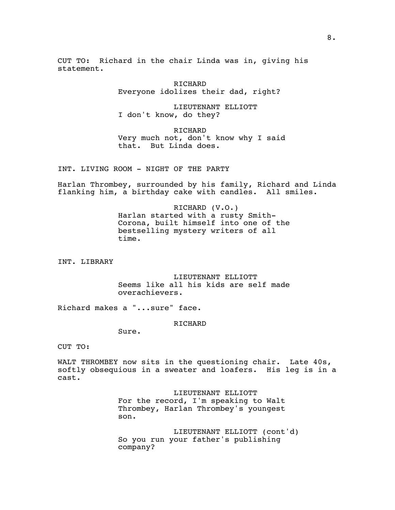CUT TO: Richard in the chair Linda was in, giving his statement.

> RICHARD Everyone idolizes their dad, right?

LIEUTENANT ELLIOTT I don't know, do they?

RICHARD Very much not, don't know why I said that. But Linda does.

INT. LIVING ROOM - NIGHT OF THE PARTY

Harlan Thrombey, surrounded by his family, Richard and Linda flanking him, a birthday cake with candles. All smiles.

> RICHARD (V.O.) Harlan started with a rusty Smith-Corona, built himself into one of the bestselling mystery writers of all time.

INT. LIBRARY

LIEUTENANT ELLIOTT Seems like all his kids are self made overachievers.

Richard makes a "...sure" face.

# RICHARD

Sure.

CUT TO:

WALT THROMBEY now sits in the questioning chair. Late 40s, softly obsequious in a sweater and loafers. His leg is in a cast.

> LIEUTENANT ELLIOTT For the record, I'm speaking to Walt Thrombey, Harlan Thrombey's youngest son.

LIEUTENANT ELLIOTT (cont'd) So you run your father's publishing company?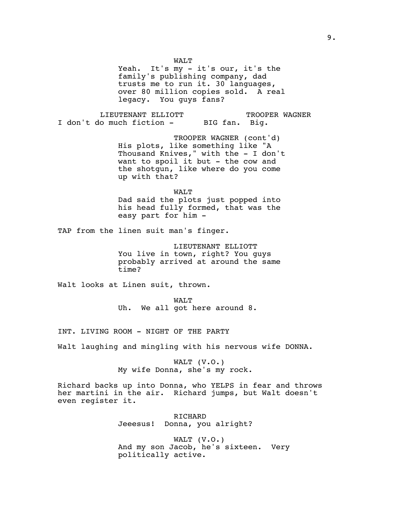WALT

Yeah. It's my - it's our, it's the family's publishing company, dad trusts me to run it. 30 languages, over 80 million copies sold. A real legacy. You guys fans?

LIEUTENANT ELLIOTT I don't do much fiction - TROOPER WAGNER BIG fan. Big.

> TROOPER WAGNER (cont'd) His plots, like something like "A Thousand Knives," with the - I don't want to spoil it but - the cow and the shotgun, like where do you come up with that?

WALT Dad said the plots just popped into his head fully formed, that was the easy part for him -

TAP from the linen suit man's finger.

LIEUTENANT ELLIOTT You live in town, right? You guys probably arrived at around the same time?

Walt looks at Linen suit, thrown.

WALT Uh. We all got here around 8.

INT. LIVING ROOM - NIGHT OF THE PARTY

Walt laughing and mingling with his nervous wife DONNA.

WALT (V.O.) My wife Donna, she's my rock.

Richard backs up into Donna, who YELPS in fear and throws her martini in the air. Richard jumps, but Walt doesn't even register it.

> RICHARD Jeeesus! Donna, you alright?

WALT (V.O.) And my son Jacob, he's sixteen. Very politically active.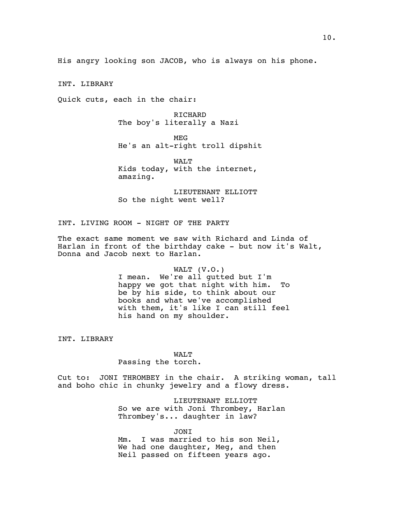His angry looking son JACOB, who is always on his phone.

INT. LIBRARY

Quick cuts, each in the chair:

RICHARD The boy's literally a Nazi

MEG He's an alt-right troll dipshit

WALT Kids today, with the internet, amazing.

LIEUTENANT ELLIOTT So the night went well?

INT. LIVING ROOM - NIGHT OF THE PARTY

The exact same moment we saw with Richard and Linda of Harlan in front of the birthday cake  $-$  but now it's Walt, Donna and Jacob next to Harlan.

# WALT (V.O.)

I mean. We're all gutted but I'm happy we got that night with him. To be by his side, to think about our books and what we've accomplished with them, it's like I can still feel his hand on my shoulder.

INT. LIBRARY

# WALT

Passing the torch.

Cut to: JONI THROMBEY in the chair. A striking woman, tall and boho chic in chunky jewelry and a flowy dress.

> LIEUTENANT ELLIOTT So we are with Joni Thrombey, Harlan Thrombey's... daughter in law?

JONI Mm. I was married to his son Neil, We had one daughter, Meg, and then Neil passed on fifteen years ago.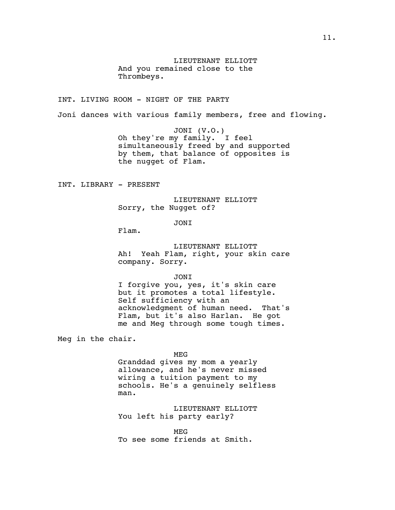LIEUTENANT ELLIOTT And you remained close to the Thrombeys.

INT. LIVING ROOM - NIGHT OF THE PARTY

Joni dances with various family members, free and flowing.

JONI (V.O.) Oh they're my family. I feel simultaneously freed by and supported by them, that balance of opposites is the nugget of Flam.

INT. LIBRARY - PRESENT

LIEUTENANT ELLIOTT Sorry, the Nugget of?

JONI

Flam.

LIEUTENANT ELLIOTT Ah! Yeah Flam, right, your skin care company. Sorry.

JONI

I forgive you, yes, it's skin care but it promotes a total lifestyle. Self sufficiency with an acknowledgment of human need. That's Flam, but it's also Harlan. He got me and Meg through some tough times.

Meg in the chair.

MEG

Granddad gives my mom a yearly allowance, and he's never missed wiring a tuition payment to my schools. He's a genuinely selfless man.

LIEUTENANT ELLIOTT You left his party early?

MEG To see some friends at Smith.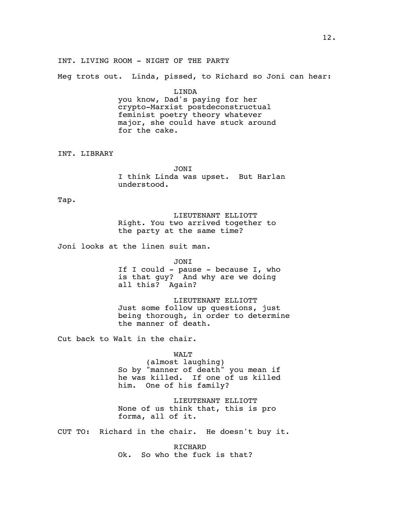INT. LIVING ROOM - NIGHT OF THE PARTY

Meg trots out. Linda, pissed, to Richard so Joni can hear:

LINDA you know, Dad's paying for her crypto-Marxist postdeconstructual feminist poetry theory whatever major, she could have stuck around for the cake.

INT. LIBRARY

JONI I think Linda was upset. But Harlan understood.

Tap.

LIEUTENANT ELLIOTT Right. You two arrived together to the party at the same time?

Joni looks at the linen suit man.

JONI

If I could - pause - because I, who is that guy? And why are we doing all this? Again?

LIEUTENANT ELLIOTT Just some follow up questions, just being thorough, in order to determine the manner of death.

Cut back to Walt in the chair.

WALT (almost laughing)

So by "manner of death" you mean if he was killed. If one of us killed him. One of his family?

LIEUTENANT ELLIOTT None of us think that, this is pro forma, all of it.

CUT TO: Richard in the chair. He doesn't buy it.

RICHARD Ok. So who the fuck is that?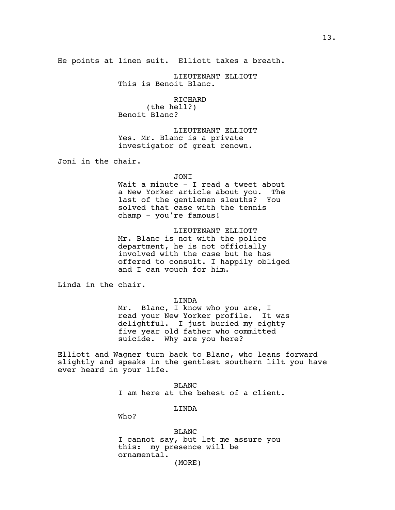He points at linen suit. Elliott takes a breath.

LIEUTENANT ELLIOTT This is Benoit Blanc.

RICHARD (the hell?) Benoit Blanc?

LIEUTENANT ELLIOTT Yes. Mr. Blanc is a private investigator of great renown.

Joni in the chair.

#### JONI

Wait a minute - I read a tweet about a New Yorker article about you. The last of the gentlemen sleuths? You solved that case with the tennis champ - you're famous!

LIEUTENANT ELLIOTT Mr. Blanc is not with the police department, he is not officially involved with the case but he has offered to consult. I happily obliged and I can vouch for him.

Linda in the chair.

# LINDA

Mr. Blanc, I know who you are, I read your New Yorker profile. It was delightful. I just buried my eighty five year old father who committed suicide. Why are you here?

Elliott and Wagner turn back to Blanc, who leans forward slightly and speaks in the gentlest southern lilt you have ever heard in your life.

> BLANC I am here at the behest of a client.

> > LINDA

Who?

BLANC I cannot say, but let me assure you this: my presence will be ornamental. (MORE)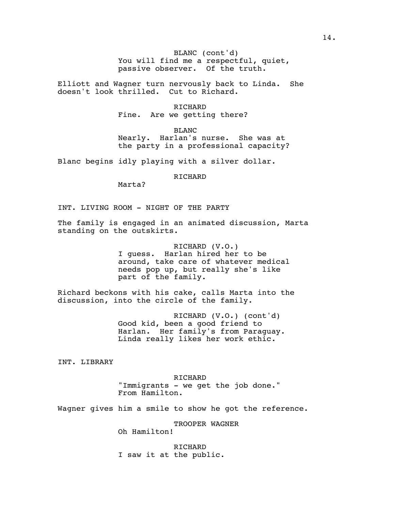You will find me a respectful, quiet, BLANC (cont'd) passive observer. Of the truth.

Elliott and Wagner turn nervously back to Linda. She doesn't look thrilled. Cut to Richard.

> RICHARD Fine. Are we getting there?

BLANC Nearly. Harlan's nurse. She was at the party in a professional capacity?

Blanc begins idly playing with a silver dollar.

## RICHARD

Marta?

INT. LIVING ROOM - NIGHT OF THE PARTY

The family is engaged in an animated discussion, Marta standing on the outskirts.

> RICHARD (V.O.) I guess. Harlan hired her to be around, take care of whatever medical needs pop up, but really she's like part of the family.

Richard beckons with his cake, calls Marta into the discussion, into the circle of the family.

> RICHARD (V.O.) (cont'd) Good kid, been a good friend to Harlan. Her family's from Paraguay. Linda really likes her work ethic.

INT. LIBRARY

RICHARD "Immigrants - we get the job done." From Hamilton.

Wagner gives him a smile to show he got the reference.

TROOPER WAGNER

Oh Hamilton!

RICHARD I saw it at the public.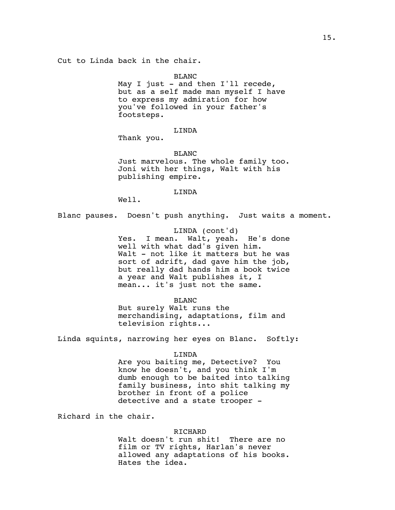BLANC

May I just - and then  $I'11$  recede, but as a self made man myself I have to express my admiration for how you've followed in your father's footsteps.

## LINDA

Thank you.

BLANC Just marvelous. The whole family too. Joni with her things, Walt with his publishing empire.

LINDA

Well.

Blanc pauses. Doesn't push anything. Just waits a moment.

LINDA (cont'd) Yes. I mean. Walt, yeah. He's done well with what dad's given him. Walt - not like it matters but he was sort of adrift, dad gave him the job, but really dad hands him a book twice a year and Walt publishes it, I mean... it's just not the same.

BLANC But surely Walt runs the merchandising, adaptations, film and television rights...

Linda squints, narrowing her eyes on Blanc. Softly:

## LINDA

Are you baiting me, Detective? You know he doesn't, and you think I'm dumb enough to be baited into talking family business, into shit talking my brother in front of a police detective and a state trooper -

Richard in the chair.

## RICHARD

Walt doesn't run shit! There are no film or TV rights, Harlan's never allowed any adaptations of his books. Hates the idea.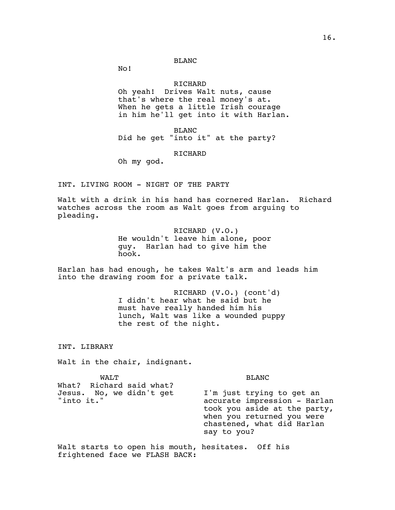# BLANC

No!

# RICHARD

Oh yeah! Drives Walt nuts, cause that's where the real money's at. When he gets a little Irish courage in him he'll get into it with Harlan.

BLANC Did he get "into it" at the party?

RICHARD

Oh my god.

INT. LIVING ROOM - NIGHT OF THE PARTY

Walt with a drink in his hand has cornered Harlan. Richard watches across the room as Walt goes from arguing to pleading.

> RICHARD (V.O.) He wouldn't leave him alone, poor guy. Harlan had to give him the hook.

Harlan has had enough, he takes Walt's arm and leads him into the drawing room for a private talk.

> RICHARD (V.O.) (cont'd) I didn't hear what he said but he must have really handed him his lunch, Walt was like a wounded puppy the rest of the night.

INT. LIBRARY

Walt in the chair, indignant.

WALT What? Richard said what? Jesus. No, we didn't get "into it." BLANC I'm just trying to get an accurate impression - Harlan took you aside at the party, when you returned you were chastened, what did Harlan say to you?

Walt starts to open his mouth, hesitates. Off his frightened face we FLASH BACK: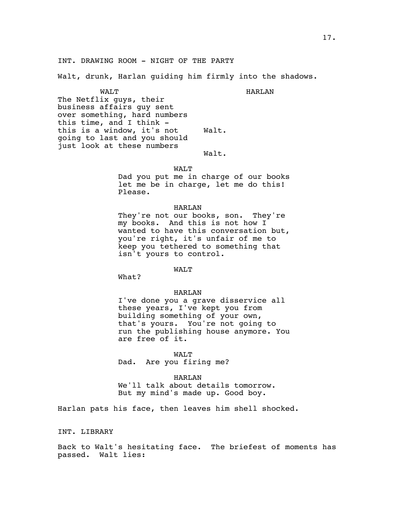# INT. DRAWING ROOM - NIGHT OF THE PARTY

Walt, drunk, Harlan guiding him firmly into the shadows.

HARLAN

WALT The Netflix guys, their business affairs guy sent over something, hard numbers this time, and I think this is a window, it's not going to last and you should just look at these numbers Walt.

Walt.

WALT

Dad you put me in charge of our books let me be in charge, let me do this! Please.

#### HARLAN

They're not our books, son. They're my books. And this is not how I wanted to have this conversation but, you're right, it's unfair of me to keep you tethered to something that isn't yours to control.

#### WALT

What?

# HARLAN

I've done you a grave disservice all these years, I've kept you from building something of your own, that's yours. You're not going to run the publishing house anymore. You are free of it.

WALT Dad. Are you firing me?

HARLAN We'll talk about details tomorrow. But my mind's made up. Good boy.

Harlan pats his face, then leaves him shell shocked.

# INT. LIBRARY

Back to Walt's hesitating face. The briefest of moments has passed. Walt lies: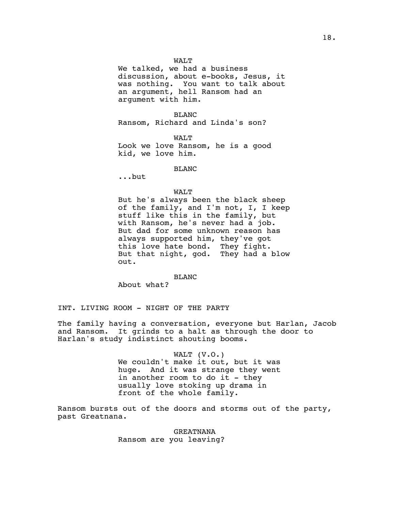We talked, we had a business discussion, about e-books, Jesus, it was nothing. You want to talk about an argument, hell Ransom had an argument with him.

BLANC Ransom, Richard and Linda's son?

WALT Look we love Ransom, he is a good kid, we love him.

BLANC

...but

## WALT

But he's always been the black sheep of the family, and I'm not, I, I keep stuff like this in the family, but with Ransom, he's never had a job. But dad for some unknown reason has always supported him, they've got this love hate bond. They fight. But that night, god. They had a blow out.

# BLANC

About what?

INT. LIVING ROOM - NIGHT OF THE PARTY

The family having a conversation, everyone but Harlan, Jacob and Ransom. It grinds to a halt as through the door to Harlan's study indistinct shouting booms.

> WALT (V.O.) We couldn't make it out, but it was huge. And it was strange they went in another room to do it - they usually love stoking up drama in front of the whole family.

Ransom bursts out of the doors and storms out of the party, past Greatnana.

> GREATNANA Ransom are you leaving?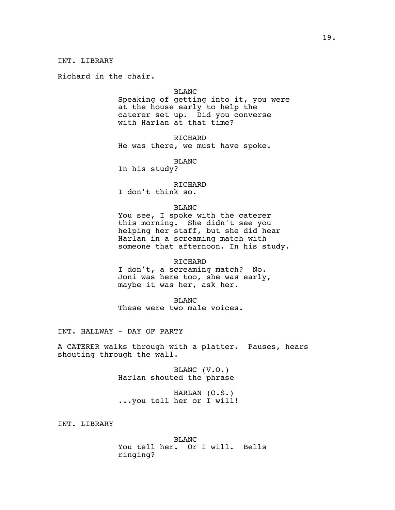Richard in the chair.

#### BLANC

Speaking of getting into it, you were at the house early to help the caterer set up. Did you converse with Harlan at that time?

RICHARD

He was there, we must have spoke.

BLANC

In his study?

RICHARD

I don't think so.

#### BLANC

You see, I spoke with the caterer this morning. She didn't see you helping her staff, but she did hear Harlan in a screaming match with someone that afternoon. In his study.

# RICHARD

I don't, a screaming match? No. Joni was here too, she was early, maybe it was her, ask her.

BLANC These were two male voices.

INT. HALLWAY - DAY OF PARTY

A CATERER walks through with a platter. Pauses, hears shouting through the wall.

> BLANC (V.O.) Harlan shouted the phrase

HARLAN (O.S.) ...you tell her or I will!

INT. LIBRARY

BLANC You tell her. Or I will. Bells ringing?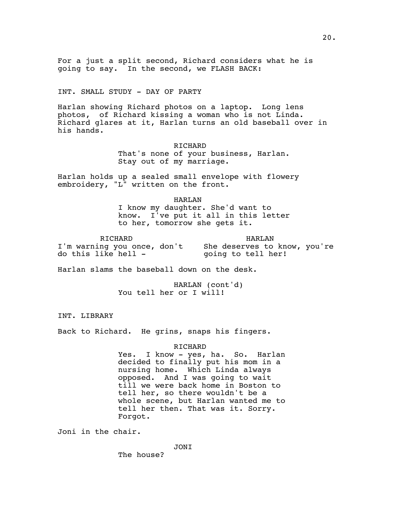For a just a split second, Richard considers what he is going to say. In the second, we FLASH BACK:

INT. SMALL STUDY - DAY OF PARTY

Harlan showing Richard photos on a laptop. Long lens photos, of Richard kissing a woman who is not Linda. Richard glares at it, Harlan turns an old baseball over in his hands.

> RICHARD That's none of your business, Harlan. Stay out of my marriage.

Harlan holds up a sealed small envelope with flowery embroidery, "L" written on the front.

> HARLAN I know my daughter. She'd want to know. I've put it all in this letter to her, tomorrow she gets it.

RICHARD I'm warning you once, don't She deserves to know, you're do this like hell - HARLAN going to tell her!

Harlan slams the baseball down on the desk.

HARLAN (cont'd) You tell her or I will!

INT. LIBRARY

Back to Richard. He grins, snaps his fingers.

RICHARD

Yes. I know - yes, ha. So. Harlan decided to finally put his mom in a nursing home. Which Linda always opposed. And I was going to wait till we were back home in Boston to tell her, so there wouldn't be a whole scene, but Harlan wanted me to tell her then. That was it. Sorry. Forgot.

Joni in the chair.

JONI

20.

The house?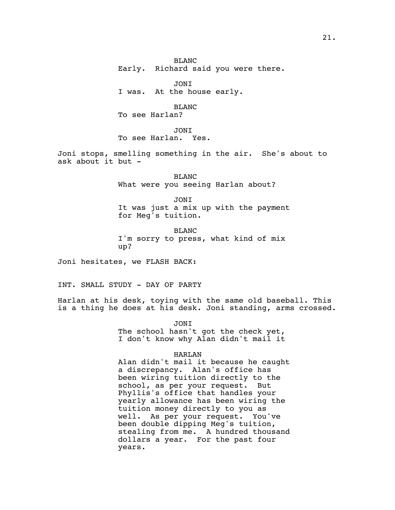BLANC

Early. Richard said you were there.

JONI

I was. At the house early.

BLANC To see Harlan?

JONI

To see Harlan. Yes.

Joni stops, smelling something in the air. She's about to ask about it but -

> BLANC What were you seeing Harlan about?

> > JONI

It was just a mix up with the payment for Meg's tuition.

BLANC I'm sorry to press, what kind of mix up?

Joni hesitates, we FLASH BACK:

INT. SMALL STUDY - DAY OF PARTY

Harlan at his desk, toying with the same old baseball. This is a thing he does at his desk. Joni standing, arms crossed.

> JONI The school hasn't got the check yet, I don't know why Alan didn't mail it

# HARLAN

Alan didn't mail it because he caught a discrepancy. Alan's office has been wiring tuition directly to the school, as per your request. But Phyllis's office that handles your yearly allowance has been wiring the tuition money directly to you as well. As per your request. You've been double dipping Meg's tuition, stealing from me. A hundred thousand dollars a year. For the past four years.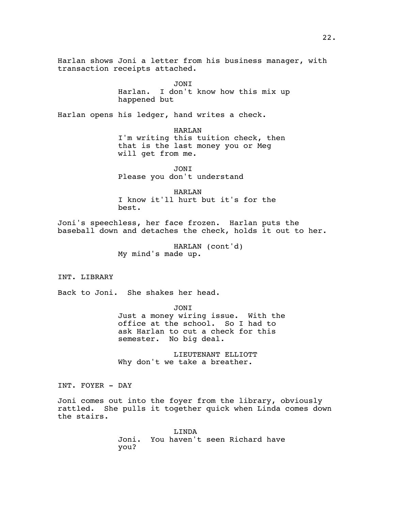Harlan shows Joni a letter from his business manager, with transaction receipts attached.

JONI

Harlan. I don't know how this mix up happened but

Harlan opens his ledger, hand writes a check.

HARLAN I'm writing this tuition check, then that is the last money you or Meg will get from me.

JONI Please you don't understand

HARLAN I know it'll hurt but it's for the best.

Joni's speechless, her face frozen. Harlan puts the baseball down and detaches the check, holds it out to her.

> HARLAN (cont'd) My mind's made up.

INT. LIBRARY

Back to Joni. She shakes her head.

JONI Just a money wiring issue. With the office at the school. So I had to ask Harlan to cut a check for this semester. No big deal.

LIEUTENANT ELLIOTT Why don't we take a breather.

INT. FOYER - DAY

Joni comes out into the foyer from the library, obviously rattled. She pulls it together quick when Linda comes down the stairs.

> LINDA Joni. You haven't seen Richard have you?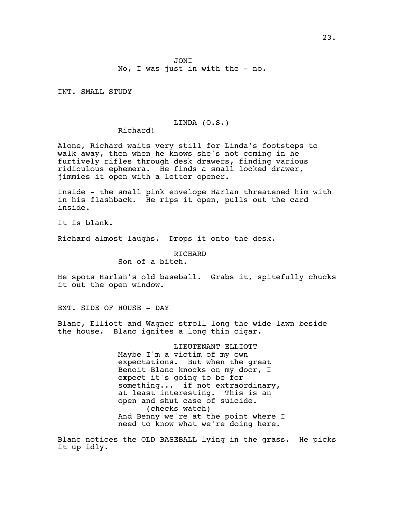INT. SMALL STUDY

#### LINDA (O.S.)

Richard!

Alone, Richard waits very still for Linda's footsteps to walk away, then when he knows she's not coming in he furtively rifles through desk drawers, finding various ridiculous ephemera. He finds a small locked drawer, jimmies it open with a letter opener.

Inside - the small pink envelope Harlan threatened him with in his flashback. He rips it open, pulls out the card inside.

It is blank.

Richard almost laughs. Drops it onto the desk.

# RICHARD

Son of a bitch.

He spots Harlan's old baseball. Grabs it, spitefully chucks it out the open window.

EXT. SIDE OF HOUSE - DAY

Blanc, Elliott and Wagner stroll long the wide lawn beside the house. Blanc ignites a long thin cigar.

> LIEUTENANT ELLIOTT Maybe I'm a victim of my own expectations. But when the great Benoit Blanc knocks on my door, I expect it's going to be for something... if not extraordinary, at least interesting. This is an open and shut case of suicide. (checks watch) And Benny we're at the point where I need to know what we're doing here.

Blanc notices the OLD BASEBALL lying in the grass. He picks it up idly.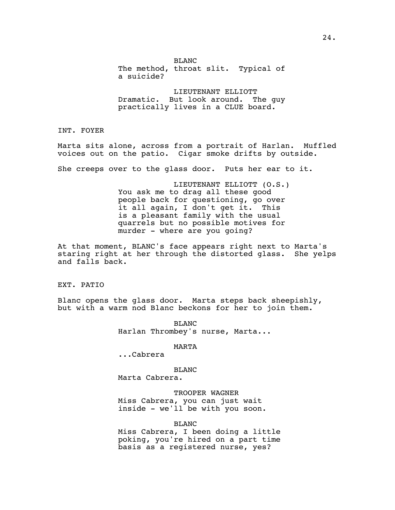BLANC The method, throat slit. Typical of a suicide?

LIEUTENANT ELLIOTT Dramatic. But look around. The guy practically lives in a CLUE board.

INT. FOYER

Marta sits alone, across from a portrait of Harlan. Muffled voices out on the patio. Cigar smoke drifts by outside.

She creeps over to the glass door. Puts her ear to it.

LIEUTENANT ELLIOTT (O.S.) You ask me to drag all these good people back for questioning, go over it all again, I don't get it. This is a pleasant family with the usual quarrels but no possible motives for murder - where are you going?

At that moment, BLANC's face appears right next to Marta's staring right at her through the distorted glass. She yelps and falls back.

EXT. PATIO

Blanc opens the glass door. Marta steps back sheepishly, but with a warm nod Blanc beckons for her to join them.

> BLANC Harlan Thrombey's nurse, Marta...

> > MARTA

...Cabrera

BLANC Marta Cabrera.

TROOPER WAGNER Miss Cabrera, you can just wait inside - we'll be with you soon.

BLANC

Miss Cabrera, I been doing a little poking, you're hired on a part time basis as a registered nurse, yes?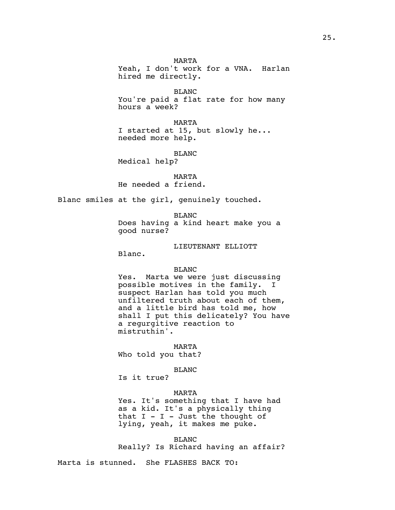Yeah, I don't work for a VNA. Harlan hired me directly.

BLANC You're paid a flat rate for how many hours a week?

MARTA I started at 15, but slowly he... needed more help.

BLANC

Medical help?

MARTA He needed a friend.

Blanc smiles at the girl, genuinely touched.

BLANC Does having a kind heart make you a good nurse?

LIEUTENANT ELLIOTT

Blanc.

BLANC

Yes. Marta we were just discussing possible motives in the family. I suspect Harlan has told you much unfiltered truth about each of them, and a little bird has told me, how shall I put this delicately? You have a regurgitive reaction to mistruthin'.

MARTA

Who told you that?

BLANC

Is it true?

# MARTA

Yes. It's something that I have had as a kid. It's a physically thing that  $I - I - Just$  the thought of lying, yeah, it makes me puke.

BLANC Really? Is Richard having an affair?

Marta is stunned. She FLASHES BACK TO: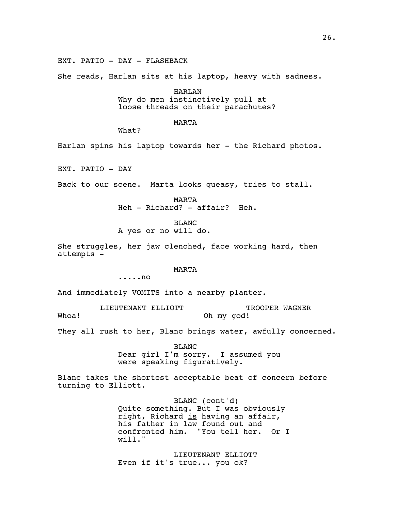EXT. PATIO - DAY - FLASHBACK

She reads, Harlan sits at his laptop, heavy with sadness.

HARLAN Why do men instinctively pull at loose threads on their parachutes?

# MARTA

What?

Harlan spins his laptop towards her - the Richard photos.

EXT. PATIO - DAY

Back to our scene. Marta looks queasy, tries to stall.

MARTA Heh - Richard? - affair? Heh.

BLANC A yes or no will do.

She struggles, her jaw clenched, face working hard, then attempts -

# MARTA

.....no

And immediately VOMITS into a nearby planter.

LIEUTENANT ELLIOTT Whoa! TROOPER WAGNER Oh my god!

They all rush to her, Blanc brings water, awfully concerned.

BLANC Dear girl I'm sorry. I assumed you were speaking figuratively.

Blanc takes the shortest acceptable beat of concern before turning to Elliott.

> BLANC (cont'd) Quite something. But I was obviously right, Richard is having an affair, his father in law found out and confronted him. "You tell her. Or I will."

LIEUTENANT ELLIOTT Even if it's true... you ok?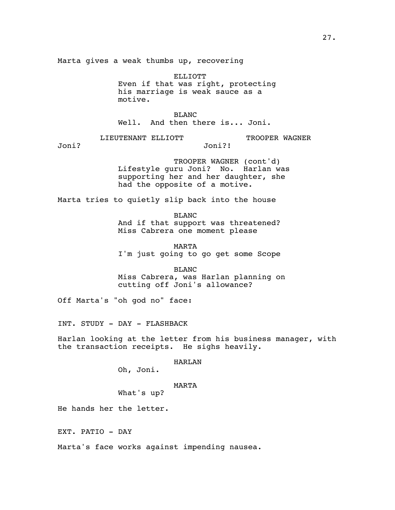Marta gives a weak thumbs up, recovering

ELLIOTT Even if that was right, protecting his marriage is weak sauce as a motive.

BLANC Well. And then there is... Joni.

LIEUTENANT ELLIOTT

TROOPER WAGNER

Joni?

TROOPER WAGNER (cont'd) Lifestyle guru Joni? No. Harlan was supporting her and her daughter, she had the opposite of a motive.

Joni?!

Marta tries to quietly slip back into the house

BLANC And if that support was threatened? Miss Cabrera one moment please

MARTA I'm just going to go get some Scope

BLANC Miss Cabrera, was Harlan planning on cutting off Joni's allowance?

Off Marta's "oh god no" face:

INT. STUDY - DAY - FLASHBACK

Harlan looking at the letter from his business manager, with the transaction receipts. He sighs heavily.

HARLAN

Oh, Joni.

# MARTA

What's up?

He hands her the letter.

EXT. PATIO - DAY

Marta's face works against impending nausea.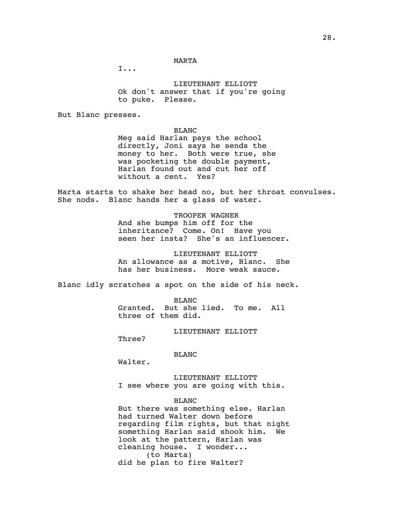## MARTA

I...

LIEUTENANT ELLIOTT Ok don't answer that if you're going to puke. Please.

But Blanc presses.

# BLANC

Meg said Harlan pays the school directly, Joni says he sends the money to her. Both were true, she was pocketing the double payment, Harlan found out and cut her off without a cent. Yes?

Marta starts to shake her head no, but her throat convulses. She nods. Blanc hands her a glass of water.

> TROOPER WAGNER And she bumps him off for the inheritance? Come. On! Have you seen her insta? She's an influencer.

> LIEUTENANT ELLIOTT An allowance as a motive, Blanc. She has her business. More weak sauce.

Blanc idly scratches a spot on the side of his neck.

BLANC Granted. But she lied. To me. All three of them did.

LIEUTENANT ELLIOTT

Three?

## BLANC

Walter.

LIEUTENANT ELLIOTT I see where you are going with this.

# BLANC

But there was something else. Harlan had turned Walter down before regarding film rights, but that night something Harlan said shook him. We look at the pattern, Harlan was cleaning house. I wonder... (to Marta) did he plan to fire Walter?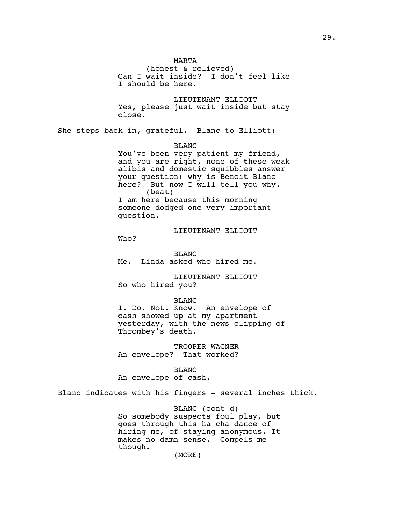(honest & relieved) Can I wait inside? I don't feel like LIEUTENANT ELLIOTT

Yes, please just wait inside but stay close.

She steps back in, grateful. Blanc to Elliott:

I should be here.

BLANC

MARTA

You've been very patient my friend, and you are right, none of these weak alibis and domestic squibbles answer your question: why is Benoit Blanc here? But now I will tell you why. (beat) I am here because this morning someone dodged one very important question.

LIEUTENANT ELLIOTT

Who?

BLANC Me. Linda asked who hired me.

LIEUTENANT ELLIOTT So who hired you?

BLANC

I. Do. Not. Know. An envelope of cash showed up at my apartment yesterday, with the news clipping of Thrombey's death.

TROOPER WAGNER An envelope? That worked?

BLANC An envelope of cash.

Blanc indicates with his fingers - several inches thick.

BLANC (cont'd) So somebody suspects foul play, but goes through this ha cha dance of hiring me, of staying anonymous. It makes no damn sense. Compels me though.

(MORE)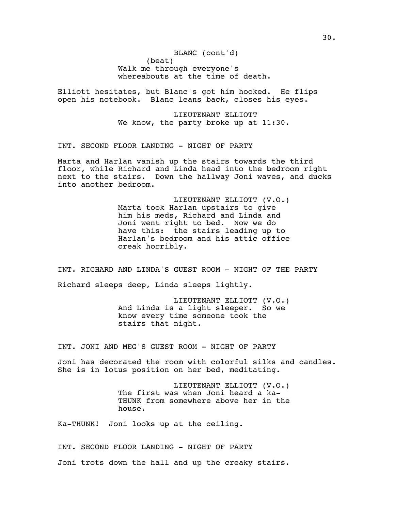(beat) BLANC (cont'd) Walk me through everyone's whereabouts at the time of death.

Elliott hesitates, but Blanc's got him hooked. He flips open his notebook. Blanc leans back, closes his eyes.

> LIEUTENANT ELLIOTT We know, the party broke up at 11:30.

INT. SECOND FLOOR LANDING - NIGHT OF PARTY

Marta and Harlan vanish up the stairs towards the third floor, while Richard and Linda head into the bedroom right next to the stairs. Down the hallway Joni waves, and ducks into another bedroom.

> LIEUTENANT ELLIOTT (V.O.) Marta took Harlan upstairs to give him his meds, Richard and Linda and Joni went right to bed. Now we do have this: the stairs leading up to Harlan's bedroom and his attic office creak horribly.

INT. RICHARD AND LINDA'S GUEST ROOM - NIGHT OF THE PARTY Richard sleeps deep, Linda sleeps lightly.

> LIEUTENANT ELLIOTT (V.O.) And Linda is a light sleeper. So we know every time someone took the stairs that night.

INT. JONI AND MEG'S GUEST ROOM - NIGHT OF PARTY

Joni has decorated the room with colorful silks and candles. She is in lotus position on her bed, meditating.

> LIEUTENANT ELLIOTT (V.O.) The first was when Joni heard a ka-THUNK from somewhere above her in the house.

Ka-THUNK! Joni looks up at the ceiling.

INT. SECOND FLOOR LANDING - NIGHT OF PARTY Joni trots down the hall and up the creaky stairs.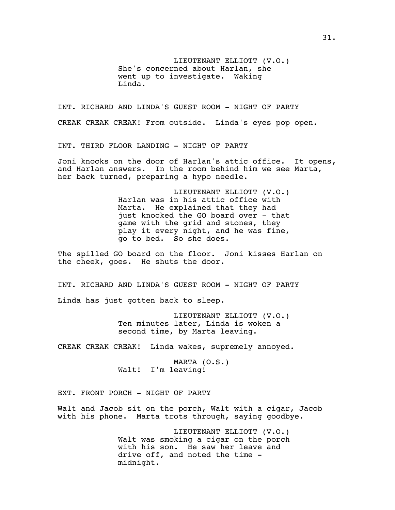LIEUTENANT ELLIOTT (V.O.) She's concerned about Harlan, she went up to investigate. Waking Linda.

INT. RICHARD AND LINDA'S GUEST ROOM - NIGHT OF PARTY CREAK CREAK CREAK! From outside. Linda's eyes pop open.

INT. THIRD FLOOR LANDING - NIGHT OF PARTY

Joni knocks on the door of Harlan's attic office. It opens, and Harlan answers. In the room behind him we see Marta, her back turned, preparing a hypo needle.

> LIEUTENANT ELLIOTT (V.O.) Harlan was in his attic office with Marta. He explained that they had just knocked the GO board over - that game with the grid and stones, they play it every night, and he was fine, go to bed. So she does.

The spilled GO board on the floor. Joni kisses Harlan on the cheek, goes. He shuts the door.

INT. RICHARD AND LINDA'S GUEST ROOM - NIGHT OF PARTY Linda has just gotten back to sleep.

> LIEUTENANT ELLIOTT (V.O.) Ten minutes later, Linda is woken a second time, by Marta leaving.

CREAK CREAK CREAK! Linda wakes, supremely annoyed.

MARTA (O.S.) Walt! I'm leaving!

EXT. FRONT PORCH - NIGHT OF PARTY

Walt and Jacob sit on the porch, Walt with a cigar, Jacob with his phone. Marta trots through, saying goodbye.

> LIEUTENANT ELLIOTT (V.O.) Walt was smoking a cigar on the porch with his son. He saw her leave and drive off, and noted the time midnight.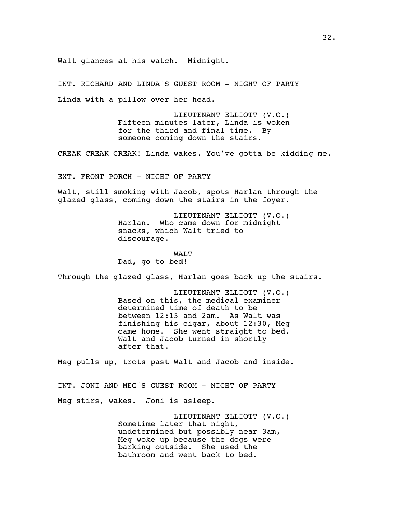Walt glances at his watch. Midnight.

INT. RICHARD AND LINDA'S GUEST ROOM - NIGHT OF PARTY Linda with a pillow over her head.

> LIEUTENANT ELLIOTT (V.O.) Fifteen minutes later, Linda is woken for the third and final time. By someone coming down the stairs.

CREAK CREAK CREAK! Linda wakes. You've gotta be kidding me.

EXT. FRONT PORCH - NIGHT OF PARTY

Walt, still smoking with Jacob, spots Harlan through the glazed glass, coming down the stairs in the foyer.

> LIEUTENANT ELLIOTT (V.O.) Harlan. Who came down for midnight snacks, which Walt tried to discourage.

WALT Dad, go to bed!

Through the glazed glass, Harlan goes back up the stairs.

LIEUTENANT ELLIOTT (V.O.) Based on this, the medical examiner determined time of death to be between 12:15 and 2am. As Walt was finishing his cigar, about 12:30, Meg came home. She went straight to bed. Walt and Jacob turned in shortly after that.

Meg pulls up, trots past Walt and Jacob and inside.

INT. JONI AND MEG'S GUEST ROOM - NIGHT OF PARTY Meg stirs, wakes. Joni is asleep.

> LIEUTENANT ELLIOTT (V.O.) Sometime later that night, undetermined but possibly near 3am, Meg woke up because the dogs were barking outside. She used the bathroom and went back to bed.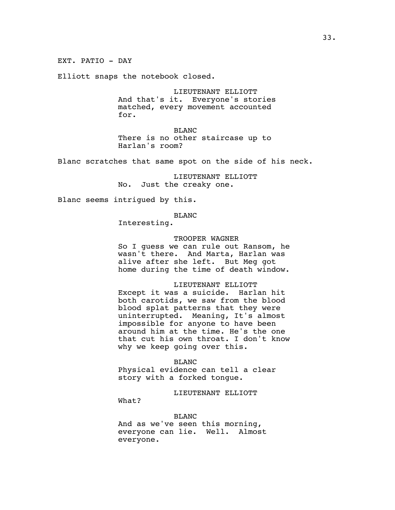Elliott snaps the notebook closed.

LIEUTENANT ELLIOTT And that's it. Everyone's stories matched, every movement accounted for.

BLANC There is no other staircase up to Harlan's room?

Blanc scratches that same spot on the side of his neck.

LIEUTENANT ELLIOTT No. Just the creaky one.

Blanc seems intrigued by this.

BLANC

Interesting.

# TROOPER WAGNER

So I guess we can rule out Ransom, he wasn't there. And Marta, Harlan was alive after she left. But Meg got home during the time of death window.

# LIEUTENANT ELLIOTT

Except it was a suicide. Harlan hit both carotids, we saw from the blood blood splat patterns that they were uninterrupted. Meaning, It's almost impossible for anyone to have been around him at the time. He's the one that cut his own throat. I don't know why we keep going over this.

#### BLANC

Physical evidence can tell a clear story with a forked tongue.

LIEUTENANT ELLIOTT

What?

BLANC

And as we've seen this morning, everyone can lie. Well. Almost everyone.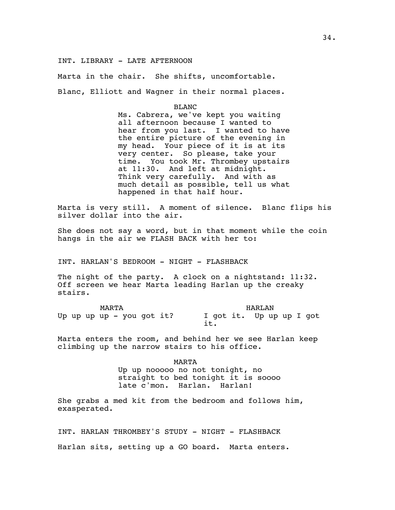INT. LIBRARY - LATE AFTERNOON

Marta in the chair. She shifts, uncomfortable.

Blanc, Elliott and Wagner in their normal places.

BLANC

Ms. Cabrera, we've kept you waiting all afternoon because I wanted to hear from you last. I wanted to have the entire picture of the evening in my head. Your piece of it is at its very center. So please, take your time. You took Mr. Thrombey upstairs at 11:30. And left at midnight. Think very carefully. And with as much detail as possible, tell us what happened in that half hour.

Marta is very still. A moment of silence. Blanc flips his silver dollar into the air.

She does not say a word, but in that moment while the coin hangs in the air we FLASH BACK with her to:

INT. HARLAN'S BEDROOM - NIGHT - FLASHBACK

The night of the party. A clock on a nightstand: 11:32. Off screen we hear Marta leading Harlan up the creaky stairs.

MARTA Up up up up - you got it? I got it. Up up up I got HARLAN it.

Marta enters the room, and behind her we see Harlan keep climbing up the narrow stairs to his office.

> MARTA Up up nooooo no not tonight, no straight to bed tonight it is soooo late c'mon. Harlan. Harlan!

She grabs a med kit from the bedroom and follows him, exasperated.

INT. HARLAN THROMBEY'S STUDY - NIGHT - FLASHBACK Harlan sits, setting up a GO board. Marta enters.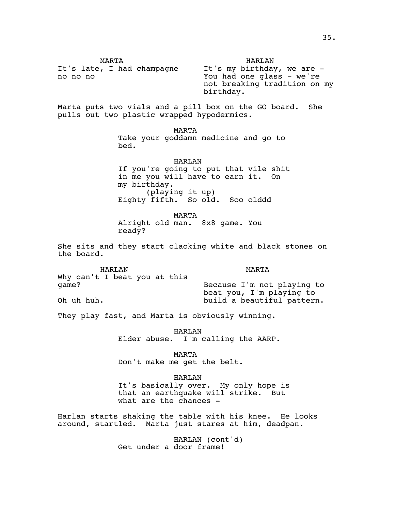MARTA It's late, I had champagne no no no HARLAN It's my birthday, we are - You had one glass - we're not breaking tradition on my birthday.

Marta puts two vials and a pill box on the GO board. She pulls out two plastic wrapped hypodermics.

> MARTA Take your goddamn medicine and go to bed.

HARLAN If you're going to put that vile shit in me you will have to earn it. On my birthday. (playing it up) Eighty fifth. So old. Soo olddd

MARTA Alright old man. 8x8 game. You ready?

She sits and they start clacking white and black stones on the board.

HARLAN Why can't I beat you at this game? Oh uh huh. MARTA Because I'm not playing to beat you, I'm playing to build a beautiful pattern.

They play fast, and Marta is obviously winning.

HARLAN Elder abuse. I'm calling the AARP.

MARTA Don't make me get the belt.

HARLAN It's basically over. My only hope is that an earthquake will strike. But what are the chances -

Harlan starts shaking the table with his knee. He looks around, startled. Marta just stares at him, deadpan.

> HARLAN (cont'd) Get under a door frame!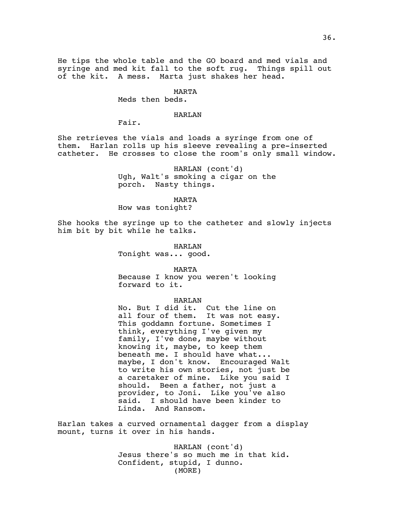He tips the whole table and the GO board and med vials and syringe and med kit fall to the soft rug. Things spill out of the kit. A mess. Marta just shakes her head.

#### MARTA

Meds then beds.

# HARLAN

Fair.

She retrieves the vials and loads a syringe from one of them. Harlan rolls up his sleeve revealing a pre-inserted catheter. He crosses to close the room's only small window.

> HARLAN (cont'd) Ugh, Walt's smoking a cigar on the porch. Nasty things.

> > MARTA

How was tonight?

She hooks the syringe up to the catheter and slowly injects him bit by bit while he talks.

> HARLAN Tonight was... good.

> > MARTA

Because I know you weren't looking forward to it.

#### HARLAN

No. But I did it. Cut the line on all four of them. It was not easy. This goddamn fortune. Sometimes I think, everything I've given my family, I've done, maybe without knowing it, maybe, to keep them beneath me. I should have what... maybe, I don't know. Encouraged Walt to write his own stories, not just be a caretaker of mine. Like you said I should. Been a father, not just a provider, to Joni. Like you've also said. I should have been kinder to Linda. And Ransom.

Harlan takes a curved ornamental dagger from a display mount, turns it over in his hands.

> HARLAN (cont'd) Jesus there's so much me in that kid. Confident, stupid, I dunno. (MORE)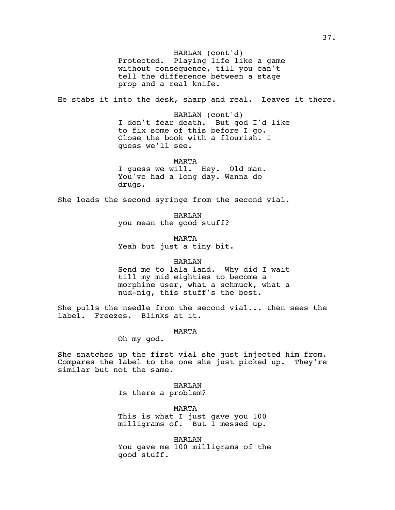Protected. Playing life like a game HARLAN (cont'd) without consequence, till you can't tell the difference between a stage prop and a real knife.

He stabs it into the desk, sharp and real. Leaves it there.

HARLAN (cont'd) I don't fear death. But god I'd like to fix some of this before I go. Close the book with a flourish. I guess we'll see.

MARTA

I guess we will. Hey. Old man. You've had a long day. Wanna do drugs.

She loads the second syringe from the second vial.

HARLAN you mean the good stuff?

MARTA Yeah but just a tiny bit.

HARLAN

Send me to lala land. Why did I wait till my mid eighties to become a morphine user, what a schmuck, what a nud-nig, this stuff's the best.

She pulls the needle from the second vial... then sees the label. Freezes. Blinks at it.

MARTA

Oh my god.

She snatches up the first vial she just injected him from. Compares the label to the one she just picked up. They're similar but not the same.

> HARLAN Is there a problem?

MARTA This is what I just gave you 100 milligrams of. But I messed up.

HARLAN You gave me 100 milligrams of the good stuff.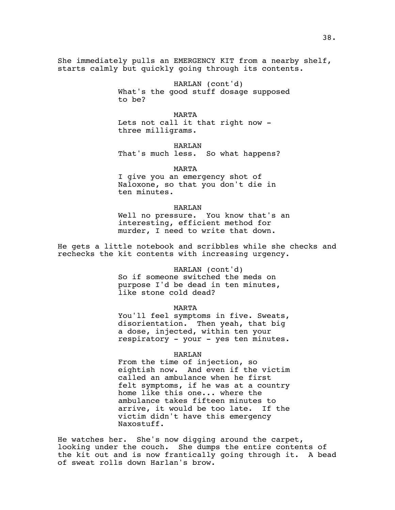She immediately pulls an EMERGENCY KIT from a nearby shelf, starts calmly but quickly going through its contents.

> HARLAN (cont'd) What's the good stuff dosage supposed to be?

MARTA Lets not call it that right now three milligrams.

HARLAN That's much less. So what happens?

MARTA

I give you an emergency shot of Naloxone, so that you don't die in ten minutes.

#### HARLAN

Well no pressure. You know that's an interesting, efficient method for murder, I need to write that down.

He gets a little notebook and scribbles while she checks and rechecks the kit contents with increasing urgency.

#### HARLAN (cont'd)

So if someone switched the meds on purpose I'd be dead in ten minutes, like stone cold dead?

#### MARTA

You'll feel symptoms in five. Sweats, disorientation. Then yeah, that big a dose, injected, within ten your respiratory - your - yes ten minutes.

### HARLAN

From the time of injection, so eightish now. And even if the victim called an ambulance when he first felt symptoms, if he was at a country home like this one... where the ambulance takes fifteen minutes to arrive, it would be too late. If the victim didn't have this emergency Naxostuff.

He watches her. She's now digging around the carpet, looking under the couch. She dumps the entire contents of the kit out and is now frantically going through it. A bead of sweat rolls down Harlan's brow.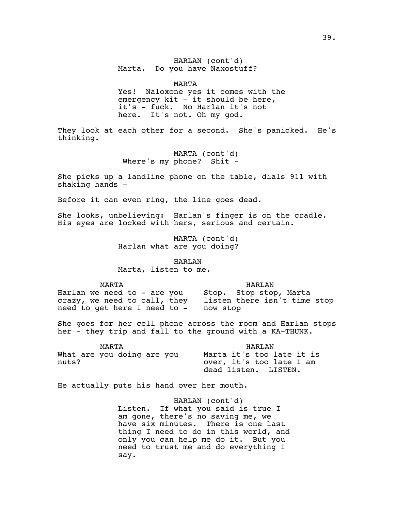# HARLAN (cont'd) Marta. Do you have Naxostuff?

#### MARTA

Yes! Naloxone yes it comes with the emergency kit - it should be here, it's - fuck. No Harlan it's not here. It's not. Oh my god.

They look at each other for a second. She's panicked. He's thinking.

> MARTA (cont'd) Where's my phone? Shit -

She picks up a landline phone on the table, dials 911 with shaking hands -

Before it can even ring, the line goes dead.

She looks, unbelieving: Harlan's finger is on the cradle. His eyes are locked with hers, serious and certain.

> MARTA (cont'd) Harlan what are you doing?

> > HARLAN

Marta, listen to me.

MARTA

HARLAN

Harlan we need to - are you crazy, we need to call, they listen there isn't time stop need to get here I need to - now stop Stop. Stop stop, Marta

She goes for her cell phone across the room and Harlan stops her - they trip and fall to the ground with a KA-THUNK.

| MARTA                      | HART.AN                   |
|----------------------------|---------------------------|
| What are you doing are you | Marta it's too late it is |
| nuts?                      | over, it's too late I am  |
|                            | dead listen. LISTEN.      |

He actually puts his hand over her mouth.

HARLAN (cont'd) Listen. If what you said is true I am gone, there's no saving me, we have six minutes. There is one last thing I need to do in this world, and only you can help me do it. But you need to trust me and do everything I say.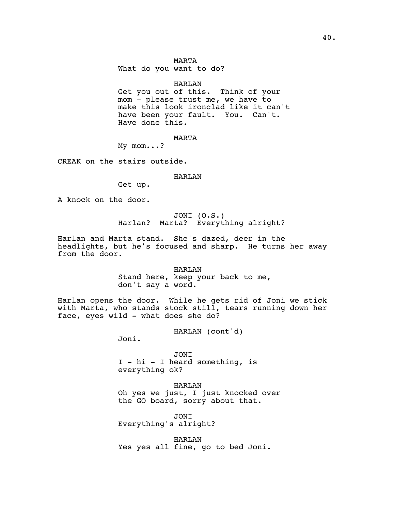What do you want to do?

## HARLAN

Get you out of this. Think of your mom - please trust me, we have to make this look ironclad like it can't have been your fault. You. Can't. Have done this.

MARTA

My mom...?

CREAK on the stairs outside.

### HARLAN

Get up.

A knock on the door.

JONI (O.S.) Harlan? Marta? Everything alright?

Harlan and Marta stand. She's dazed, deer in the headlights, but he's focused and sharp. He turns her away from the door.

HARLAN

Stand here, keep your back to me, don't say a word.

Harlan opens the door. While he gets rid of Joni we stick with Marta, who stands stock still, tears running down her face, eyes wild - what does she do?

HARLAN (cont'd)

Joni.

JONI I - hi - I heard something, is everything ok?

HARLAN Oh yes we just, I just knocked over the GO board, sorry about that.

JONI Everything's alright?

HARLAN Yes yes all fine, go to bed Joni.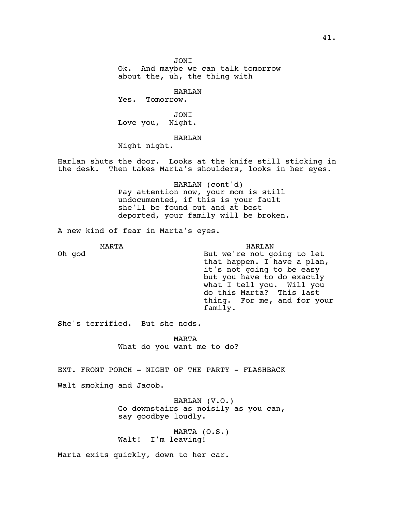JONI Ok. And maybe we can talk tomorrow about the, uh, the thing with

HARLAN

Yes. Tomorrow.

JONI Love you, Night.

HARLAN

Night night.

Harlan shuts the door. Looks at the knife still sticking in the desk. Then takes Marta's shoulders, looks in her eyes.

> HARLAN (cont'd) Pay attention now, your mom is still undocumented, if this is your fault she'll be found out and at best deported, your family will be broken.

A new kind of fear in Marta's eyes.

MARTA Oh god HARLAN But we're not going to let that happen. I have a plan, it's not going to be easy but you have to do exactly what I tell you. Will you do this Marta? This last thing. For me, and for your family.

She's terrified. But she nods.

MARTA What do you want me to do?

EXT. FRONT PORCH - NIGHT OF THE PARTY - FLASHBACK

Walt smoking and Jacob.

HARLAN (V.O.) Go downstairs as noisily as you can, say goodbye loudly.

MARTA (O.S.) Walt! I'm leaving!

Marta exits quickly, down to her car.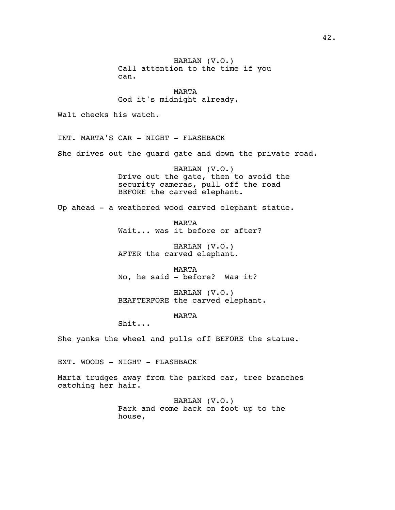HARLAN (V.O.) Call attention to the time if you can.

MARTA God it's midnight already.

Walt checks his watch.

INT. MARTA'S CAR - NIGHT - FLASHBACK

She drives out the guard gate and down the private road.

HARLAN (V.O.) Drive out the gate, then to avoid the security cameras, pull off the road BEFORE the carved elephant.

Up ahead - a weathered wood carved elephant statue.

MARTA Wait... was it before or after?

HARLAN (V.O.) AFTER the carved elephant.

MARTA No, he said - before? Was it?

HARLAN (V.O.) BEAFTERFORE the carved elephant.

MARTA

Shit...

She yanks the wheel and pulls off BEFORE the statue.

EXT. WOODS - NIGHT - FLASHBACK

Marta trudges away from the parked car, tree branches catching her hair.

> HARLAN (V.O.) Park and come back on foot up to the house,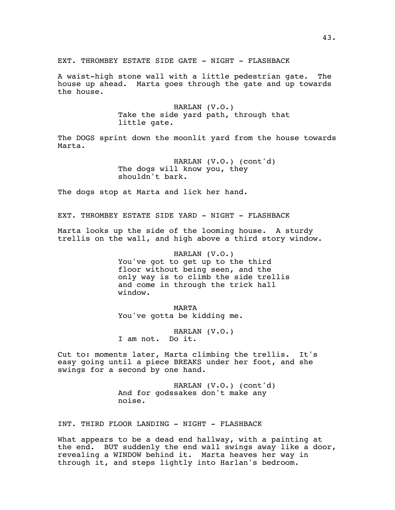EXT. THROMBEY ESTATE SIDE GATE - NIGHT - FLASHBACK

A waist-high stone wall with a little pedestrian gate. The house up ahead. Marta goes through the gate and up towards the house.

> HARLAN (V.O.) Take the side yard path, through that little gate.

The DOGS sprint down the moonlit yard from the house towards Marta.

> HARLAN (V.O.) (cont'd) The dogs will know you, they shouldn't bark.

The dogs stop at Marta and lick her hand.

EXT. THROMBEY ESTATE SIDE YARD - NIGHT - FLASHBACK

Marta looks up the side of the looming house. A sturdy trellis on the wall, and high above a third story window.

> HARLAN (V.O.) You've got to get up to the third floor without being seen, and the only way is to climb the side trellis and come in through the trick hall window.

MARTA You've gotta be kidding me.

HARLAN (V.O.) I am not. Do it.

Cut to: moments later, Marta climbing the trellis. It's easy going until a piece BREAKS under her foot, and she swings for a second by one hand.

> HARLAN (V.O.) (cont'd) And for godssakes don't make any noise.

INT. THIRD FLOOR LANDING - NIGHT - FLASHBACK

What appears to be a dead end hallway, with a painting at the end. BUT suddenly the end wall swings away like a door, revealing a WINDOW behind it. Marta heaves her way in through it, and steps lightly into Harlan's bedroom.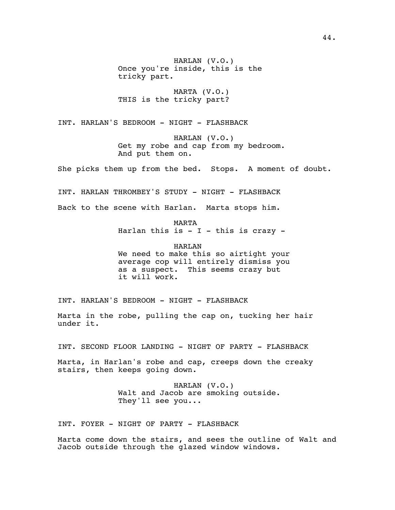HARLAN (V.O.) Once you're inside, this is the tricky part.

MARTA (V.O.) THIS is the tricky part?

INT. HARLAN'S BEDROOM - NIGHT - FLASHBACK

HARLAN (V.O.) Get my robe and cap from my bedroom. And put them on.

She picks them up from the bed. Stops. A moment of doubt.

INT. HARLAN THROMBEY'S STUDY - NIGHT - FLASHBACK

Back to the scene with Harlan. Marta stops him.

MARTA

Harlan this is  $-$  I  $-$  this is crazy  $-$ 

HARLAN We need to make this so airtight your average cop will entirely dismiss you as a suspect. This seems crazy but it will work.

INT. HARLAN'S BEDROOM - NIGHT - FLASHBACK

Marta in the robe, pulling the cap on, tucking her hair under it.

INT. SECOND FLOOR LANDING - NIGHT OF PARTY - FLASHBACK

Marta, in Harlan's robe and cap, creeps down the creaky stairs, then keeps going down.

> HARLAN (V.O.) Walt and Jacob are smoking outside. They'll see you...

INT. FOYER - NIGHT OF PARTY - FLASHBACK

Marta come down the stairs, and sees the outline of Walt and Jacob outside through the glazed window windows.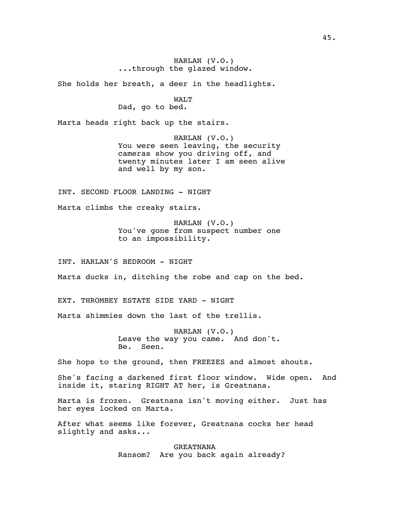## HARLAN (V.O.) ...through the glazed window.

She holds her breath, a deer in the headlights.

## WALT

Dad, go to bed.

Marta heads right back up the stairs.

HARLAN (V.O.) You were seen leaving, the security cameras show you driving off, and twenty minutes later I am seen alive and well by my son.

INT. SECOND FLOOR LANDING - NIGHT

Marta climbs the creaky stairs.

HARLAN (V.O.) You've gone from suspect number one to an impossibility.

INT. HARLAN'S BEDROOM - NIGHT

Marta ducks in, ditching the robe and cap on the bed.

EXT. THROMBEY ESTATE SIDE YARD - NIGHT

Marta shimmies down the last of the trellis.

HARLAN (V.O.) Leave the way you came. And don't. Be. Seen.

She hops to the ground, then FREEZES and almost shouts.

She's facing a darkened first floor window. Wide open. And inside it, staring RIGHT AT her, is Greatnana.

Marta is frozen. Greatnana isn't moving either. Just has her eyes locked on Marta.

After what seems like forever, Greatnana cocks her head slightly and asks...

> GREATNANA Ransom? Are you back again already?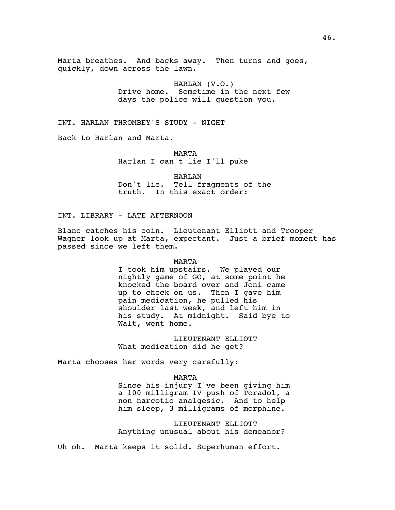Marta breathes. And backs away. Then turns and goes, quickly, down across the lawn.

> HARLAN (V.O.) Drive home. Sometime in the next few days the police will question you.

INT. HARLAN THROMBEY'S STUDY - NIGHT

Back to Harlan and Marta.

MARTA Harlan I can't lie I'll puke

HARLAN Don't lie. Tell fragments of the truth. In this exact order:

INT. LIBRARY - LATE AFTERNOON

Blanc catches his coin. Lieutenant Elliott and Trooper Wagner look up at Marta, expectant. Just a brief moment has passed since we left them.

#### MARTA

I took him upstairs. We played our nightly game of GO, at some point he knocked the board over and Joni came up to check on us. Then I gave him pain medication, he pulled his shoulder last week, and left him in his study. At midnight. Said bye to Walt, went home.

LIEUTENANT ELLIOTT What medication did he get?

Marta chooses her words very carefully:

#### MARTA

Since his injury I've been giving him a 100 milligram IV push of Toradol, a non narcotic analgesic. And to help him sleep, 3 milligrams of morphine.

LIEUTENANT ELLIOTT Anything unusual about his demeanor?

Uh oh. Marta keeps it solid. Superhuman effort.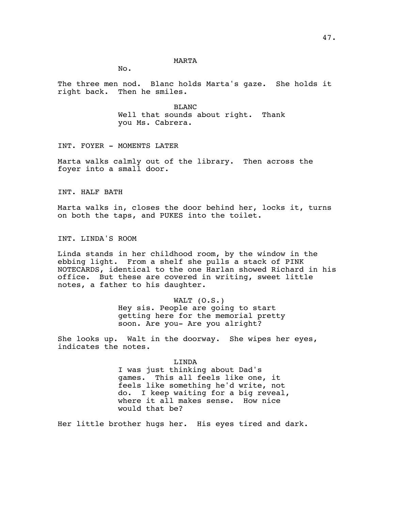#### MARTA

No.

The three men nod. Blanc holds Marta's gaze. She holds it right back. Then he smiles.

> BLANC Well that sounds about right. Thank you Ms. Cabrera.

INT. FOYER - MOMENTS LATER

Marta walks calmly out of the library. Then across the foyer into a small door.

INT. HALF BATH

Marta walks in, closes the door behind her, locks it, turns on both the taps, and PUKES into the toilet.

INT. LINDA'S ROOM

Linda stands in her childhood room, by the window in the ebbing light. From a shelf she pulls a stack of PINK NOTECARDS, identical to the one Harlan showed Richard in his office. But these are covered in writing, sweet little notes, a father to his daughter.

WALT (O.S.)

Hey sis. People are going to start getting here for the memorial pretty soon. Are you- Are you alright?

She looks up. Walt in the doorway. She wipes her eyes, indicates the notes.

> LINDA I was just thinking about Dad's games. This all feels like one, it feels like something he'd write, not do. I keep waiting for a big reveal, where it all makes sense. How nice would that be?

Her little brother hugs her. His eyes tired and dark.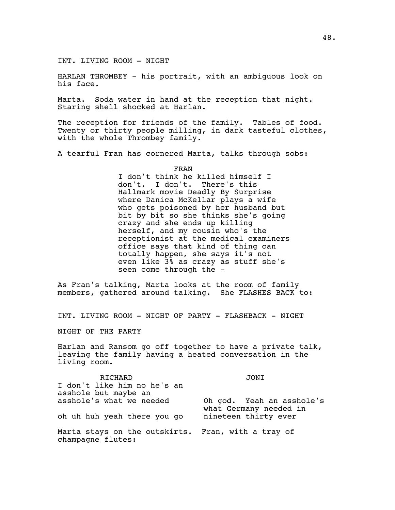INT. LIVING ROOM - NIGHT

HARLAN THROMBEY - his portrait, with an ambiguous look on his face.

Marta. Soda water in hand at the reception that night. Staring shell shocked at Harlan.

The reception for friends of the family. Tables of food. Twenty or thirty people milling, in dark tasteful clothes, with the whole Thrombey family.

A tearful Fran has cornered Marta, talks through sobs:

FRAN

I don't think he killed himself I don't. I don't. There's this Hallmark movie Deadly By Surprise where Danica McKellar plays a wife who gets poisoned by her husband but bit by bit so she thinks she's going crazy and she ends up killing herself, and my cousin who's the receptionist at the medical examiners office says that kind of thing can totally happen, she says it's not even like 3% as crazy as stuff she's seen come through the -

As Fran's talking, Marta looks at the room of family members, gathered around talking. She FLASHES BACK to:

INT. LIVING ROOM - NIGHT OF PARTY - FLASHBACK - NIGHT

NIGHT OF THE PARTY

Harlan and Ransom go off together to have a private talk, leaving the family having a heated conversation in the living room.

RICHARD I don't like him no he's an asshole but maybe an asshole's what we needed oh uh huh yeah there you go JONI Oh god. Yeah an asshole's what Germany needed in nineteen thirty ever Marta stays on the outskirts. Fran, with a tray of champagne flutes: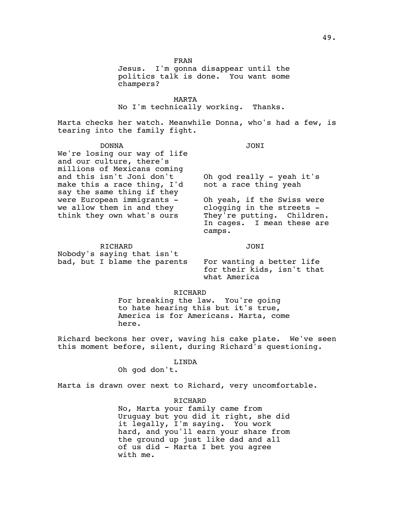FRAN

Jesus. I'm gonna disappear until the politics talk is done. You want some champers?

MARTA No I'm technically working. Thanks.

Marta checks her watch. Meanwhile Donna, who's had a few, is tearing into the family fight.

## DONNA

We're losing our way of life and our culture, there's millions of Mexicans coming and this isn't Joni don't make this a race thing, I'd say the same thing if they were European immigrants we allow them in and they

JONI

Oh god really - yeah it's not a race thing yeah

Oh yeah, if the Swiss were clogging in the streets - They're putting. Children. In cages. I mean these are camps.

RICHARD

think they own what's ours

JONI

Nobody's saying that isn't bad, but I blame the parents

For wanting a better life for their kids, isn't that what America

# RICHARD

For breaking the law. You're going to hate hearing this but it's true, America is for Americans. Marta, come here.

Richard beckons her over, waving his cake plate. We've seen this moment before, silent, during Richard's questioning.

# LINDA

Oh god don't.

Marta is drawn over next to Richard, very uncomfortable.

### RICHARD

No, Marta your family came from Uruguay but you did it right, she did it legally, I'm saying. You work hard, and you'll earn your share from the ground up just like dad and all of us did - Marta I bet you agree with me.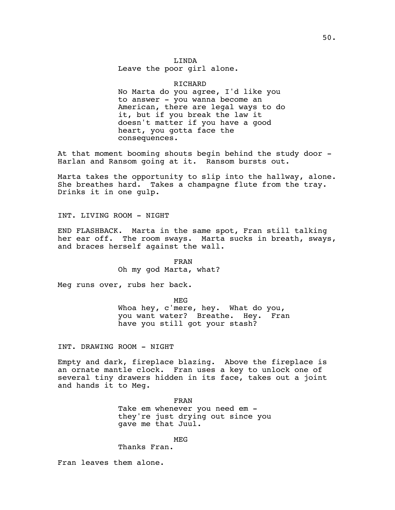LINDA Leave the poor girl alone.

## RICHARD

No Marta do you agree, I'd like you to answer - you wanna become an American, there are legal ways to do it, but if you break the law it doesn't matter if you have a good heart, you gotta face the consequences.

At that moment booming shouts begin behind the study door -Harlan and Ransom going at it. Ransom bursts out.

Marta takes the opportunity to slip into the hallway, alone. She breathes hard. Takes a champagne flute from the tray. Drinks it in one gulp.

INT. LIVING ROOM - NIGHT

END FLASHBACK. Marta in the same spot, Fran still talking her ear off. The room sways. Marta sucks in breath, sways, and braces herself against the wall.

> FRAN Oh my god Marta, what?

Meg runs over, rubs her back.

MEG

Whoa hey, c'mere, hey. What do you, you want water? Breathe. Hey. Fran have you still got your stash?

INT. DRAWING ROOM - NIGHT

Empty and dark, fireplace blazing. Above the fireplace is an ornate mantle clock. Fran uses a key to unlock one of several tiny drawers hidden in its face, takes out a joint and hands it to Meg.

> FRAN Take em whenever you need em they're just drying out since you gave me that Juul.

> > MEG

Thanks Fran.

Fran leaves them alone.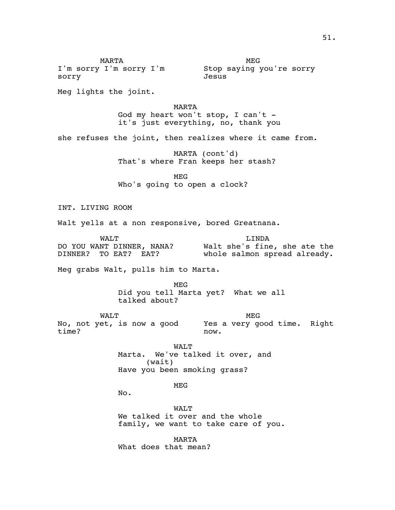MARTA I'm sorry I'm sorry I'm Stop saying you're sorry sorry MEG Jesus Meg lights the joint. MARTA God my heart won't stop, I can't it's just everything, no, thank you she refuses the joint, then realizes where it came from. MARTA (cont'd) That's where Fran keeps her stash? MEG Who's going to open a clock? INT. LIVING ROOM Walt yells at a non responsive, bored Greatnana. WALT DO YOU WANT DINNER, NANA? DINNER? TO EAT? EAT? LINDA Walt she's fine, she ate the whole salmon spread already. Meg grabs Walt, pulls him to Marta. MEG Did you tell Marta yet? What we all talked about? WALT No, not yet, is now a good Yes a very good time. Right time? MEG now. WALT Marta. We've talked it over, and (wait) Have you been smoking grass? MEG No. WALT We talked it over and the whole family, we want to take care of you. MARTA What does that mean?

51.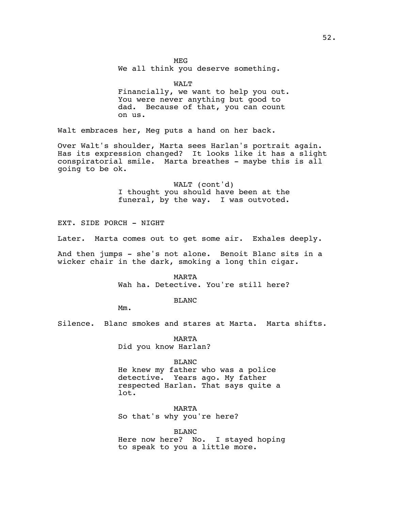MEG

We all think you deserve something.

WALT

Financially, we want to help you out. You were never anything but good to dad. Because of that, you can count on us.

Walt embraces her, Meg puts a hand on her back.

Over Walt's shoulder, Marta sees Harlan's portrait again. Has its expression changed? It looks like it has a slight conspiratorial smile. Marta breathes - maybe this is all going to be ok.

> WALT (cont'd) I thought you should have been at the funeral, by the way. I was outvoted.

EXT. SIDE PORCH - NIGHT

Later. Marta comes out to get some air. Exhales deeply.

And then jumps - she's not alone. Benoit Blanc sits in a wicker chair in the dark, smoking a long thin cigar.

> MARTA Wah ha. Detective. You're still here?

> > BLANC

Mm.

Silence. Blanc smokes and stares at Marta. Marta shifts.

MARTA Did you know Harlan?

BLANC

He knew my father who was a police detective. Years ago. My father respected Harlan. That says quite a lot.

MARTA So that's why you're here?

BLANC Here now here? No. I stayed hoping to speak to you a little more.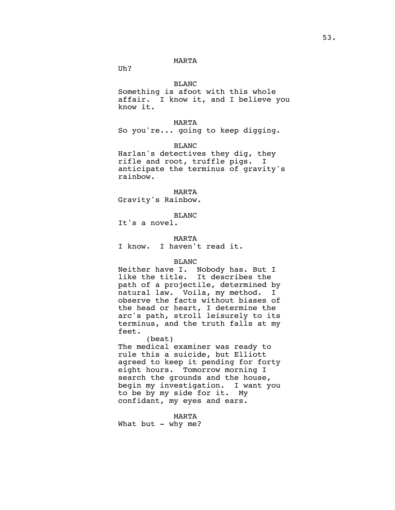#### MARTA

Uh?

BLANC

Something is afoot with this whole affair. I know it, and I believe you know it.

MARTA

So you're... going to keep digging.

BLANC

Harlan's detectives they dig, they rifle and root, truffle pigs. I anticipate the terminus of gravity's rainbow.

MARTA Gravity's Rainbow.

BLANC

It's a novel.

MARTA

I know. I haven't read it.

## BLANC

Neither have I. Nobody has. But I like the title. It describes the path of a projectile, determined by natural law. Voila, my method. I observe the facts without biases of the head or heart, I determine the arc's path, stroll leisurely to its terminus, and the truth falls at my feet.

(beat) The medical examiner was ready to rule this a suicide, but Elliott agreed to keep it pending for forty eight hours. Tomorrow morning I search the grounds and the house, begin my investigation. I want you to be by my side for it. My confidant, my eyes and ears.

MARTA

What but - why me?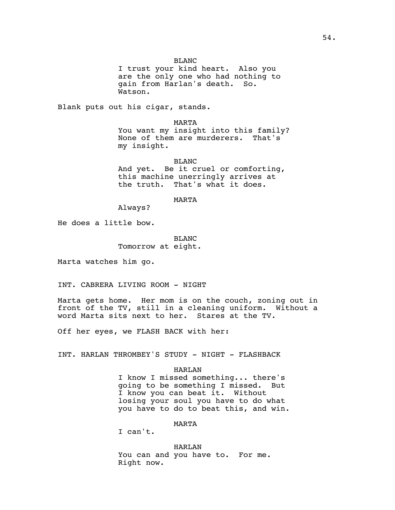I trust your kind heart. Also you are the only one who had nothing to gain from Harlan's death. So. Watson.

Blank puts out his cigar, stands.

#### MARTA

You want my insight into this family? None of them are murderers. That's my insight.

BLANC And yet. Be it cruel or comforting, this machine unerringly arrives at the truth. That's what it does.

## MARTA

Always?

He does a little bow.

BLANC Tomorrow at eight.

Marta watches him go.

INT. CABRERA LIVING ROOM - NIGHT

Marta gets home. Her mom is on the couch, zoning out in front of the TV, still in a cleaning uniform. Without a word Marta sits next to her. Stares at the TV.

Off her eyes, we FLASH BACK with her:

INT. HARLAN THROMBEY'S STUDY - NIGHT - FLASHBACK

### HARLAN

I know I missed something... there's going to be something I missed. But I know you can beat it. Without losing your soul you have to do what you have to do to beat this, and win.

## MARTA

I can't.

HARLAN You can and you have to. For me. Right now.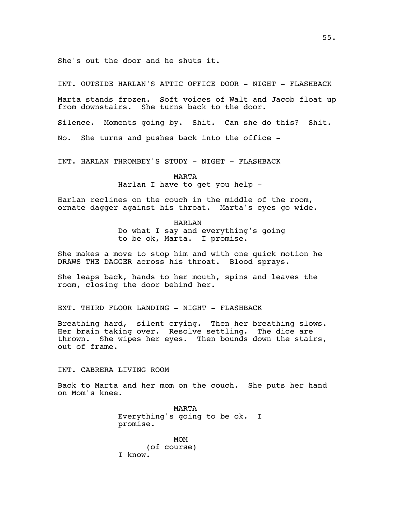She's out the door and he shuts it.

INT. OUTSIDE HARLAN'S ATTIC OFFICE DOOR - NIGHT - FLASHBACK

Marta stands frozen. Soft voices of Walt and Jacob float up from downstairs. She turns back to the door.

Silence. Moments going by. Shit. Can she do this? Shit.

No. She turns and pushes back into the office -

INT. HARLAN THROMBEY'S STUDY - NIGHT - FLASHBACK

### MARTA

Harlan I have to get you help -

Harlan reclines on the couch in the middle of the room, ornate dagger against his throat. Marta's eyes go wide.

## HARLAN

Do what I say and everything's going to be ok, Marta. I promise.

She makes a move to stop him and with one quick motion he DRAWS THE DAGGER across his throat. Blood sprays.

She leaps back, hands to her mouth, spins and leaves the room, closing the door behind her.

EXT. THIRD FLOOR LANDING - NIGHT - FLASHBACK

Breathing hard, silent crying. Then her breathing slows. Her brain taking over. Resolve settling. The dice are thrown. She wipes her eyes. Then bounds down the stairs, out of frame.

INT. CABRERA LIVING ROOM

Back to Marta and her mom on the couch. She puts her hand on Mom's knee.

> MARTA Everything's going to be ok. I promise.

MOM (of course) I know.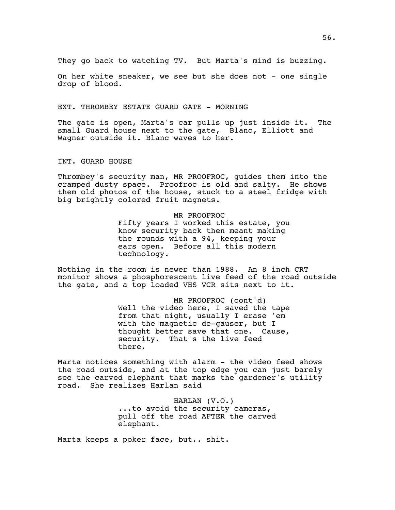They go back to watching TV. But Marta's mind is buzzing.

On her white sneaker, we see but she does not - one single drop of blood.

#### EXT. THROMBEY ESTATE GUARD GATE - MORNING

The gate is open, Marta's car pulls up just inside it. The small Guard house next to the gate, Blanc, Elliott and Wagner outside it. Blanc waves to her.

INT. GUARD HOUSE

Thrombey's security man, MR PROOFROC, guides them into the cramped dusty space. Proofroc is old and salty. He shows them old photos of the house, stuck to a steel fridge with big brightly colored fruit magnets.

> MR PROOFROC Fifty years I worked this estate, you know security back then meant making the rounds with a 94, keeping your ears open. Before all this modern technology.

Nothing in the room is newer than 1988. An 8 inch CRT monitor shows a phosphorescent live feed of the road outside the gate, and a top loaded VHS VCR sits next to it.

> MR PROOFROC (cont'd) Well the video here, I saved the tape from that night, usually I erase 'em with the magnetic de-gauser, but I thought better save that one. Cause, security. That's the live feed there.

Marta notices something with alarm - the video feed shows the road outside, and at the top edge you can just barely see the carved elephant that marks the gardener's utility road. She realizes Harlan said

> HARLAN (V.O.) ...to avoid the security cameras, pull off the road AFTER the carved elephant.

Marta keeps a poker face, but.. shit.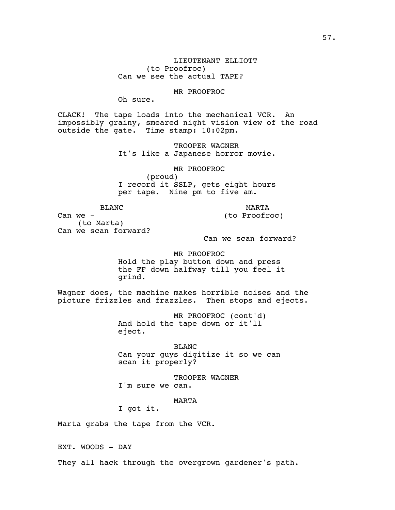LIEUTENANT ELLIOTT (to Proofroc) Can we see the actual TAPE?

## MR PROOFROC

Oh sure.

CLACK! The tape loads into the mechanical VCR. An impossibly grainy, smeared night vision view of the road outside the gate. Time stamp: 10:02pm.

> TROOPER WAGNER It's like a Japanese horror movie.

> MR PROOFROC (proud) I record it SSLP, gets eight hours per tape. Nine pm to five am.

BLANC

MARTA

(to Proofroc)

Can we - (to Marta) Can we scan forward?

Can we scan forward?

#### MR PROOFROC

Hold the play button down and press the FF down halfway till you feel it grind.

Wagner does, the machine makes horrible noises and the picture frizzles and frazzles. Then stops and ejects.

> MR PROOFROC (cont'd) And hold the tape down or it'll eject.

BLANC Can your guys digitize it so we can scan it properly?

TROOPER WAGNER I'm sure we can.

MARTA

I got it.

Marta grabs the tape from the VCR.

EXT. WOODS - DAY

They all hack through the overgrown gardener's path.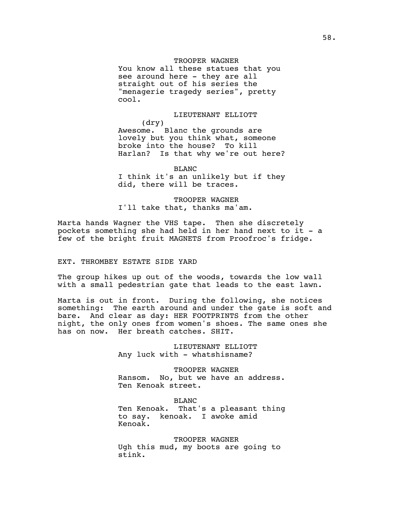## TROOPER WAGNER

You know all these statues that you see around here - they are all straight out of his series the "menagerie tragedy series", pretty cool.

# LIEUTENANT ELLIOTT

 (dry) Awesome. Blanc the grounds are lovely but you think what, someone broke into the house? To kill Harlan? Is that why we're out here?

BLANC

I think it's an unlikely but if they did, there will be traces.

TROOPER WAGNER I'll take that, thanks ma'am.

Marta hands Wagner the VHS tape. Then she discretely pockets something she had held in her hand next to it - a few of the bright fruit MAGNETS from Proofroc's fridge.

## EXT. THROMBEY ESTATE SIDE YARD

The group hikes up out of the woods, towards the low wall with a small pedestrian gate that leads to the east lawn.

Marta is out in front. During the following, she notices something: The earth around and under the gate is soft and bare. And clear as day: HER FOOTPRINTS from the other night, the only ones from women's shoes. The same ones she has on now. Her breath catches. SHIT.

> LIEUTENANT ELLIOTT Any luck with - whatshisname?

TROOPER WAGNER Ransom. No, but we have an address. Ten Kenoak street.

BLANC Ten Kenoak. That's a pleasant thing to say. kenoak. I awoke amid Kenoak.

TROOPER WAGNER Ugh this mud, my boots are going to stink.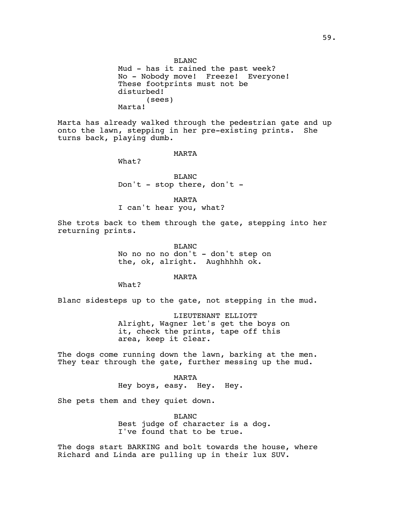BLANC Mud - has it rained the past week? No - Nobody move! Freeze! Everyone! These footprints must not be disturbed! (sees) Marta!

Marta has already walked through the pedestrian gate and up onto the lawn, stepping in her pre-existing prints. She turns back, playing dumb.

MARTA

What?

BLANC Don't - stop there, don't -

MARTA

I can't hear you, what?

She trots back to them through the gate, stepping into her returning prints.

> BLANC No no no no don't - don't step on the, ok, alright. Aughhhhh ok.

> > MARTA

What?

Blanc sidesteps up to the gate, not stepping in the mud.

LIEUTENANT ELLIOTT Alright, Wagner let's get the boys on it, check the prints, tape off this area, keep it clear.

The dogs come running down the lawn, barking at the men. They tear through the gate, further messing up the mud.

> MARTA Hey boys, easy. Hey. Hey.

She pets them and they quiet down.

BLANC Best judge of character is a dog. I've found that to be true.

The dogs start BARKING and bolt towards the house, where Richard and Linda are pulling up in their lux SUV.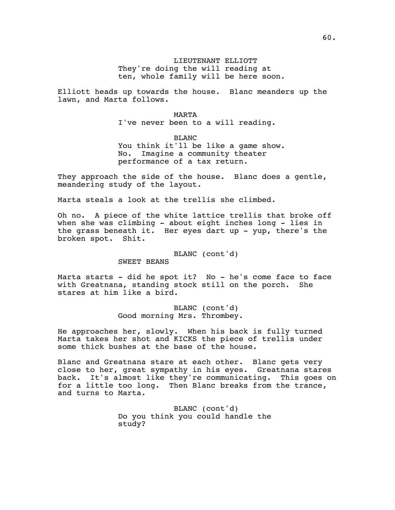LIEUTENANT ELLIOTT They're doing the will reading at ten, whole family will be here soon.

Elliott heads up towards the house. Blanc meanders up the lawn, and Marta follows.

#### MARTA

I've never been to a will reading.

BLANC You think it'll be like a game show. No. Imagine a community theater performance of a tax return.

They approach the side of the house. Blanc does a gentle, meandering study of the layout.

Marta steals a look at the trellis she climbed.

Oh no. A piece of the white lattice trellis that broke off when she was climbing - about eight inches long - lies in the grass beneath it. Her eyes dart up - yup, there's the broken spot. Shit.

BLANC (cont'd)

SWEET BEANS

Marta starts - did he spot it? No - he's come face to face with Greatnana, standing stock still on the porch. She stares at him like a bird.

> BLANC (cont'd) Good morning Mrs. Thrombey.

He approaches her, slowly. When his back is fully turned Marta takes her shot and KICKS the piece of trellis under some thick bushes at the base of the house.

Blanc and Greatnana stare at each other. Blanc gets very close to her, great sympathy in his eyes. Greatnana stares back. It's almost like they're communicating. This goes on for a little too long. Then Blanc breaks from the trance, and turns to Marta.

> BLANC (cont'd) Do you think you could handle the study?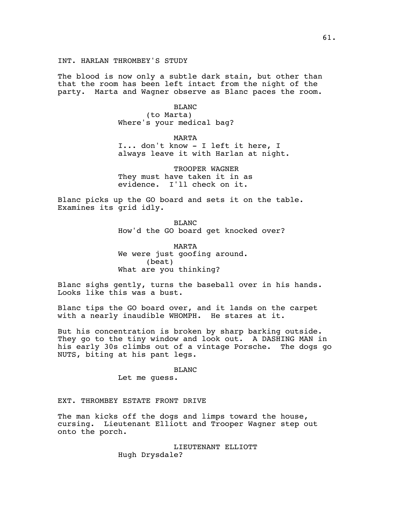The blood is now only a subtle dark stain, but other than that the room has been left intact from the night of the party. Marta and Wagner observe as Blanc paces the room.

> BLANC (to Marta) Where's your medical bag?

> > MARTA

I... don't know - I left it here, I always leave it with Harlan at night.

TROOPER WAGNER They must have taken it in as evidence. I'll check on it.

Blanc picks up the GO board and sets it on the table. Examines its grid idly.

> BLANC How'd the GO board get knocked over?

MARTA We were just goofing around. (beat) What are you thinking?

Blanc sighs gently, turns the baseball over in his hands. Looks like this was a bust.

Blanc tips the GO board over, and it lands on the carpet with a nearly inaudible WHOMPH. He stares at it.

But his concentration is broken by sharp barking outside. They go to the tiny window and look out. A DASHING MAN in his early 30s climbs out of a vintage Porsche. The dogs go NUTS, biting at his pant legs.

BLANC

Let me guess.

EXT. THROMBEY ESTATE FRONT DRIVE

The man kicks off the dogs and limps toward the house, cursing. Lieutenant Elliott and Trooper Wagner step out onto the porch.

> LIEUTENANT ELLIOTT Hugh Drysdale?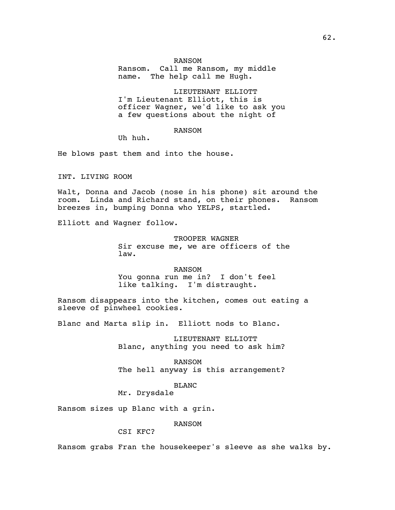#### RANSOM

Ransom. Call me Ransom, my middle name. The help call me Hugh.

LIEUTENANT ELLIOTT I'm Lieutenant Elliott, this is officer Wagner, we'd like to ask you a few questions about the night of

### RANSOM

Uh huh.

He blows past them and into the house.

INT. LIVING ROOM

Walt, Donna and Jacob (nose in his phone) sit around the room. Linda and Richard stand, on their phones. Ransom breezes in, bumping Donna who YELPS, startled.

Elliott and Wagner follow.

TROOPER WAGNER Sir excuse me, we are officers of the law.

RANSOM You gonna run me in? I don't feel like talking. I'm distraught.

Ransom disappears into the kitchen, comes out eating a sleeve of pinwheel cookies.

Blanc and Marta slip in. Elliott nods to Blanc.

LIEUTENANT ELLIOTT Blanc, anything you need to ask him?

RANSOM The hell anyway is this arrangement?

BLANC

Mr. Drysdale

Ransom sizes up Blanc with a grin.

RANSOM

# CSI KFC?

Ransom grabs Fran the housekeeper's sleeve as she walks by.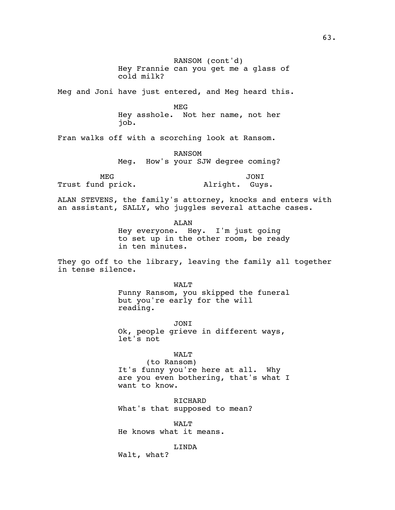RANSOM (cont'd) Hey Frannie can you get me a glass of cold milk? Meg and Joni have just entered, and Meg heard this. MEG Hey asshole. Not her name, not her job.

Fran walks off with a scorching look at Ransom.

RANSOM Meg. How's your SJW degree coming?

MEG

Trust fund prick.

JONI Alright. Guys.

ALAN STEVENS, the family's attorney, knocks and enters with an assistant, SALLY, who juggles several attache cases.

> ALAN Hey everyone. Hey. I'm just going to set up in the other room, be ready in ten minutes.

They go off to the library, leaving the family all together in tense silence.

> WALT Funny Ransom, you skipped the funeral but you're early for the will reading.

JONI Ok, people grieve in different ways, let's not

WALT

(to Ransom) It's funny you're here at all. Why are you even bothering, that's what I want to know.

RICHARD What's that supposed to mean?

WALT He knows what it means.

LINDA

Walt, what?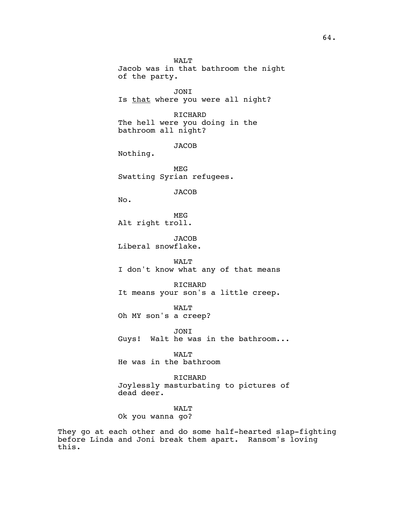WALT Jacob was in that bathroom the night of the party. JONI Is that where you were all night? RICHARD The hell were you doing in the bathroom all night? JACOB Nothing. MEG Swatting Syrian refugees. JACOB No. MEG Alt right troll. JACOB Liberal snowflake. WALT I don't know what any of that means RICHARD It means your son's a little creep. WALT Oh MY son's a creep? JONI Guys! Walt he was in the bathroom... WALT He was in the bathroom RICHARD Joylessly masturbating to pictures of dead deer.

WALT

Ok you wanna go?

They go at each other and do some half-hearted slap-fighting before Linda and Joni break them apart. Ransom's loving this.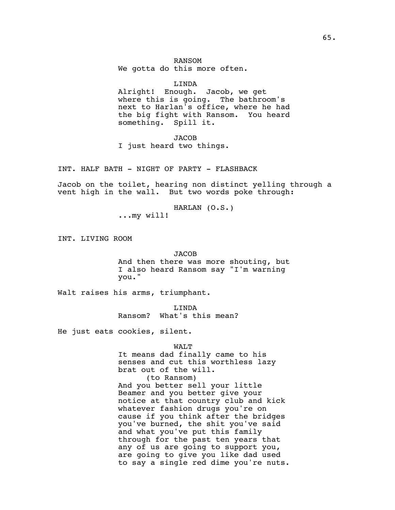# RANSOM We gotta do this more often.

## LINDA

Alright! Enough. Jacob, we get where this is going. The bathroom's next to Harlan's office, where he had the big fight with Ransom. You heard something. Spill it.

JACOB

I just heard two things.

INT. HALF BATH - NIGHT OF PARTY - FLASHBACK

Jacob on the toilet, hearing non distinct yelling through a vent high in the wall. But two words poke through:

> HARLAN (O.S.) ...my will!

INT. LIVING ROOM

# JACOB

And then there was more shouting, but I also heard Ransom say "I'm warning you."

Walt raises his arms, triumphant.

LINDA Ransom? What's this mean?

He just eats cookies, silent.

#### WALT

It means dad finally came to his senses and cut this worthless lazy brat out of the will. (to Ransom) And you better sell your little Beamer and you better give your notice at that country club and kick whatever fashion drugs you're on cause if you think after the bridges you've burned, the shit you've said and what you've put this family through for the past ten years that any of us are going to support you, are going to give you like dad used to say a single red dime you're nuts.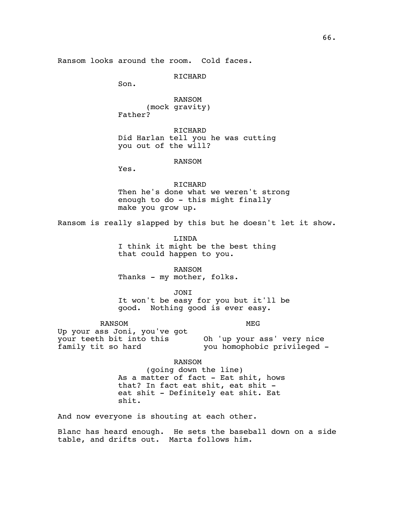RICHARD

Son.

RANSOM (mock gravity) Father?

RICHARD Did Harlan tell you he was cutting you out of the will?

#### RANSOM

Yes.

RICHARD Then he's done what we weren't strong enough to do - this might finally make you grow up.

Ransom is really slapped by this but he doesn't let it show.

LINDA I think it might be the best thing that could happen to you.

RANSOM Thanks - my mother, folks.

JONI

It won't be easy for you but it'll be good. Nothing good is ever easy.

RANSOM

MEG

Up your ass Joni, you've got your teeth bit into this family tit so hard Oh 'up your ass' very nice you homophobic privileged -

RANSOM

(going down the line) As a matter of fact - Eat shit, hows that? In fact eat shit, eat shit eat shit - Definitely eat shit. Eat shit.

And now everyone is shouting at each other.

Blanc has heard enough. He sets the baseball down on a side table, and drifts out. Marta follows him.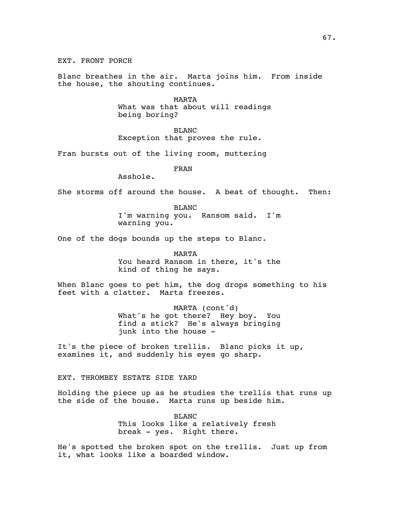EXT. FRONT PORCH

Blanc breathes in the air. Marta joins him. From inside the house, the shouting continues.

> MARTA What was that about will readings being boring?

BLANC Exception that proves the rule.

Fran bursts out of the living room, muttering

FRAN

Asshole.

She storms off around the house. A beat of thought. Then:

BLANC I'm warning you. Ransom said. I'm warning you.

One of the dogs bounds up the steps to Blanc.

MARTA

You heard Ransom in there, it's the kind of thing he says.

When Blanc goes to pet him, the dog drops something to his feet with a clatter. Marta freezes.

> MARTA (cont'd) What's he got there? Hey boy. You find a stick? He's always bringing junk into the house -

It's the piece of broken trellis. Blanc picks it up, examines it, and suddenly his eyes go sharp.

EXT. THROMBEY ESTATE SIDE YARD

Holding the piece up as he studies the trellis that runs up the side of the house. Marta runs up beside him.

> BLANC This looks like a relatively fresh break - yes. Right there.

He's spotted the broken spot on the trellis. Just up from it, what looks like a boarded window.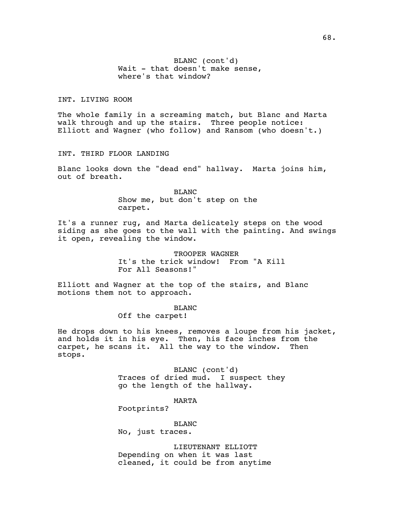BLANC (cont'd) Wait - that doesn't make sense, where's that window?

# INT. LIVING ROOM

The whole family in a screaming match, but Blanc and Marta walk through and up the stairs. Three people notice: Elliott and Wagner (who follow) and Ransom (who doesn't.)

# INT. THIRD FLOOR LANDING

Blanc looks down the "dead end" hallway. Marta joins him, out of breath.

> BLANC Show me, but don't step on the carpet.

It's a runner rug, and Marta delicately steps on the wood siding as she goes to the wall with the painting. And swings it open, revealing the window.

> TROOPER WAGNER It's the trick window! From "A Kill For All Seasons!"

Elliott and Wagner at the top of the stairs, and Blanc motions them not to approach.

BLANC

Off the carpet!

He drops down to his knees, removes a loupe from his jacket, and holds it in his eye. Then, his face inches from the carpet, he scans it. All the way to the window. Then stops.

> BLANC (cont'd) Traces of dried mud. I suspect they go the length of the hallway.

> > MARTA

Footprints?

BLANC No, just traces.

LIEUTENANT ELLIOTT Depending on when it was last cleaned, it could be from anytime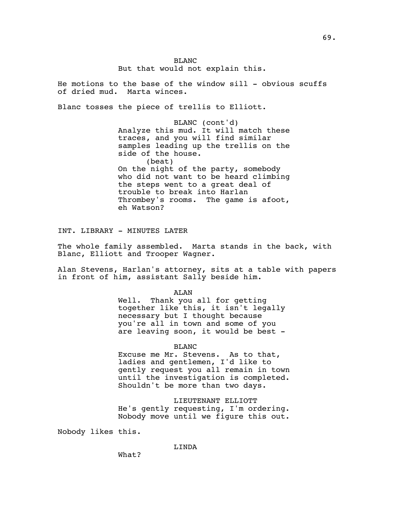He motions to the base of the window sill - obvious scuffs of dried mud. Marta winces.

Blanc tosses the piece of trellis to Elliott.

BLANC (cont'd) Analyze this mud. It will match these traces, and you will find similar samples leading up the trellis on the side of the house. (beat) On the night of the party, somebody who did not want to be heard climbing the steps went to a great deal of trouble to break into Harlan Thrombey's rooms. The game is afoot, eh Watson?

INT. LIBRARY - MINUTES LATER

The whole family assembled. Marta stands in the back, with Blanc, Elliott and Trooper Wagner.

Alan Stevens, Harlan's attorney, sits at a table with papers in front of him, assistant Sally beside him.

ALAN

Well. Thank you all for getting together like this, it isn't legally necessary but I thought because you're all in town and some of you are leaving soon, it would be best -

BLANC

Excuse me Mr. Stevens. As to that, ladies and gentlemen, I'd like to gently request you all remain in town until the investigation is completed. Shouldn't be more than two days.

LIEUTENANT ELLIOTT He's gently requesting, I'm ordering. Nobody move until we figure this out.

Nobody likes this.

LINDA

69.

What?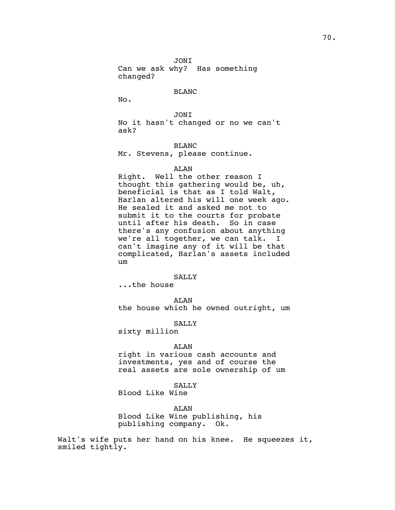Can we ask why? Has something changed?

## BLANC

No.

JONI No it hasn't changed or no we can't ask?

## BLANC

Mr. Stevens, please continue.

## ALAN

Right. Well the other reason I thought this gathering would be, uh, beneficial is that as I told Walt, Harlan altered his will one week ago. He sealed it and asked me not to submit it to the courts for probate until after his death. So in case there's any confusion about anything we're all together, we can talk. I can't imagine any of it will be that complicated, Harlan's assets included um

## SALLY

...the house

ALAN the house which he owned outright, um

# SALLY

sixty million

### ALAN

right in various cash accounts and investments, yes and of course the real assets are sole ownership of um

# SALLY

Blood Like Wine

ALAN

Blood Like Wine publishing, his publishing company. Ok.

Walt's wife puts her hand on his knee. He squeezes it, smiled tightly.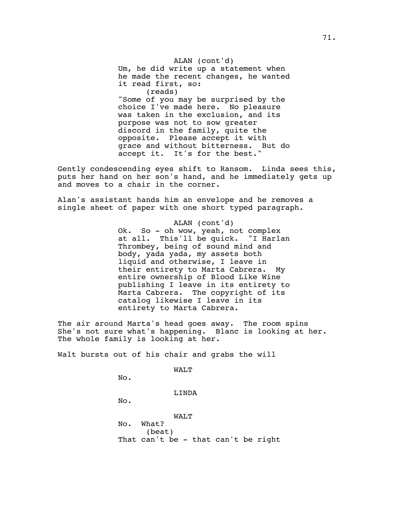ALAN (cont'd) Um, he did write up a statement when he made the recent changes, he wanted it read first, so: (reads) "Some of you may be surprised by the choice I've made here. No pleasure was taken in the exclusion, and its purpose was not to sow greater discord in the family, quite the opposite. Please accept it with grace and without bitterness. But do accept it. It's for the best."

Gently condescending eyes shift to Ransom. Linda sees this, puts her hand on her son's hand, and he immediately gets up and moves to a chair in the corner.

Alan's assistant hands him an envelope and he removes a single sheet of paper with one short typed paragraph.

> ALAN (cont'd) Ok. So - oh wow, yeah, not complex at all. This'll be quick. "I Harlan Thrombey, being of sound mind and body, yada yada, my assets both liquid and otherwise, I leave in their entirety to Marta Cabrera. My entire ownership of Blood Like Wine publishing I leave in its entirety to Marta Cabrera. The copyright of its catalog likewise I leave in its entirety to Marta Cabrera.

The air around Marta's head goes away. The room spins She's not sure what's happening. Blanc is looking at her. The whole family is looking at her.

Walt bursts out of his chair and grabs the will

WALT

No.

LINDA

No.

WALT No. What? (beat) That can't be - that can't be right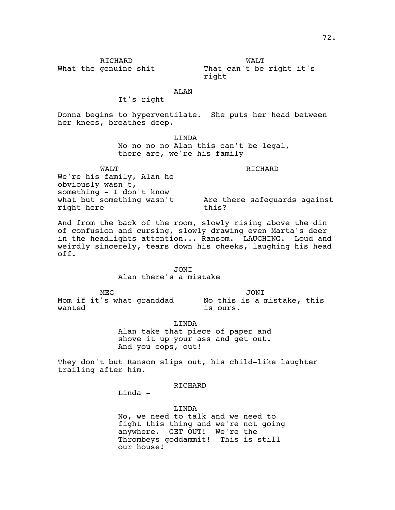# RICHARD

What the genuine shit

WALT That can't be right it's right

# ALAN

# It's right

Donna begins to hyperventilate. She puts her head between her knees, breathes deep.

> LINDA No no no no Alan this can't be legal, there are, we're his family

WALT We're his family, Alan he obviously wasn't, something - I don't know what but something wasn't right here RICHARD Are there safeguards against this?

And from the back of the room, slowly rising above the din of confusion and cursing, slowly drawing even Marta's deer in the headlights attention... Ransom. LAUGHING. Loud and weirdly sincerely, tears down his cheeks, laughing his head off.

> JONI Alan there's a mistake

MEG Mom if it's what granddad No this is a mistake, this wanted JONI is ours.

> LINDA Alan take that piece of paper and shove it up your ass and get out. And you cops, out!

They don't but Ransom slips out, his child-like laughter trailing after him.

RICHARD

Linda -

LINDA No, we need to talk and we need to fight this thing and we're not going anywhere. GET OUT! We're the Thrombeys goddammit! This is still our house!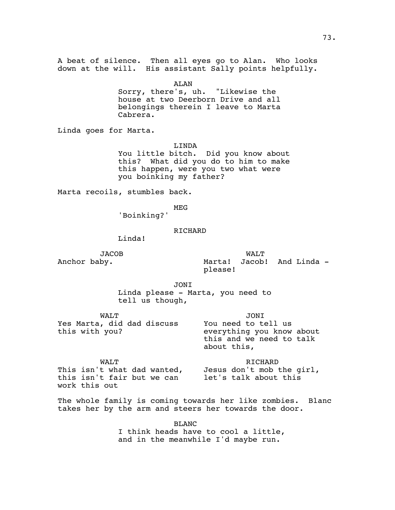A beat of silence. Then all eyes go to Alan. Who looks down at the will. His assistant Sally points helpfully.

ALAN

Sorry, there's, uh. "Likewise the house at two Deerborn Drive and all belongings therein I leave to Marta Cabrera.

Linda goes for Marta.

LINDA

You little bitch. Did you know about this? What did you do to him to make this happen, were you two what were you boinking my father?

Marta recoils, stumbles back.

MEG

'Boinking?'

## RICHARD

Linda!

JACOB Anchor baby.

WALT Marta! Jacob! And Linda please!

JONI

Linda please - Marta, you need to tell us though,

| WAT.T                                        | <b>JONT</b>                                                                                 |
|----------------------------------------------|---------------------------------------------------------------------------------------------|
| Yes Marta, did dad discuss<br>this with you? | You need to tell us<br>everything you know about<br>this and we need to talk<br>about this, |

WALT This isn't what dad wanted, this isn't fair but we can work this out RICHARD Jesus don't mob the girl, let's talk about this

The whole family is coming towards her like zombies. Blanc takes her by the arm and steers her towards the door.

> BLANC I think heads have to cool a little, and in the meanwhile I'd maybe run.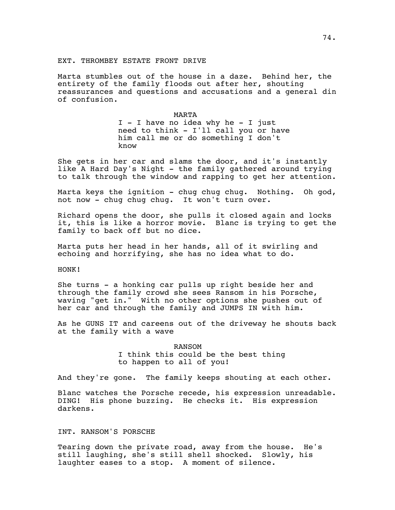## EXT. THROMBEY ESTATE FRONT DRIVE

Marta stumbles out of the house in a daze. Behind her, the entirety of the family floods out after her, shouting reassurances and questions and accusations and a general din of confusion.

> MARTA I - I have no idea why he - I just need to think - I'll call you or have him call me or do something I don't know

She gets in her car and slams the door, and it's instantly like A Hard Day's Night - the family gathered around trying to talk through the window and rapping to get her attention.

Marta keys the ignition - chug chug chug. Nothing. Oh god, not now - chug chug chug. It won't turn over.

Richard opens the door, she pulls it closed again and locks it, this is like a horror movie. Blanc is trying to get the family to back off but no dice.

Marta puts her head in her hands, all of it swirling and echoing and horrifying, she has no idea what to do.

## HONK!

She turns - a honking car pulls up right beside her and through the family crowd she sees Ransom in his Porsche, waving "get in." With no other options she pushes out of her car and through the family and JUMPS IN with him.

As he GUNS IT and careens out of the driveway he shouts back at the family with a wave

> RANSOM I think this could be the best thing to happen to all of you!

And they're gone. The family keeps shouting at each other.

Blanc watches the Porsche recede, his expression unreadable. DING! His phone buzzing. He checks it. His expression darkens.

# INT. RANSOM'S PORSCHE

Tearing down the private road, away from the house. He's still laughing, she's still shell shocked. Slowly, his laughter eases to a stop. A moment of silence.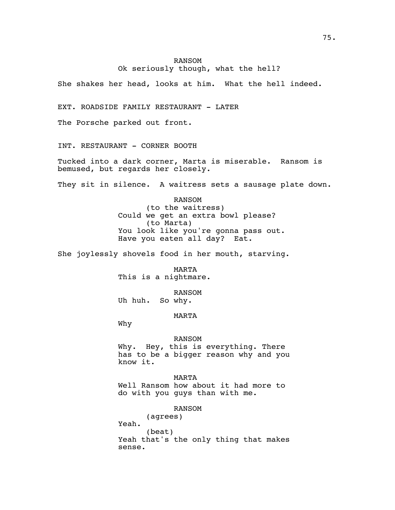# RANSOM Ok seriously though, what the hell?

She shakes her head, looks at him. What the hell indeed.

EXT. ROADSIDE FAMILY RESTAURANT - LATER

The Porsche parked out front.

INT. RESTAURANT - CORNER BOOTH

Tucked into a dark corner, Marta is miserable. Ransom is bemused, but regards her closely.

They sit in silence. A waitress sets a sausage plate down.

RANSOM (to the waitress) Could we get an extra bowl please? (to Marta) You look like you're gonna pass out. Have you eaten all day? Eat.

She joylessly shovels food in her mouth, starving.

MARTA This is a nightmare.

RANSOM Uh huh. So why.

MARTA

Why

#### RANSOM

Why. Hey, this is everything. There has to be a bigger reason why and you know it.

MARTA Well Ransom how about it had more to do with you guys than with me.

RANSOM

(agrees) Yeah. (beat) Yeah that's the only thing that makes sense.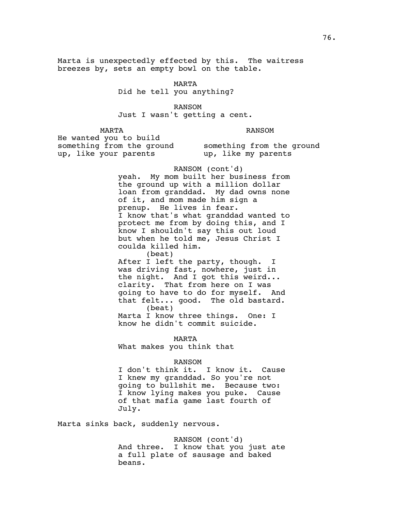Marta is unexpectedly effected by this. The waitress breezes by, sets an empty bowl on the table.

MARTA

Did he tell you anything?

RANSOM Just I wasn't getting a cent.

MARTA

RANSOM

He wanted you to build something from the ground up, like your parents

something from the ground up, like my parents

# RANSOM (cont'd)

yeah. My mom built her business from the ground up with a million dollar loan from granddad. My dad owns none of it, and mom made him sign a prenup. He lives in fear. I know that's what granddad wanted to protect me from by doing this, and I know I shouldn't say this out loud but when he told me, Jesus Christ I coulda killed him.

(beat)

After I left the party, though. I was driving fast, nowhere, just in the night. And I got this weird... clarity. That from here on I was going to have to do for myself. And that felt... good. The old bastard. (beat)

Marta I know three things. One: I know he didn't commit suicide.

MARTA

What makes you think that

#### RANSOM

I don't think it. I know it. Cause I knew my granddad. So you're not going to bullshit me. Because two: I know lying makes you puke. Cause of that mafia game last fourth of July.

Marta sinks back, suddenly nervous.

RANSOM (cont'd) And three. I know that you just ate a full plate of sausage and baked beans.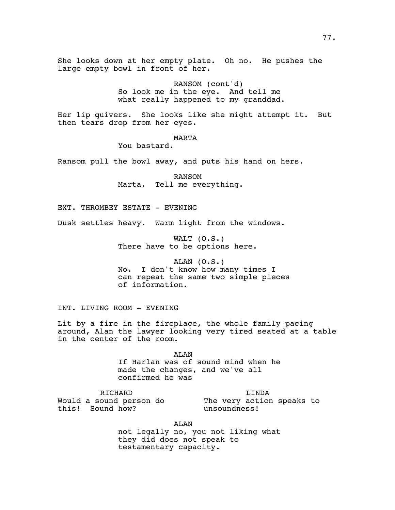She looks down at her empty plate. Oh no. He pushes the large empty bowl in front of her.

> RANSOM (cont'd) So look me in the eye. And tell me what really happened to my granddad.

Her lip quivers. She looks like she might attempt it. But then tears drop from her eyes.

# MARTA

You bastard.

Ransom pull the bowl away, and puts his hand on hers.

RANSOM Marta. Tell me everything.

EXT. THROMBEY ESTATE - EVENING

Dusk settles heavy. Warm light from the windows.

WALT (O.S.) There have to be options here.

ALAN  $(0.S.)$ No. I don't know how many times I can repeat the same two simple pieces of information.

INT. LIVING ROOM - EVENING

Lit by a fire in the fireplace, the whole family pacing around, Alan the lawyer looking very tired seated at a table in the center of the room.

> ALAN If Harlan was of sound mind when he made the changes, and we've all confirmed he was

RICHARD Would a sound person do this! Sound how? LINDA The very action speaks to unsoundness!

ALAN

not legally no, you not liking what they did does not speak to testamentary capacity.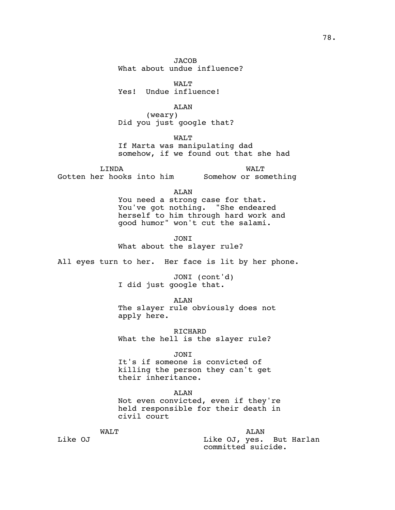JACOB What about undue influence?

WALT Yes! Undue influence!

ALAN (weary) Did you just google that?

WALT If Marta was manipulating dad somehow, if we found out that she had

LINDA Gotten her hooks into him Somehow or something WALT

> ALAN You need a strong case for that. You've got nothing. "She endeared herself to him through hard work and good humor" won't cut the salami.

JONI What about the slayer rule?

All eyes turn to her. Her face is lit by her phone.

JONI (cont'd) I did just google that.

ALAN The slayer rule obviously does not apply here.

RICHARD What the hell is the slayer rule?

JONI It's if someone is convicted of killing the person they can't get their inheritance.

ALAN Not even convicted, even if they're held responsible for their death in civil court

> ALAN Like OJ, yes. But Harlan committed suicide.

Like OJ

WALT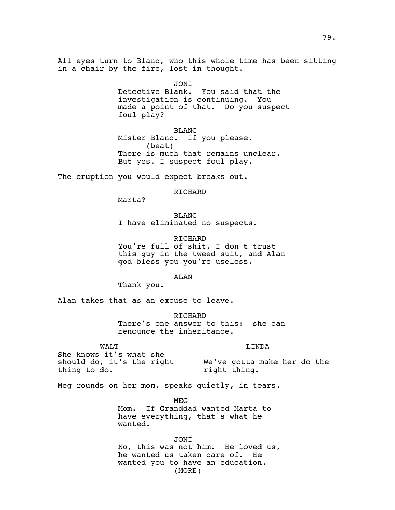All eyes turn to Blanc, who this whole time has been sitting in a chair by the fire, lost in thought.

JONI<br>Detective Blank. You said that the investigation is continuing. You made a point of that. Do you suspect foul play?

BLANC Mister Blanc. If you please. (beat) There is much that remains unclear. But yes. I suspect foul play.

The eruption you would expect breaks out.

RICHARD

Marta?

BLANC I have eliminated no suspects.

RICHARD You're full of shit, I don't trust this guy in the tweed suit, and Alan god bless you you're useless.

ALAN

Thank you.

Alan takes that as an excuse to leave.

RICHARD There's one answer to this: she can renounce the inheritance.

WALT

LINDA

She knows it's what she should do, it's the right thing to do.

We've gotta make her do the right thing.

Meg rounds on her mom, speaks quietly, in tears.

MEG

Mom. If Granddad wanted Marta to have everything, that's what he wanted.

JONI No, this was not him. He loved us, he wanted us taken care of. He wanted you to have an education. (MORE)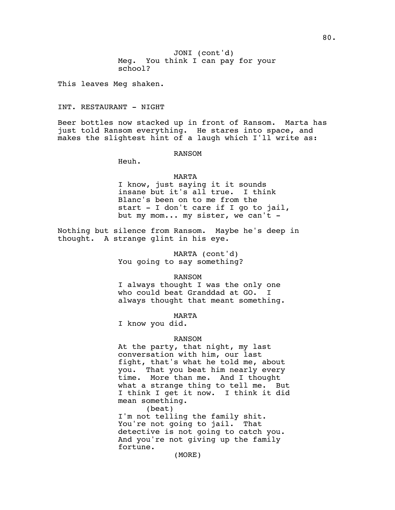Meg. You think I can pay for your JONI (cont'd) school?

This leaves Meg shaken.

INT. RESTAURANT - NIGHT

Beer bottles now stacked up in front of Ransom. Marta has just told Ransom everything. He stares into space, and makes the slightest hint of a laugh which I'll write as:

RANSOM

Heuh.

### MARTA

I know, just saying it it sounds insane but it's all true. I think Blanc's been on to me from the start - I don't care if I go to jail, but my mom... my sister, we can't -

Nothing but silence from Ransom. Maybe he's deep in thought. A strange glint in his eye.

> MARTA (cont'd) You going to say something?

### RANSOM

I always thought I was the only one who could beat Granddad at GO. I always thought that meant something.

MARTA

I know you did.

# RANSOM

At the party, that night, my last conversation with him, our last fight, that's what he told me, about you. That you beat him nearly every time. More than me. And I thought what a strange thing to tell me. But I think I get it now. I think it did mean something.

(beat) I'm not telling the family shit. You're not going to jail. That detective is not going to catch you. And you're not giving up the family fortune.

(MORE)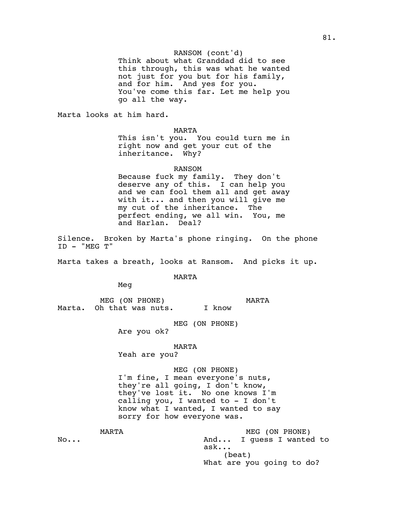## RANSOM (cont'd)

Think about what Granddad did to see this through, this was what he wanted not just for you but for his family, and for him. And yes for you. You've come this far. Let me help you go all the way.

Marta looks at him hard.

## MARTA

This isn't you. You could turn me in right now and get your cut of the inheritance. Why?

### RANSOM

Because fuck my family. They don't deserve any of this. I can help you and we can fool them all and get away with it... and then you will give me my cut of the inheritance. The perfect ending, we all win. You, me and Harlan. Deal?

Silence. Broken by Marta's phone ringing. On the phone ID - "MEG T"

Marta takes a breath, looks at Ransom. And picks it up.

# MARTA

Meg

MEG (ON PHONE) Marta. Oh that was nuts. MARTA I know

MEG (ON PHONE)

Are you ok?

## MARTA

Yeah are you?

### MEG (ON PHONE)

I'm fine, I mean everyone's nuts, they're all going, I don't know, they've lost it. No one knows I'm calling you, I wanted to - I don't know what I wanted, I wanted to say sorry for how everyone was.

MARTA No... MEG (ON PHONE) And... I guess I wanted to ask... (beat) What are you going to do?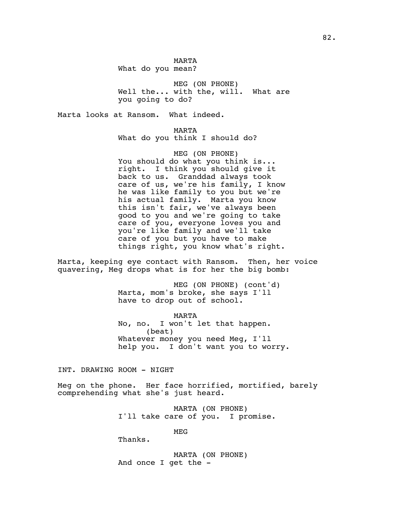MARTA What do you mean?

MEG (ON PHONE) Well the... with the, will. What are you going to do?

Marta looks at Ransom. What indeed.

MARTA

What do you think I should do?

MEG (ON PHONE) You should do what you think is... right. I think you should give it back to us. Granddad always took care of us, we're his family, I know he was like family to you but we're his actual family. Marta you know this isn't fair, we've always been good to you and we're going to take care of you, everyone loves you and you're like family and we'll take care of you but you have to make things right, you know what's right.

Marta, keeping eye contact with Ransom. Then, her voice quavering, Meg drops what is for her the big bomb:

> MEG (ON PHONE) (cont'd) Marta, mom's broke, she says I'll have to drop out of school.

MARTA No, no. I won't let that happen. (beat) Whatever money you need Meg, I'll help you. I don't want you to worry.

INT. DRAWING ROOM - NIGHT

Meg on the phone. Her face horrified, mortified, barely comprehending what she's just heard.

> MARTA (ON PHONE) I'll take care of you. I promise.

> > MEG

Thanks.

MARTA (ON PHONE) And once I get the -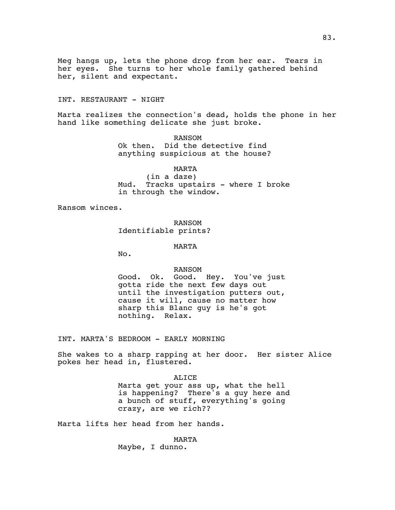Meg hangs up, lets the phone drop from her ear. Tears in her eyes. She turns to her whole family gathered behind her, silent and expectant.

# INT. RESTAURANT - NIGHT

Marta realizes the connection's dead, holds the phone in her hand like something delicate she just broke.

> RANSOM Ok then. Did the detective find anything suspicious at the house?

MARTA (in a daze) Mud. Tracks upstairs - where I broke in through the window.

Ransom winces.

RANSOM Identifiable prints?

MARTA

No.

RANSOM

Good. Ok. Good. Hey. You've just gotta ride the next few days out until the investigation putters out, cause it will, cause no matter how sharp this Blanc guy is he's got nothing. Relax.

INT. MARTA'S BEDROOM - EARLY MORNING

She wakes to a sharp rapping at her door. Her sister Alice pokes her head in, flustered.

> ALICE Marta get your ass up, what the hell is happening? There's a guy here and a bunch of stuff, everything's going crazy, are we rich??

Marta lifts her head from her hands.

MARTA Maybe, I dunno.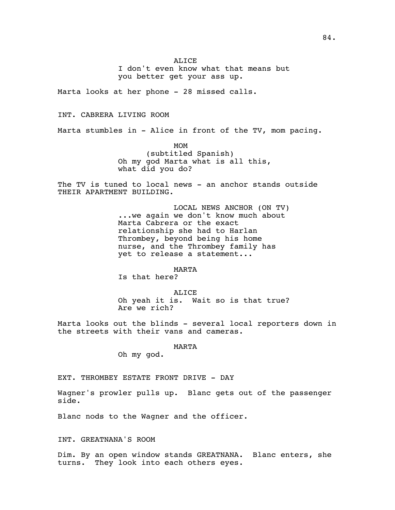I don't even know what that means but you better get your ass up.

Marta looks at her phone - 28 missed calls.

## INT. CABRERA LIVING ROOM

Marta stumbles in - Alice in front of the TV, mom pacing.

MOM (subtitled Spanish) Oh my god Marta what is all this, what did you do?

The TV is tuned to local news - an anchor stands outside THEIR APARTMENT BUILDING.

> LOCAL NEWS ANCHOR (ON TV) ...we again we don't know much about Marta Cabrera or the exact relationship she had to Harlan Thrombey, beyond being his home nurse, and the Thrombey family has yet to release a statement...

> > MARTA

Is that here?

ALICE Oh yeah it is. Wait so is that true? Are we rich?

Marta looks out the blinds - several local reporters down in the streets with their vans and cameras.

MARTA

Oh my god.

EXT. THROMBEY ESTATE FRONT DRIVE - DAY

Wagner's prowler pulls up. Blanc gets out of the passenger side.

Blanc nods to the Wagner and the officer.

INT. GREATNANA'S ROOM

Dim. By an open window stands GREATNANA. Blanc enters, she turns. They look into each others eyes.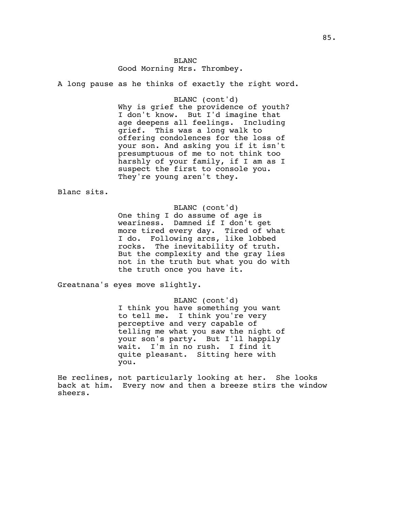BLANC Good Morning Mrs. Thrombey.

A long pause as he thinks of exactly the right word.

BLANC (cont'd) Why is grief the providence of youth? I don't know. But I'd imagine that age deepens all feelings. Including grief. This was a long walk to offering condolences for the loss of your son. And asking you if it isn't presumptuous of me to not think too harshly of your family, if I am as I suspect the first to console you. They're young aren't they.

Blanc sits.

BLANC (cont'd) One thing I do assume of age is weariness. Damned if I don't get more tired every day. Tired of what I do. Following arcs, like lobbed rocks. The inevitability of truth. But the complexity and the gray lies not in the truth but what you do with the truth once you have it.

Greatnana's eyes move slightly.

BLANC (cont'd) I think you have something you want to tell me. I think you're very perceptive and very capable of telling me what you saw the night of your son's party. But I'll happily wait. I'm in no rush. I find it quite pleasant. Sitting here with you.

He reclines, not particularly looking at her. She looks back at him. Every now and then a breeze stirs the window sheers.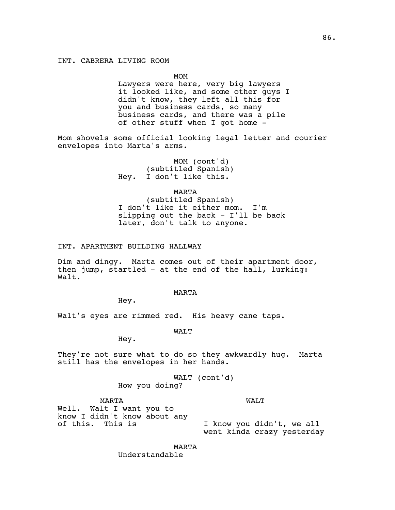MOM

Lawyers were here, very big lawyers it looked like, and some other guys I didn't know, they left all this for you and business cards, so many business cards, and there was a pile of other stuff when I got home -

Mom shovels some official looking legal letter and courier envelopes into Marta's arms.

> MOM (cont'd) (subtitled Spanish) Hey. I don't like this.

> > MARTA

(subtitled Spanish) I don't like it either mom. I'm slipping out the back - I'll be back later, don't talk to anyone.

# INT. APARTMENT BUILDING HALLWAY

Dim and dingy. Marta comes out of their apartment door, then jump, startled - at the end of the hall, lurking: Walt.

#### MARTA

Hey.

Walt's eyes are rimmed red. His heavy cane taps.

WALT

Hey.

They're not sure what to do so they awkwardly hug. Marta still has the envelopes in her hands.

> WALT (cont'd) How you doing?

> > WALT

MARTA Well. Walt I want you to know I didn't know about any of this. This is I know you didn't, we all

went kinda crazy yesterday

MARTA Understandable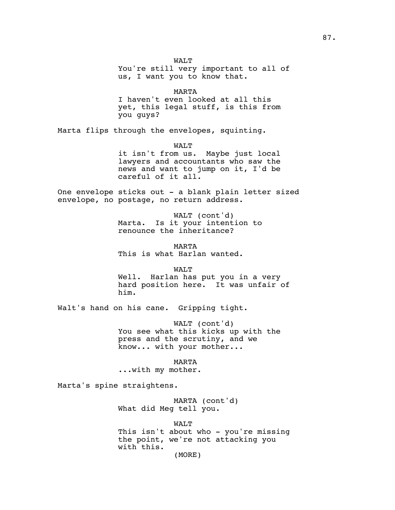WALT You're still very important to all of us, I want you to know that.

MARTA

I haven't even looked at all this yet, this legal stuff, is this from you guys?

Marta flips through the envelopes, squinting.

WALT

it isn't from us. Maybe just local lawyers and accountants who saw the news and want to jump on it, I'd be careful of it all.

One envelope sticks out - a blank plain letter sized envelope, no postage, no return address.

> WALT (cont'd) Marta. Is it your intention to renounce the inheritance?

MARTA This is what Harlan wanted.

WALT Well. Harlan has put you in a very hard position here. It was unfair of him.

Walt's hand on his cane. Gripping tight.

WALT (cont'd) You see what this kicks up with the press and the scrutiny, and we know... with your mother...

MARTA ...with my mother.

Marta's spine straightens.

MARTA (cont'd) What did Meg tell you.

WALT

This isn't about who - you're missing the point, we're not attacking you with this. (MORE)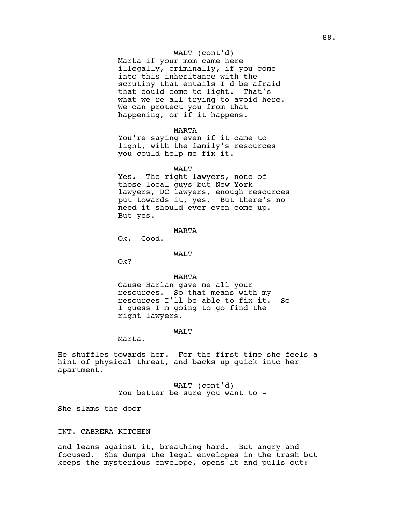## WALT (cont'd)

Marta if your mom came here illegally, criminally, if you come into this inheritance with the scrutiny that entails I'd be afraid that could come to light. That's what we're all trying to avoid here. We can protect you from that happening, or if it happens.

#### MARTA

You're saying even if it came to light, with the family's resources you could help me fix it.

#### WALT

Yes. The right lawyers, none of those local guys but New York lawyers, DC lawyers, enough resources put towards it, yes. But there's no need it should ever even come up. But yes.

#### MARTA

Ok. Good.

### WALT

Ok?

### MARTA

Cause Harlan gave me all your resources. So that means with my resources I'll be able to fix it. So I guess I'm going to go find the right lawyers.

#### WALT

Marta.

He shuffles towards her. For the first time she feels a hint of physical threat, and backs up quick into her apartment.

> WALT (cont'd) You better be sure you want to -

She slams the door

## INT. CABRERA KITCHEN

and leans against it, breathing hard. But angry and focused. She dumps the legal envelopes in the trash but keeps the mysterious envelope, opens it and pulls out: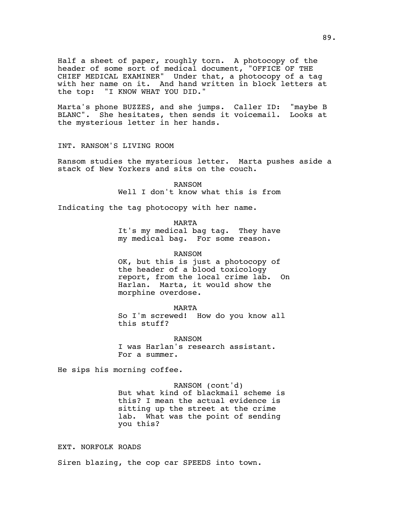Half a sheet of paper, roughly torn. A photocopy of the header of some sort of medical document, "OFFICE OF THE CHIEF MEDICAL EXAMINER" Under that, a photocopy of a tag with her name on it. And hand written in block letters at the top: "I KNOW WHAT YOU DID."

Marta's phone BUZZES, and she jumps. Caller ID: "maybe B BLANC". She hesitates, then sends it voicemail. Looks at the mysterious letter in her hands.

INT. RANSOM'S LIVING ROOM

Ransom studies the mysterious letter. Marta pushes aside a stack of New Yorkers and sits on the couch.

> RANSOM Well I don't know what this is from

Indicating the tag photocopy with her name.

MARTA

It's my medical bag tag. They have my medical bag. For some reason.

RANSOM

OK, but this is just a photocopy of the header of a blood toxicology report, from the local crime lab. On Harlan. Marta, it would show the morphine overdose.

MARTA

So I'm screwed! How do you know all this stuff?

RANSOM I was Harlan's research assistant. For a summer.

He sips his morning coffee.

RANSOM (cont'd) But what kind of blackmail scheme is this? I mean the actual evidence is sitting up the street at the crime lab. What was the point of sending you this?

EXT. NORFOLK ROADS

Siren blazing, the cop car SPEEDS into town.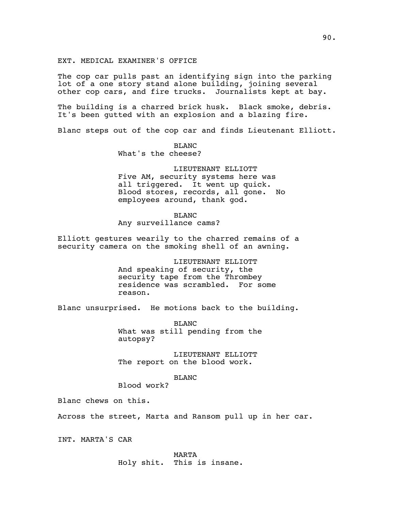EXT. MEDICAL EXAMINER'S OFFICE

The cop car pulls past an identifying sign into the parking lot of a one story stand alone building, joining several other cop cars, and fire trucks. Journalists kept at bay.

The building is a charred brick husk. Black smoke, debris. It's been gutted with an explosion and a blazing fire.

Blanc steps out of the cop car and finds Lieutenant Elliott.

BLANC What's the cheese?

LIEUTENANT ELLIOTT Five AM, security systems here was all triggered. It went up quick. Blood stores, records, all gone. No employees around, thank god.

BLANC Any surveillance cams?

Elliott gestures wearily to the charred remains of a security camera on the smoking shell of an awning.

> LIEUTENANT ELLIOTT And speaking of security, the security tape from the Thrombey residence was scrambled. For some reason.

Blanc unsurprised. He motions back to the building.

BLANC What was still pending from the autopsy?

LIEUTENANT ELLIOTT The report on the blood work.

BLANC

Blood work?

Blanc chews on this.

Across the street, Marta and Ransom pull up in her car.

INT. MARTA'S CAR

MARTA Holy shit. This is insane.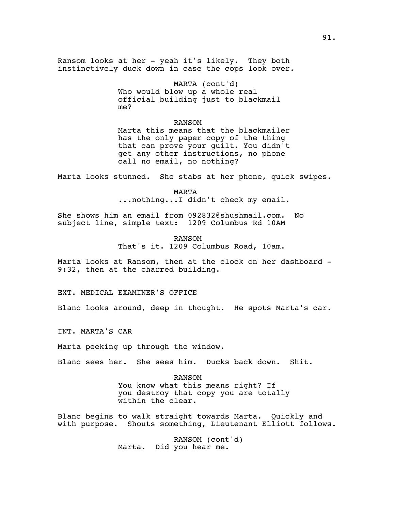Ransom looks at her - yeah it's likely. They both instinctively duck down in case the cops look over.

> MARTA (cont'd) Who would blow up a whole real official building just to blackmail me?

RANSOM Marta this means that the blackmailer has the only paper copy of the thing that can prove your guilt. You didn't get any other instructions, no phone call no email, no nothing?

Marta looks stunned. She stabs at her phone, quick swipes.

MARTA ...nothing...I didn't check my email.

She shows him an email from 092832@shushmail.com. No subject line, simple text: 1209 Columbus Rd 10AM

> RANSOM That's it. 1209 Columbus Road, 10am.

Marta looks at Ransom, then at the clock on her dashboard - 9:32, then at the charred building.

EXT. MEDICAL EXAMINER'S OFFICE

Blanc looks around, deep in thought. He spots Marta's car.

INT. MARTA'S CAR

Marta peeking up through the window.

Blanc sees her. She sees him. Ducks back down. Shit.

RANSOM You know what this means right? If you destroy that copy you are totally within the clear.

Blanc begins to walk straight towards Marta. Quickly and with purpose. Shouts something, Lieutenant Elliott follows.

> RANSOM (cont'd) Marta. Did you hear me.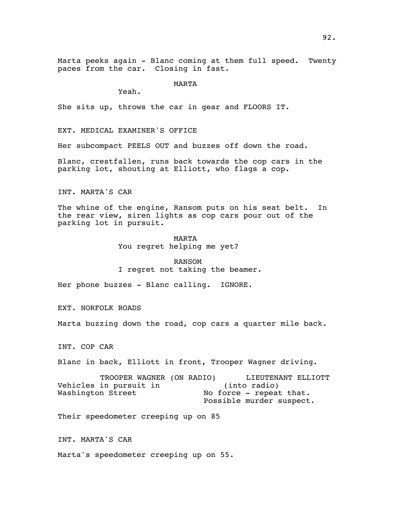Marta peeks again - Blanc coming at them full speed. Twenty paces from the car. Closing in fast.

MARTA

Yeah.

She sits up, throws the car in gear and FLOORS IT.

EXT. MEDICAL EXAMINER'S OFFICE

Her subcompact PEELS OUT and buzzes off down the road.

Blanc, crestfallen, runs back towards the cop cars in the parking lot, shouting at Elliott, who flags a cop.

INT. MARTA'S CAR

The whine of the engine, Ransom puts on his seat belt. In the rear view, siren lights as cop cars pour out of the parking lot in pursuit.

> MARTA You regret helping me yet?

## RANSOM

I regret not taking the beamer.

Her phone buzzes - Blanc calling. IGNORE.

EXT. NORFOLK ROADS

Marta buzzing down the road, cop cars a quarter mile back.

INT. COP CAR

Blanc in back, Elliott in front, Trooper Wagner driving.

TROOPER WAGNER (ON RADIO) Vehicles in pursuit in Washington Street LIEUTENANT ELLIOTT (into radio) No force - repeat that. Possible murder suspect.

Their speedometer creeping up on 85

INT. MARTA'S CAR

Marta's speedometer creeping up on 55.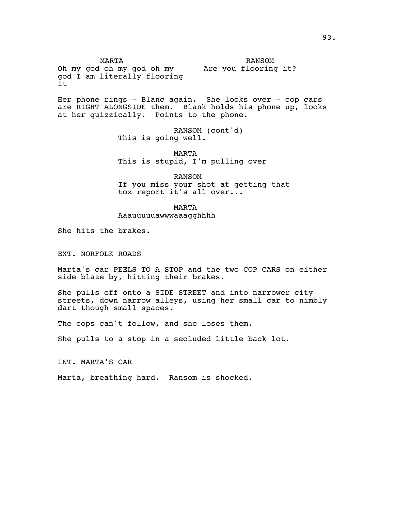MARTA Oh my god oh my god oh my Are you flooring it? god I am literally flooring it RANSOM

Her phone rings - Blanc again. She looks over - cop cars are RIGHT ALONGSIDE them. Blank holds his phone up, looks at her quizzically. Points to the phone.

> RANSOM (cont'd) This is going well.

MARTA This is stupid, I'm pulling over

RANSOM If you miss your shot at getting that tox report it's all over...

MARTA

Aaauuuuuawwwaaagghhhh

She hits the brakes.

EXT. NORFOLK ROADS

Marta's car PEELS TO A STOP and the two COP CARS on either side blaze by, hitting their brakes.

She pulls off onto a SIDE STREET and into narrower city streets, down narrow alleys, using her small car to nimbly dart though small spaces.

The cops can't follow, and she loses them.

She pulls to a stop in a secluded little back lot.

INT. MARTA'S CAR

Marta, breathing hard. Ransom is shocked.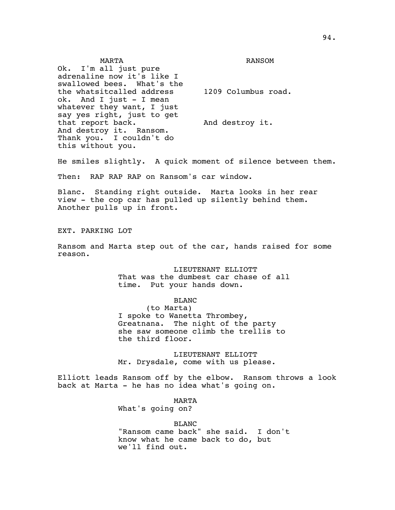MARTA Ok. I'm all just pure adrenaline now it's like I swallowed bees. What's the the whatsitcalled address ok. And I just - I mean whatever they want, I just say yes right, just to get that report back. And destroy it. Ransom. Thank you. I couldn't do this without you. RANSOM 1209 Columbus road. And destroy it.

He smiles slightly. A quick moment of silence between them.

Then: RAP RAP RAP on Ransom's car window.

Blanc. Standing right outside. Marta looks in her rear view - the cop car has pulled up silently behind them. Another pulls up in front.

EXT. PARKING LOT

Ransom and Marta step out of the car, hands raised for some reason.

> LIEUTENANT ELLIOTT That was the dumbest car chase of all time. Put your hands down.

# BLANC

(to Marta) I spoke to Wanetta Thrombey, Greatnana. The night of the party she saw someone climb the trellis to the third floor.

LIEUTENANT ELLIOTT Mr. Drysdale, come with us please.

Elliott leads Ransom off by the elbow. Ransom throws a look back at Marta - he has no idea what's going on.

MARTA

What's going on?

BLANC

"Ransom came back" she said. I don't know what he came back to do, but we'll find out.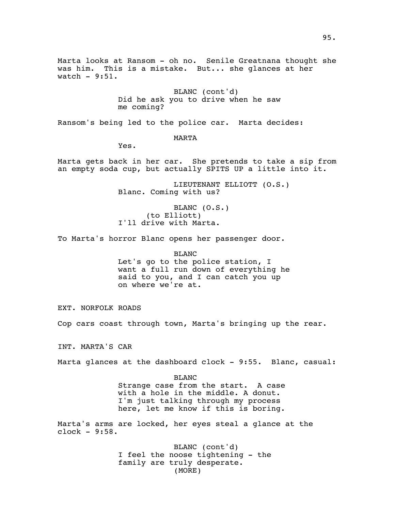Marta looks at Ransom - oh no. Senile Greatnana thought she was him. This is a mistake. But... she glances at her watch  $-9:51$ .

> BLANC (cont'd) Did he ask you to drive when he saw me coming?

Ransom's being led to the police car. Marta decides:

MARTA

Yes.

Marta gets back in her car. She pretends to take a sip from an empty soda cup, but actually SPITS UP a little into it.

> LIEUTENANT ELLIOTT (O.S.) Blanc. Coming with us?

BLANC (O.S.) (to Elliott) I'll drive with Marta.

To Marta's horror Blanc opens her passenger door.

BLANC

Let's go to the police station, I want a full run down of everything he said to you, and I can catch you up on where we're at.

EXT. NORFOLK ROADS

Cop cars coast through town, Marta's bringing up the rear.

INT. MARTA'S CAR

Marta glances at the dashboard clock - 9:55. Blanc, casual:

BLANC Strange case from the start. A case with a hole in the middle. A donut. I'm just talking through my process here, let me know if this is boring.

Marta's arms are locked, her eyes steal a glance at the clock - 9:58.

> BLANC (cont'd) I feel the noose tightening - the family are truly desperate. (MORE)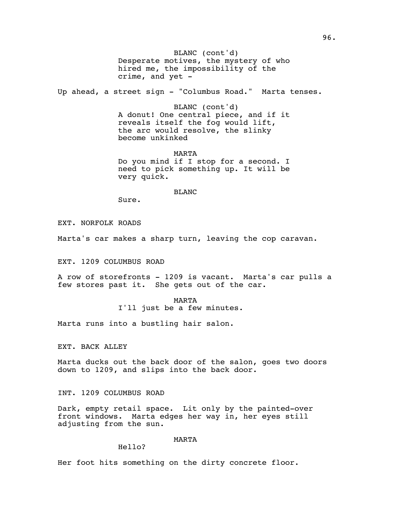Desperate motives, the mystery of who BLANC (cont'd) hired me, the impossibility of the crime, and yet -

Up ahead, a street sign - "Columbus Road." Marta tenses.

BLANC (cont'd) A donut! One central piece, and if it reveals itself the fog would lift, the arc would resolve, the slinky become unkinked

MARTA Do you mind if I stop for a second. I need to pick something up. It will be very quick.

BLANC

Sure.

EXT. NORFOLK ROADS

Marta's car makes a sharp turn, leaving the cop caravan.

EXT. 1209 COLUMBUS ROAD

A row of storefronts - 1209 is vacant. Marta's car pulls a few stores past it. She gets out of the car.

MARTA

I'll just be a few minutes.

Marta runs into a bustling hair salon.

EXT. BACK ALLEY

Marta ducks out the back door of the salon, goes two doors down to 1209, and slips into the back door.

INT. 1209 COLUMBUS ROAD

Dark, empty retail space. Lit only by the painted-over front windows. Marta edges her way in, her eyes still adjusting from the sun.

### MARTA

Hello?

Her foot hits something on the dirty concrete floor.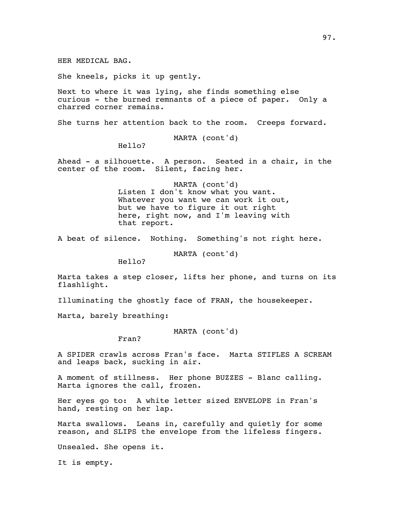HER MEDICAL BAG.

She kneels, picks it up gently.

Next to where it was lying, she finds something else curious - the burned remnants of a piece of paper. Only a charred corner remains.

She turns her attention back to the room. Creeps forward.

MARTA (cont'd)

Hello?

Ahead - a silhouette. A person. Seated in a chair, in the center of the room. Silent, facing her.

> MARTA (cont'd) Listen I don't know what you want. Whatever you want we can work it out, but we have to figure it out right here, right now, and I'm leaving with that report.

A beat of silence. Nothing. Something's not right here.

MARTA (cont'd)

Hello?

Marta takes a step closer, lifts her phone, and turns on its flashlight.

Illuminating the ghostly face of FRAN, the housekeeper.

Marta, barely breathing:

MARTA (cont'd)

Fran?

A SPIDER crawls across Fran's face. Marta STIFLES A SCREAM and leaps back, sucking in air.

A moment of stillness. Her phone BUZZES - Blanc calling. Marta ignores the call, frozen.

Her eyes go to: A white letter sized ENVELOPE in Fran's hand, resting on her lap.

Marta swallows. Leans in, carefully and quietly for some reason, and SLIPS the envelope from the lifeless fingers.

Unsealed. She opens it.

It is empty.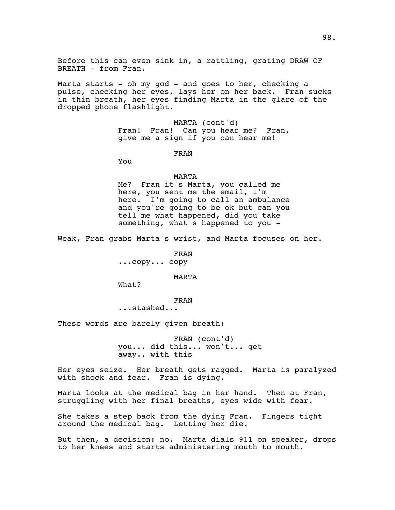Before this can even sink in, a rattling, grating DRAW OF BREATH - from Fran.

Marta starts - oh my god - and goes to her, checking a pulse, checking her eyes, lays her on her back. Fran sucks in thin breath, her eyes finding Marta in the glare of the dropped phone flashlight.

> MARTA (cont'd) Fran! Fran! Can you hear me? Fran, give me a sign if you can hear me!

> > FRAN

You

#### MARTA

Me? Fran it's Marta, you called me here, you sent me the email, I'm here. I'm going to call an ambulance and you're going to be ok but can you tell me what happened, did you take something, what's happened to you -

Weak, Fran grabs Marta's wrist, and Marta focuses on her.

FRAN ...copy... copy

MARTA

What?

# FRAN

...stashed...

These words are barely given breath:

FRAN (cont'd) you... did this... won't... get away.. with this

Her eyes seize. Her breath gets ragged. Marta is paralyzed with shock and fear. Fran is dying.

Marta looks at the medical bag in her hand. Then at Fran, struggling with her final breaths, eyes wide with fear.

She takes a step back from the dying Fran. Fingers tight around the medical bag. Letting her die.

But then, a decision: no. Marta dials 911 on speaker, drops to her knees and starts administering mouth to mouth.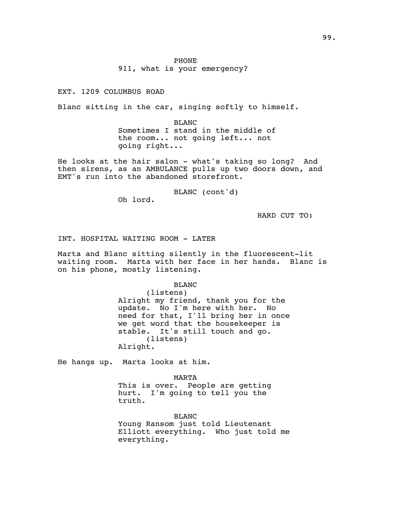EXT. 1209 COLUMBUS ROAD

Blanc sitting in the car, singing softly to himself.

BLANC Sometimes I stand in the middle of the room... not going left... not going right...

He looks at the hair salon - what's taking so long? And then sirens, as an AMBULANCE pulls up two doors down, and EMT's run into the abandoned storefront.

BLANC (cont'd)

Oh lord.

HARD CUT TO:

INT. HOSPITAL WAITING ROOM - LATER

Marta and Blanc sitting silently in the fluorescent-lit waiting room. Marta with her face in her hands. Blanc is on his phone, mostly listening.

BLANC

(listens) Alright my friend, thank you for the update. No I'm here with her. No need for that, I'll bring her in once we get word that the housekeeper is stable. It's still touch and go. (listens) Alright.

He hangs up. Marta looks at him.

MARTA

This is over. People are getting hurt. I'm going to tell you the truth.

BLANC Young Ransom just told Lieutenant Elliott everything. Who just told me everything.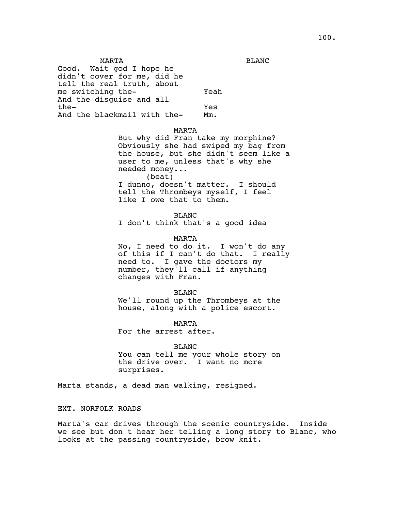MARTA Good. Wait god I hope he didn't cover for me, did he tell the real truth, about me switching the-And the disguise and all the-And the blackmail with the-Yeah Yes Mm.

## MARTA

But why did Fran take my morphine? Obviously she had swiped my bag from the house, but she didn't seem like a user to me, unless that's why she needed money... (beat) I dunno, doesn't matter. I should tell the Thrombeys myself, I feel like I owe that to them.

BLANC I don't think that's a good idea

# MARTA

No, I need to do it. I won't do any of this if I can't do that. I really need to. I gave the doctors my number, they'll call if anything changes with Fran.

### BLANC

We'll round up the Thrombeys at the house, along with a police escort.

MARTA For the arrest after.

## BLANC

You can tell me your whole story on the drive over. I want no more surprises.

Marta stands, a dead man walking, resigned.

# EXT. NORFOLK ROADS

Marta's car drives through the scenic countryside. Inside we see but don't hear her telling a long story to Blanc, who looks at the passing countryside, brow knit.

BLANC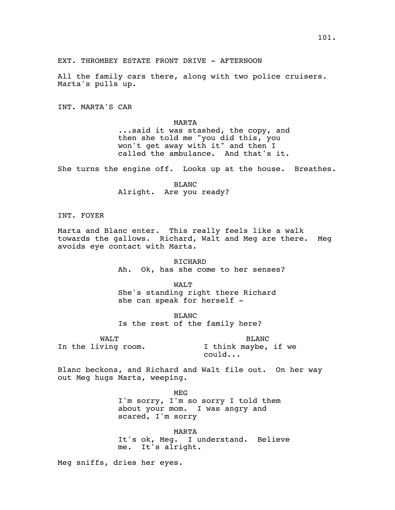All the family cars there, along with two police cruisers. Marta's pulls up.

EXT. THROMBEY ESTATE FRONT DRIVE - AFTERNOON

INT. MARTA'S CAR

MARTA ...said it was stashed, the copy, and then she told me "you did this, you won't get away with it" and then I called the ambulance. And that's it.

She turns the engine off. Looks up at the house. Breathes.

BLANC Alright. Are you ready?

INT. FOYER

Marta and Blanc enter. This really feels like a walk towards the gallows. Richard, Walt and Meg are there. Meg avoids eye contact with Marta.

> RICHARD Ah. Ok, has she come to her senses?

> > WALT

She's standing right there Richard she can speak for herself -

BLANC Is the rest of the family here?

WALT In the living room.

BLANC I think maybe, if we could...

Blanc beckons, and Richard and Walt file out. On her way out Meg hugs Marta, weeping.

> MEG I'm sorry, I'm so sorry I told them about your mom. I was angry and scared, I'm sorry

MARTA It's ok, Meg. I understand. Believe me. It's alright.

Meg sniffs, dries her eyes.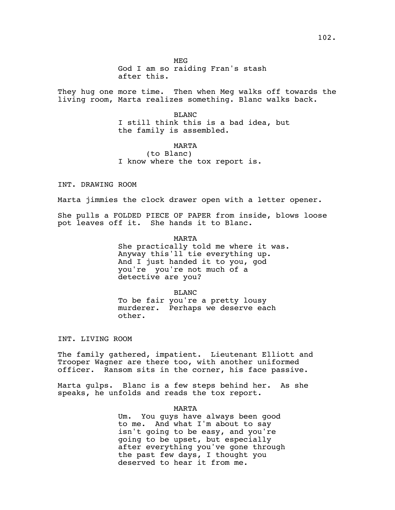God I am so raiding Fran's stash after this.

They hug one more time. Then when Meg walks off towards the living room, Marta realizes something. Blanc walks back.

> BLANC I still think this is a bad idea, but the family is assembled.

### MARTA

(to Blanc) I know where the tox report is.

INT. DRAWING ROOM

Marta jimmies the clock drawer open with a letter opener.

She pulls a FOLDED PIECE OF PAPER from inside, blows loose pot leaves off it. She hands it to Blanc.

> MARTA She practically told me where it was. Anyway this'll tie everything up. And I just handed it to you, god you're you're not much of a detective are you?

BLANC To be fair you're a pretty lousy murderer. Perhaps we deserve each other.

INT. LIVING ROOM

The family gathered, impatient. Lieutenant Elliott and Trooper Wagner are there too, with another uniformed officer. Ransom sits in the corner, his face passive.

Marta gulps. Blanc is a few steps behind her. As she speaks, he unfolds and reads the tox report.

MARTA

Um. You guys have always been good to me. And what I'm about to say isn't going to be easy, and you're going to be upset, but especially after everything you've gone through the past few days, I thought you deserved to hear it from me.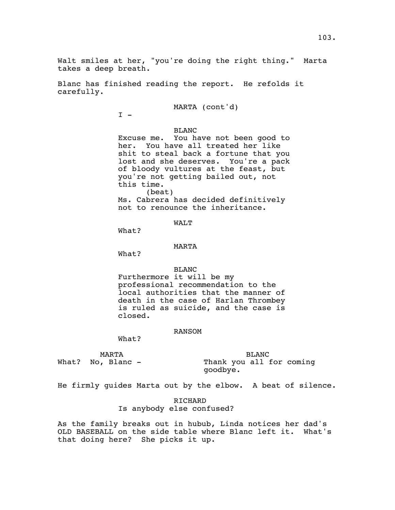Blanc has finished reading the report. He refolds it carefully.

MARTA (cont'd)

 $I -$ 

BLANC

Excuse me. You have not been good to her. You have all treated her like shit to steal back a fortune that you lost and she deserves. You're a pack of bloody vultures at the feast, but you're not getting bailed out, not this time. (beat) Ms. Cabrera has decided definitively not to renounce the inheritance.

WALT

What?

MARTA

What?

BLANC

Furthermore it will be my professional recommendation to the local authorities that the manner of death in the case of Harlan Thrombey is ruled as suicide, and the case is closed.

#### RANSOM

What?

MARTA

What? No, Blanc -

BLANC Thank you all for coming goodbye.

He firmly guides Marta out by the elbow. A beat of silence.

RICHARD Is anybody else confused?

As the family breaks out in hubub, Linda notices her dad's OLD BASEBALL on the side table where Blanc left it. What's that doing here? She picks it up.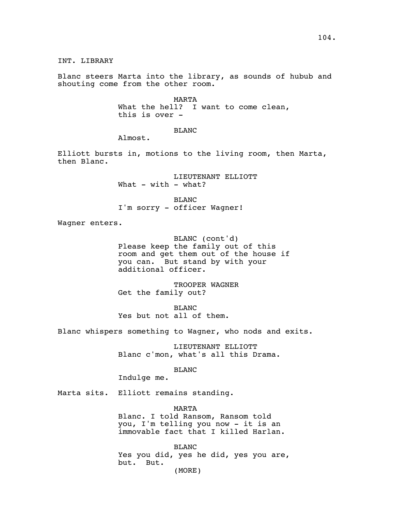INT. LIBRARY

Blanc steers Marta into the library, as sounds of hubub and shouting come from the other room.

> MARTA What the hell? I want to come clean, this is over -

> > BLANC

Almost.

Elliott bursts in, motions to the living room, then Marta, then Blanc.

> LIEUTENANT ELLIOTT What  $-$  with  $-$  what?

BLANC I'm sorry - officer Wagner!

Wagner enters.

BLANC (cont'd) Please keep the family out of this room and get them out of the house if you can. But stand by with your additional officer.

TROOPER WAGNER Get the family out?

BLANC Yes but not all of them.

Blanc whispers something to Wagner, who nods and exits.

LIEUTENANT ELLIOTT Blanc c'mon, what's all this Drama.

BLANC

Indulge me.

Marta sits. Elliott remains standing.

MARTA Blanc. I told Ransom, Ransom told you, I'm telling you now - it is an immovable fact that I killed Harlan.

BLANC Yes you did, yes he did, yes you are, but. But. (MORE)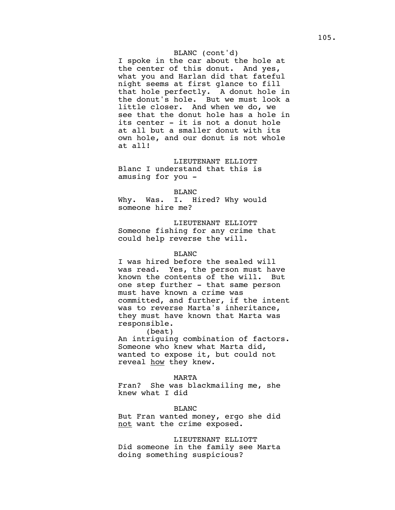## BLANC (cont'd)

I spoke in the car about the hole at the center of this donut. And yes, what you and Harlan did that fateful night seems at first glance to fill that hole perfectly. A donut hole in the donut's hole. But we must look a little closer. And when we do, we see that the donut hole has a hole in its center - it is not a donut hole at all but a smaller donut with its own hole, and our donut is not whole at all!

LIEUTENANT ELLIOTT Blanc I understand that this is amusing for you -

### BLANC

Why. Was. I. Hired? Why would someone hire me?

LIEUTENANT ELLIOTT Someone fishing for any crime that could help reverse the will.

### BLANC

I was hired before the sealed will was read. Yes, the person must have known the contents of the will. But one step further - that same person must have known a crime was committed, and further, if the intent was to reverse Marta's inheritance, they must have known that Marta was responsible.

(beat) An intriguing combination of factors. Someone who knew what Marta did, wanted to expose it, but could not reveal how they knew.

### MARTA

Fran? She was blackmailing me, she knew what I did

BLANC

But Fran wanted money, ergo she did not want the crime exposed.

LIEUTENANT ELLIOTT Did someone in the family see Marta doing something suspicious?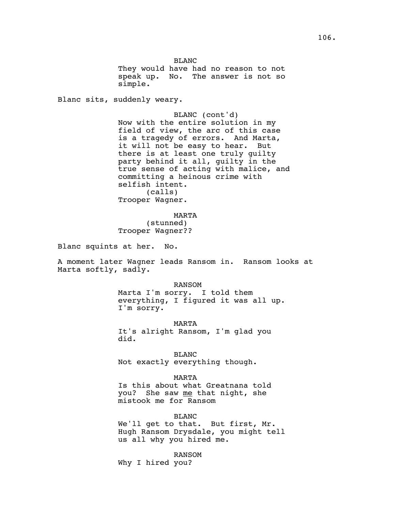BLANC

They would have had no reason to not speak up. No. The answer is not so simple.

Blanc sits, suddenly weary.

BLANC (cont'd) Now with the entire solution in my field of view, the arc of this case is a tragedy of errors. And Marta, it will not be easy to hear. But there is at least one truly guilty party behind it all, guilty in the true sense of acting with malice, and committing a heinous crime with selfish intent. (calls) Trooper Wagner.

MARTA (stunned) Trooper Wagner??

Blanc squints at her. No.

A moment later Wagner leads Ransom in. Ransom looks at Marta softly, sadly.

> RANSOM Marta I'm sorry. I told them everything, I figured it was all up. I'm sorry.

MARTA It's alright Ransom, I'm glad you did.

BLANC Not exactly everything though.

MARTA Is this about what Greatnana told you? She saw me that night, she mistook me for Ransom

BLANC We'll get to that. But first, Mr. Hugh Ransom Drysdale, you might tell us all why you hired me.

RANSOM Why I hired you?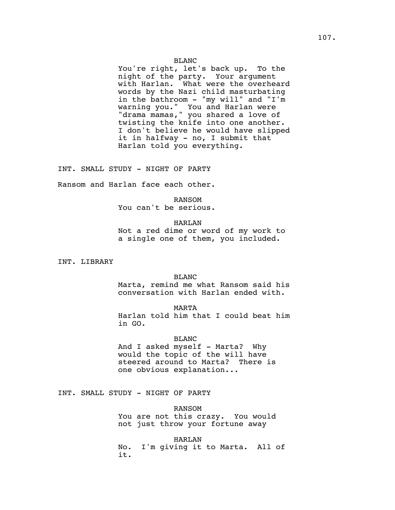You're right, let's back up. To the night of the party. Your argument with Harlan. What were the overheard words by the Nazi child masturbating in the bathroom - "my will" and "I'm warning you." You and Harlan were "drama mamas," you shared a love of twisting the knife into one another. I don't believe he would have slipped it in halfway - no, I submit that Harlan told you everything.

INT. SMALL STUDY - NIGHT OF PARTY

Ransom and Harlan face each other.

RANSOM You can't be serious.

HARLAN

Not a red dime or word of my work to a single one of them, you included.

INT. LIBRARY

### BLANC

Marta, remind me what Ransom said his conversation with Harlan ended with.

### MARTA

Harlan told him that I could beat him in GO.

## BLANC

And I asked myself - Marta? Why would the topic of the will have steered around to Marta? There is one obvious explanation...

INT. SMALL STUDY - NIGHT OF PARTY

RANSOM You are not this crazy. You would not just throw your fortune away

HARLAN No. I'm giving it to Marta. All of it.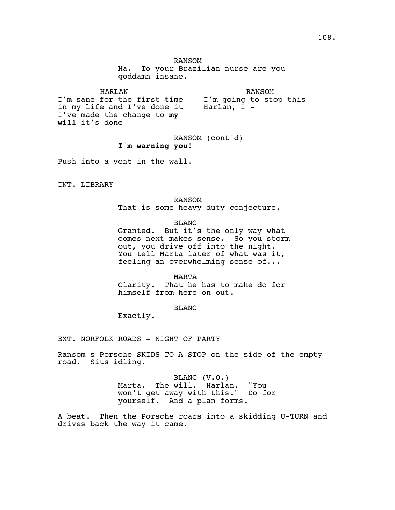RANSOM

Ha. To your Brazilian nurse are you goddamn insane.

HARLAN I'm sane for the first time in my life and I've done it I've made the change to **my will** it's done RANSOM I'm going to stop this Harlan, I -

> RANSOM (cont'd) **I'm warning you!**

Push into a vent in the wall.

INT. LIBRARY

RANSOM That is some heavy duty conjecture.

BLANC

Granted. But it's the only way what comes next makes sense. So you storm out, you drive off into the night. You tell Marta later of what was it, feeling an overwhelming sense of...

MARTA

Clarity. That he has to make do for himself from here on out.

BLANC

Exactly.

EXT. NORFOLK ROADS - NIGHT OF PARTY

Ransom's Porsche SKIDS TO A STOP on the side of the empty road. Sits idling.

> BLANC (V.O.) Marta. The will. Harlan. "You won't get away with this." Do for yourself. And a plan forms.

A beat. Then the Porsche roars into a skidding U-TURN and drives back the way it came.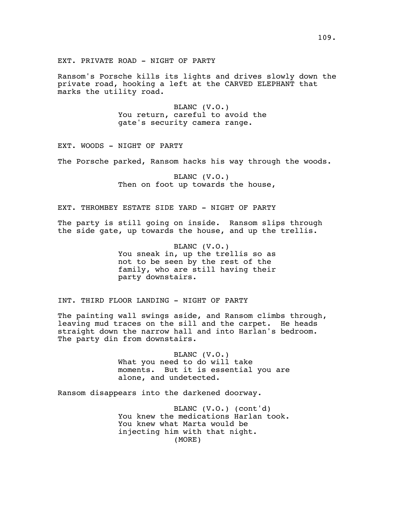Ransom's Porsche kills its lights and drives slowly down the private road, hooking a left at the CARVED ELEPHANT that marks the utility road.

> BLANC (V.O.) You return, careful to avoid the gate's security camera range.

EXT. WOODS - NIGHT OF PARTY

The Porsche parked, Ransom hacks his way through the woods.

BLANC (V.O.) Then on foot up towards the house,

EXT. THROMBEY ESTATE SIDE YARD - NIGHT OF PARTY

The party is still going on inside. Ransom slips through the side gate, up towards the house, and up the trellis.

> BLANC (V.O.) You sneak in, up the trellis so as not to be seen by the rest of the family, who are still having their party downstairs.

INT. THIRD FLOOR LANDING - NIGHT OF PARTY

The painting wall swings aside, and Ransom climbs through, leaving mud traces on the sill and the carpet. He heads straight down the narrow hall and into Harlan's bedroom. The party din from downstairs.

> BLANC (V.O.) What you need to do will take moments. But it is essential you are alone, and undetected.

Ransom disappears into the darkened doorway.

BLANC (V.O.) (cont'd) You knew the medications Harlan took. You knew what Marta would be injecting him with that night. (MORE)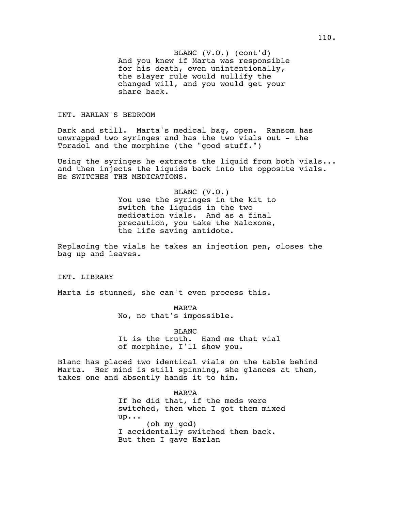And you knew if Marta was responsible BLANC (V.O.) (cont'd) for his death, even unintentionally, the slayer rule would nullify the changed will, and you would get your share back.

# INT. HARLAN'S BEDROOM

Dark and still. Marta's medical bag, open. Ransom has unwrapped two syringes and has the two vials out - the Toradol and the morphine (the "good stuff.")

Using the syringes he extracts the liquid from both vials... and then injects the liquids back into the opposite vials. He SWITCHES THE MEDICATIONS.

> BLANC (V.O.) You use the syringes in the kit to switch the liquids in the two medication vials. And as a final precaution, you take the Naloxone, the life saving antidote.

Replacing the vials he takes an injection pen, closes the bag up and leaves.

INT. LIBRARY

Marta is stunned, she can't even process this.

MARTA No, no that's impossible.

BLANC It is the truth. Hand me that vial of morphine, I'll show you.

Blanc has placed two identical vials on the table behind Marta. Her mind is still spinning, she glances at them, takes one and absently hands it to him.

> MARTA If he did that, if the meds were switched, then when I got them mixed up... (oh my god) I accidentally switched them back. But then I gave Harlan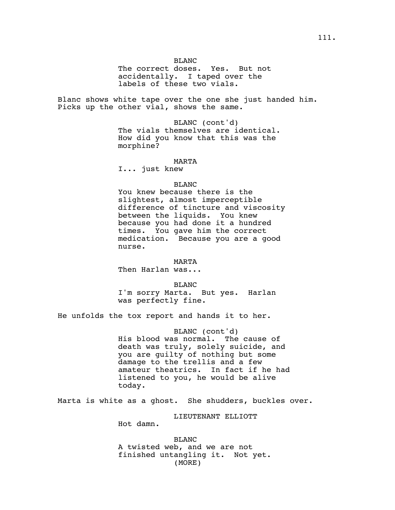The correct doses. Yes. But not accidentally. I taped over the labels of these two vials.

Blanc shows white tape over the one she just handed him. Picks up the other vial, shows the same.

> BLANC (cont'd) The vials themselves are identical. How did you know that this was the morphine?

#### MARTA

I... just knew

### BLANC

You knew because there is the slightest, almost imperceptible difference of tincture and viscosity between the liquids. You knew because you had done it a hundred times. You gave him the correct medication. Because you are a good nurse.

MARTA

Then Harlan was...

BLANC

I'm sorry Marta. But yes. Harlan was perfectly fine.

He unfolds the tox report and hands it to her.

BLANC (cont'd) His blood was normal. The cause of death was truly, solely suicide, and you are guilty of nothing but some damage to the trellis and a few amateur theatrics. In fact if he had listened to you, he would be alive today.

Marta is white as a ghost. She shudders, buckles over.

LIEUTENANT ELLIOTT

Hot damn.

BLANC A twisted web, and we are not finished untangling it. Not yet. (MORE)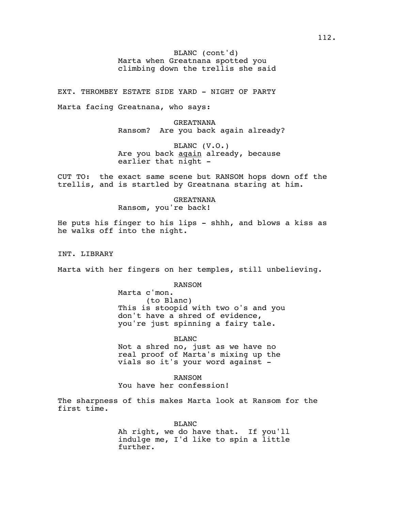Marta when Greatnana spotted you BLANC (cont'd) climbing down the trellis she said

EXT. THROMBEY ESTATE SIDE YARD - NIGHT OF PARTY

Marta facing Greatnana, who says:

GREATNANA Ransom? Are you back again already?

BLANC (V.O.) Are you back again already, because earlier that night -

CUT TO: the exact same scene but RANSOM hops down off the trellis, and is startled by Greatnana staring at him.

GREATNANA

Ransom, you're back!

He puts his finger to his lips - shhh, and blows a kiss as he walks off into the night.

INT. LIBRARY

Marta with her fingers on her temples, still unbelieving.

RANSOM

Marta c'mon. (to Blanc) This is stoopid with two o's and you don't have a shred of evidence, you're just spinning a fairy tale.

BLANC

Not a shred no, just as we have no real proof of Marta's mixing up the vials so it's your word against -

RANSOM You have her confession!

The sharpness of this makes Marta look at Ransom for the first time.

BLANC

Ah right, we do have that. If you'll indulge me, I'd like to spin a little further.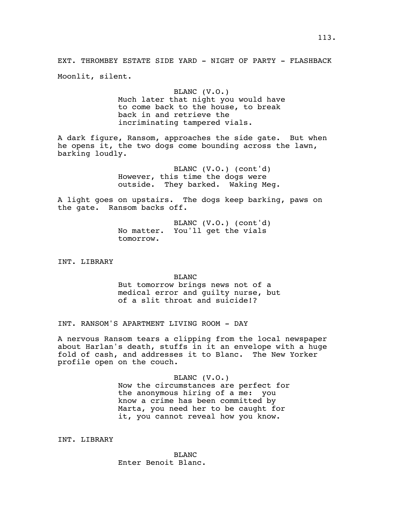EXT. THROMBEY ESTATE SIDE YARD - NIGHT OF PARTY - FLASHBACK Moonlit, silent.

# BLANC (V.O.)

Much later that night you would have to come back to the house, to break back in and retrieve the incriminating tampered vials.

A dark figure, Ransom, approaches the side gate. But when he opens it, the two dogs come bounding across the lawn, barking loudly.

> BLANC (V.O.) (cont'd) However, this time the dogs were outside. They barked. Waking Meg.

A light goes on upstairs. The dogs keep barking, paws on the gate. Ransom backs off.

> BLANC (V.O.) (cont'd) No matter. You'll get the vials tomorrow.

INT. LIBRARY

#### BLANC

But tomorrow brings news not of a medical error and guilty nurse, but of a slit throat and suicide!?

INT. RANSOM'S APARTMENT LIVING ROOM - DAY

A nervous Ransom tears a clipping from the local newspaper about Harlan's death, stuffs in it an envelope with a huge fold of cash, and addresses it to Blanc. The New Yorker profile open on the couch.

> BLANC (V.O.) Now the circumstances are perfect for the anonymous hiring of a me: you know a crime has been committed by Marta, you need her to be caught for it, you cannot reveal how you know.

INT. LIBRARY

BLANC Enter Benoit Blanc.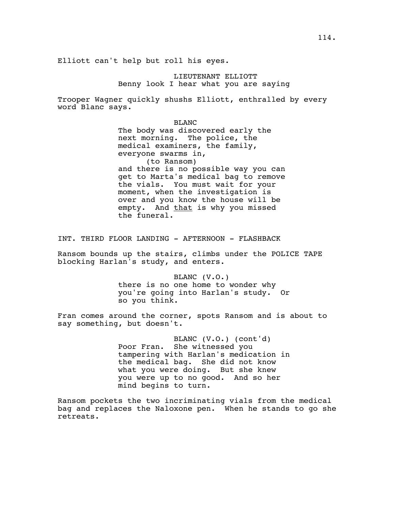LIEUTENANT ELLIOTT Benny look I hear what you are saying

Trooper Wagner quickly shushs Elliott, enthralled by every word Blanc says.

> BLANC The body was discovered early the next morning. The police, the medical examiners, the family, everyone swarms in, (to Ransom) and there is no possible way you can get to Marta's medical bag to remove the vials. You must wait for your moment, when the investigation is over and you know the house will be empty. And that is why you missed the funeral.

INT. THIRD FLOOR LANDING - AFTERNOON - FLASHBACK

Ransom bounds up the stairs, climbs under the POLICE TAPE blocking Harlan's study, and enters.

> BLANC (V.O.) there is no one home to wonder why you're going into Harlan's study. Or so you think.

Fran comes around the corner, spots Ransom and is about to say something, but doesn't.

> BLANC (V.O.) (cont'd) Poor Fran. She witnessed you tampering with Harlan's medication in the medical bag. She did not know what you were doing. But she knew you were up to no good. And so her mind begins to turn.

Ransom pockets the two incriminating vials from the medical bag and replaces the Naloxone pen. When he stands to go she retreats.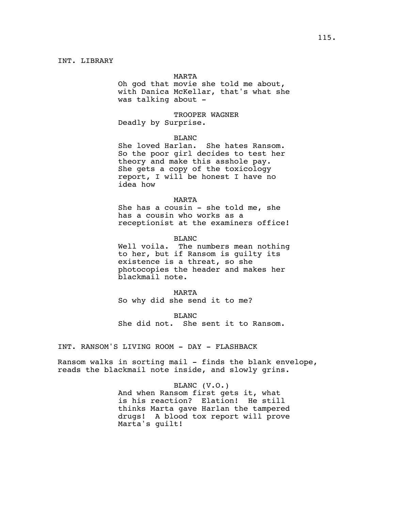#### MARTA

Oh god that movie she told me about, with Danica McKellar, that's what she was talking about -

TROOPER WAGNER Deadly by Surprise.

### BLANC

She loved Harlan. She hates Ransom. So the poor girl decides to test her theory and make this asshole pay. She gets a copy of the toxicology report, I will be honest I have no idea how

### MARTA

She has a cousin - she told me, she has a cousin who works as a receptionist at the examiners office!

BLANC

Well voila. The numbers mean nothing to her, but if Ransom is guilty its existence is a threat, so she photocopies the header and makes her blackmail note.

#### MARTA

So why did she send it to me?

BLANC She did not. She sent it to Ransom.

INT. RANSOM'S LIVING ROOM - DAY - FLASHBACK

Ransom walks in sorting mail - finds the blank envelope, reads the blackmail note inside, and slowly grins.

### BLANC (V.O.)

And when Ransom first gets it, what is his reaction? Elation! He still thinks Marta gave Harlan the tampered drugs! A blood tox report will prove Marta's guilt!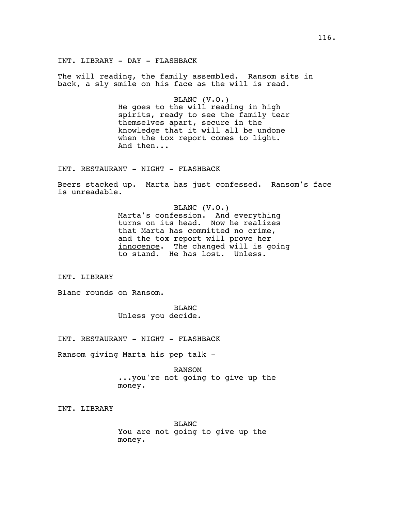INT. LIBRARY - DAY - FLASHBACK

The will reading, the family assembled. Ransom sits in back, a sly smile on his face as the will is read.

> BLANC (V.O.) He goes to the will reading in high spirits, ready to see the family tear themselves apart, secure in the knowledge that it will all be undone when the tox report comes to light. And then...

INT. RESTAURANT - NIGHT - FLASHBACK

Beers stacked up. Marta has just confessed. Ransom's face is unreadable.

> BLANC (V.O.) Marta's confession. And everything turns on its head. Now he realizes that Marta has committed no crime, and the tox report will prove her innocence. The changed will is going to stand. He has lost. Unless.

INT. LIBRARY

Blanc rounds on Ransom.

BLANC Unless you decide.

INT. RESTAURANT - NIGHT - FLASHBACK

Ransom giving Marta his pep talk -

RANSOM ...you're not going to give up the money.

INT. LIBRARY

BLANC You are not going to give up the money.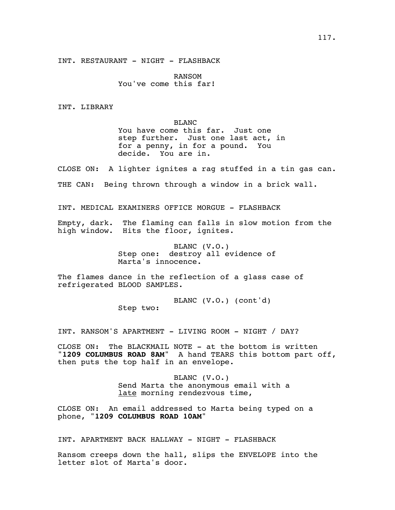INT. RESTAURANT - NIGHT - FLASHBACK

RANSOM You've come this far!

INT. LIBRARY

BLANC You have come this far. Just one step further. Just one last act, in for a penny, in for a pound. You decide. You are in.

CLOSE ON: A lighter ignites a rag stuffed in a tin gas can. THE CAN: Being thrown through a window in a brick wall.

INT. MEDICAL EXAMINERS OFFICE MORGUE - FLASHBACK

Empty, dark. The flaming can falls in slow motion from the high window. Hits the floor, ignites.

> BLANC (V.O.) Step one: destroy all evidence of Marta's innocence.

The flames dance in the reflection of a glass case of refrigerated BLOOD SAMPLES.

> BLANC (V.O.) (cont'd) Step two:

INT. RANSOM'S APARTMENT - LIVING ROOM - NIGHT / DAY?

CLOSE ON: The BLACKMAIL NOTE - at the bottom is written "**1209 COLUMBUS ROAD 8AM**" A hand TEARS this bottom part off, then puts the top half in an envelope.

> BLANC (V.O.) Send Marta the anonymous email with a late morning rendezvous time,

CLOSE ON: An email addressed to Marta being typed on a phone, "**1209 COLUMBUS ROAD 10AM**"

INT. APARTMENT BACK HALLWAY - NIGHT - FLASHBACK

Ransom creeps down the hall, slips the ENVELOPE into the letter slot of Marta's door.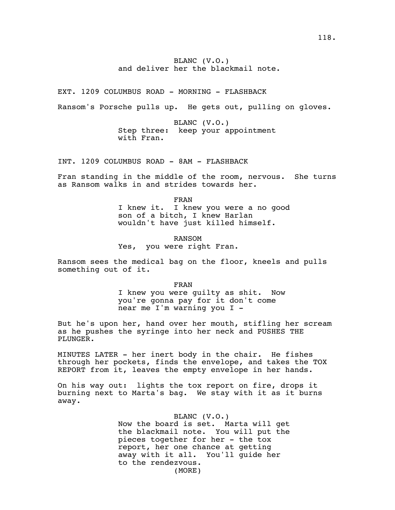# BLANC (V.O.) and deliver her the blackmail note.

EXT. 1209 COLUMBUS ROAD - MORNING - FLASHBACK

Ransom's Porsche pulls up. He gets out, pulling on gloves.

BLANC (V.O.) Step three: keep your appointment with Fran.

INT. 1209 COLUMBUS ROAD - 8AM - FLASHBACK

Fran standing in the middle of the room, nervous. She turns as Ransom walks in and strides towards her.

FRAN

I knew it. I knew you were a no good son of a bitch, I knew Harlan wouldn't have just killed himself.

RANSOM Yes, you were right Fran.

Ransom sees the medical bag on the floor, kneels and pulls something out of it.

FRAN

I knew you were guilty as shit. Now you're gonna pay for it don't come near me I'm warning you I -

But he's upon her, hand over her mouth, stifling her scream as he pushes the syringe into her neck and PUSHES THE PLUNGER.

MINUTES LATER - her inert body in the chair. He fishes through her pockets, finds the envelope, and takes the TOX REPORT from it, leaves the empty envelope in her hands.

On his way out: lights the tox report on fire, drops it burning next to Marta's bag. We stay with it as it burns away.

#### BLANC (V.O.)

Now the board is set. Marta will get the blackmail note. You will put the pieces together for her - the tox report, her one chance at getting away with it all. You'll guide her to the rendezvous. (MORE)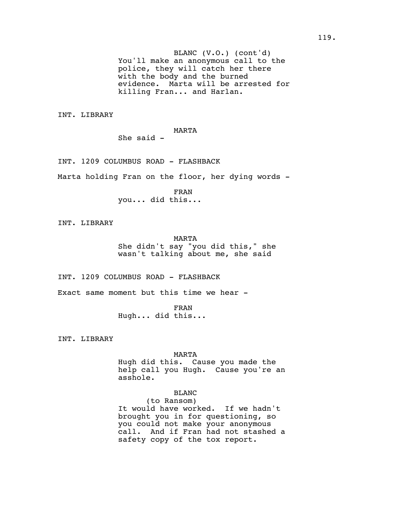You'll make an anonymous call to the BLANC (V.O.) (cont'd) police, they will catch her there with the body and the burned evidence. Marta will be arrested for killing Fran... and Harlan.

INT. LIBRARY

# MARTA

She said -

INT. 1209 COLUMBUS ROAD - FLASHBACK

Marta holding Fran on the floor, her dying words -

FRAN you... did this...

INT. LIBRARY

MARTA She didn't say "you did this," she wasn't talking about me, she said

INT. 1209 COLUMBUS ROAD - FLASHBACK

Exact same moment but this time we hear -

FRAN Hugh... did this...

INT. LIBRARY

MARTA

Hugh did this. Cause you made the help call you Hugh. Cause you're an asshole.

# BLANC

(to Ransom) It would have worked. If we hadn't brought you in for questioning, so you could not make your anonymous call. And if Fran had not stashed a safety copy of the tox report.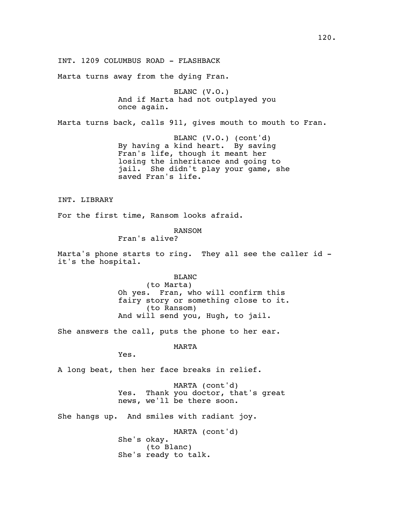INT. 1209 COLUMBUS ROAD - FLASHBACK

Marta turns away from the dying Fran.

BLANC (V.O.) And if Marta had not outplayed you once again.

Marta turns back, calls 911, gives mouth to mouth to Fran.

BLANC (V.O.) (cont'd) By having a kind heart. By saving Fran's life, though it meant her losing the inheritance and going to jail. She didn't play your game, she saved Fran's life.

INT. LIBRARY

For the first time, Ransom looks afraid.

RANSOM

Fran's alive?

Marta's phone starts to ring. They all see the caller id it's the hospital.

> BLANC (to Marta) Oh yes. Fran, who will confirm this fairy story or something close to it. (to Ransom) And will send you, Hugh, to jail.

She answers the call, puts the phone to her ear.

MARTA

Yes.

A long beat, then her face breaks in relief.

MARTA (cont'd) Yes. Thank you doctor, that's great news, we'll be there soon.

She hangs up. And smiles with radiant joy.

MARTA (cont'd) She's okay. (to Blanc) She's ready to talk.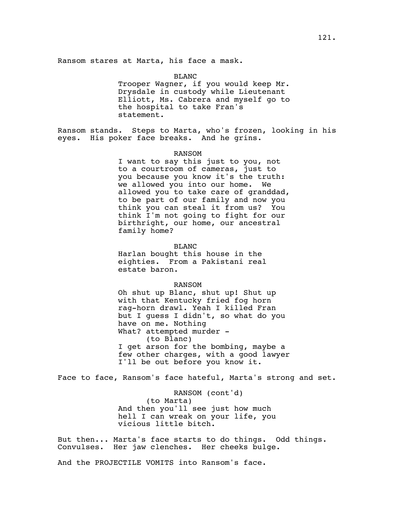BLANC Trooper Wagner, if you would keep Mr. Drysdale in custody while Lieutenant Elliott, Ms. Cabrera and myself go to the hospital to take Fran's statement.

Ransom stands. Steps to Marta, who's frozen, looking in his eyes. His poker face breaks. And he grins.

### RANSOM

I want to say this just to you, not to a courtroom of cameras, just to you because you know it's the truth: we allowed you into our home. We allowed you to take care of granddad, to be part of our family and now you think you can steal it from us? You think I'm not going to fight for our birthright, our home, our ancestral family home?

BLANC

Harlan bought this house in the eighties. From a Pakistani real estate baron.

#### RANSOM

Oh shut up Blanc, shut up! Shut up with that Kentucky fried fog horn rag-horn drawl. Yeah I killed Fran but I guess I didn't, so what do you have on me. Nothing What? attempted murder -(to Blanc) I get arson for the bombing, maybe a few other charges, with a good lawyer I'll be out before you know it.

Face to face, Ransom's face hateful, Marta's strong and set.

RANSOM (cont'd) (to Marta) And then you'll see just how much hell I can wreak on your life, you vicious little bitch.

But then... Marta's face starts to do things. Odd things. Convulses. Her jaw clenches. Her cheeks bulge.

And the PROJECTILE VOMITS into Ransom's face.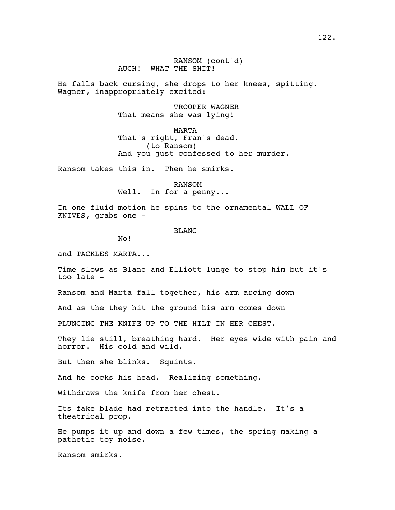He falls back cursing, she drops to her knees, spitting. Wagner, inappropriately excited:

> TROOPER WAGNER That means she was lying!

MARTA That's right, Fran's dead. (to Ransom) And you just confessed to her murder.

Ransom takes this in. Then he smirks.

RANSOM Well. In for a penny...

In one fluid motion he spins to the ornamental WALL OF KNIVES, grabs one -

BLANC

No!

and TACKLES MARTA...

Time slows as Blanc and Elliott lunge to stop him but it's too late -

Ransom and Marta fall together, his arm arcing down

And as the they hit the ground his arm comes down

PLUNGING THE KNIFE UP TO THE HILT IN HER CHEST.

They lie still, breathing hard. Her eyes wide with pain and horror. His cold and wild.

But then she blinks. Squints.

And he cocks his head. Realizing something.

Withdraws the knife from her chest.

Its fake blade had retracted into the handle. It's a theatrical prop.

He pumps it up and down a few times, the spring making a pathetic toy noise.

Ransom smirks.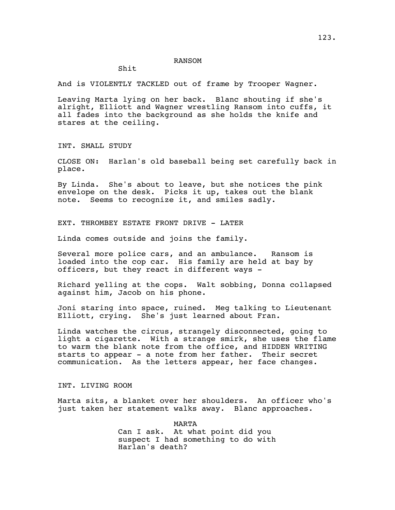#### RANSOM

# Shit

And is VIOLENTLY TACKLED out of frame by Trooper Wagner.

Leaving Marta lying on her back. Blanc shouting if she's alright, Elliott and Wagner wrestling Ransom into cuffs, it all fades into the background as she holds the knife and stares at the ceiling.

INT. SMALL STUDY

CLOSE ON: Harlan's old baseball being set carefully back in place.

By Linda. She's about to leave, but she notices the pink envelope on the desk. Picks it up, takes out the blank note. Seems to recognize it, and smiles sadly.

EXT. THROMBEY ESTATE FRONT DRIVE - LATER

Linda comes outside and joins the family.

Several more police cars, and an ambulance. Ransom is loaded into the cop car. His family are held at bay by officers, but they react in different ways -

Richard yelling at the cops. Walt sobbing, Donna collapsed against him, Jacob on his phone.

Joni staring into space, ruined. Meg talking to Lieutenant Elliott, crying. She's just learned about Fran.

Linda watches the circus, strangely disconnected, going to light a cigarette. With a strange smirk, she uses the flame to warm the blank note from the office, and HIDDEN WRITING starts to appear - a note from her father. Their secret communication. As the letters appear, her face changes.

INT. LIVING ROOM

Marta sits, a blanket over her shoulders. An officer who's just taken her statement walks away. Blanc approaches.

> MARTA Can I ask. At what point did you suspect I had something to do with Harlan's death?